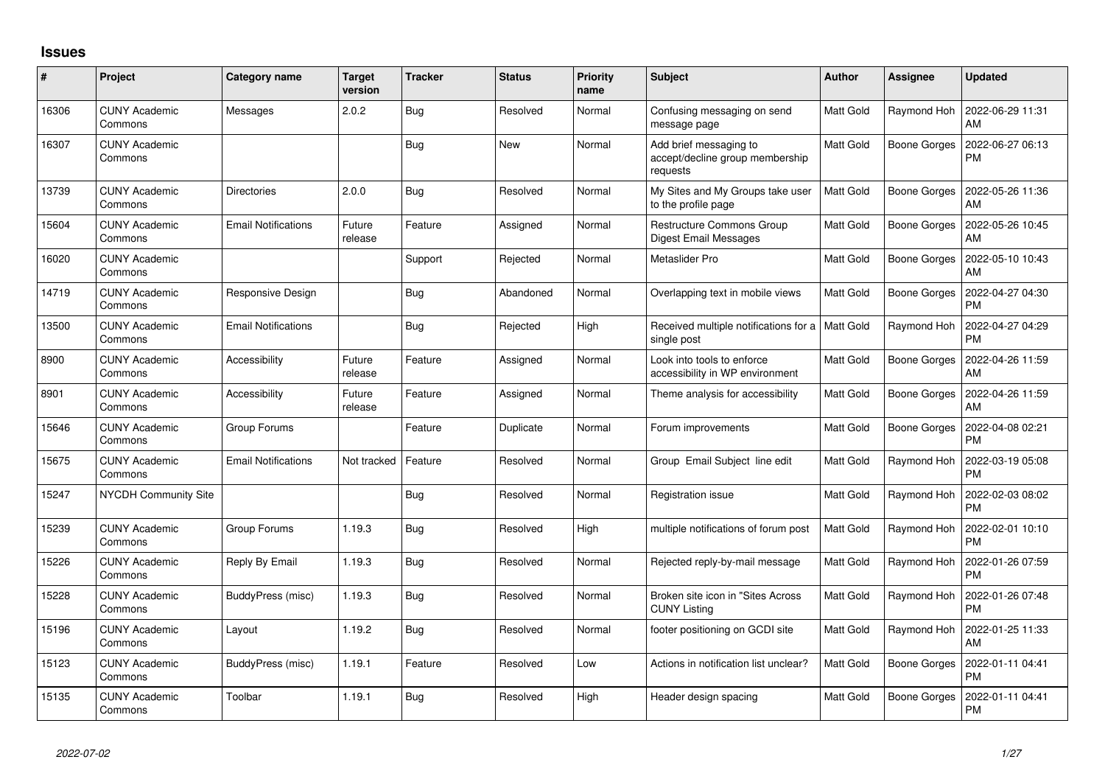## **Issues**

| #     | Project                         | Category name              | <b>Target</b><br>version | <b>Tracker</b> | <b>Status</b> | <b>Priority</b><br>name | Subject                                                               | Author           | <b>Assignee</b>     | <b>Updated</b>                |
|-------|---------------------------------|----------------------------|--------------------------|----------------|---------------|-------------------------|-----------------------------------------------------------------------|------------------|---------------------|-------------------------------|
| 16306 | <b>CUNY Academic</b><br>Commons | Messages                   | 2.0.2                    | Bug            | Resolved      | Normal                  | Confusing messaging on send<br>message page                           | <b>Matt Gold</b> | Raymond Hoh         | 2022-06-29 11:31<br>AM        |
| 16307 | <b>CUNY Academic</b><br>Commons |                            |                          | <b>Bug</b>     | <b>New</b>    | Normal                  | Add brief messaging to<br>accept/decline group membership<br>requests | Matt Gold        | Boone Gorges        | 2022-06-27 06:13<br><b>PM</b> |
| 13739 | <b>CUNY Academic</b><br>Commons | <b>Directories</b>         | 2.0.0                    | Bug            | Resolved      | Normal                  | My Sites and My Groups take user<br>to the profile page               | <b>Matt Gold</b> | <b>Boone Gorges</b> | 2022-05-26 11:36<br>AM        |
| 15604 | <b>CUNY Academic</b><br>Commons | <b>Email Notifications</b> | Future<br>release        | Feature        | Assigned      | Normal                  | Restructure Commons Group<br>Digest Email Messages                    | <b>Matt Gold</b> | <b>Boone Gorges</b> | 2022-05-26 10:45<br>AM        |
| 16020 | <b>CUNY Academic</b><br>Commons |                            |                          | Support        | Rejected      | Normal                  | Metaslider Pro                                                        | Matt Gold        | Boone Gorges        | 2022-05-10 10:43<br>AM        |
| 14719 | <b>CUNY Academic</b><br>Commons | Responsive Design          |                          | <b>Bug</b>     | Abandoned     | Normal                  | Overlapping text in mobile views                                      | Matt Gold        | Boone Gorges        | 2022-04-27 04:30<br><b>PM</b> |
| 13500 | <b>CUNY Academic</b><br>Commons | <b>Email Notifications</b> |                          | Bug            | Rejected      | High                    | Received multiple notifications for a   Matt Gold<br>single post      |                  | Raymond Hoh         | 2022-04-27 04:29<br><b>PM</b> |
| 8900  | <b>CUNY Academic</b><br>Commons | Accessibility              | Future<br>release        | Feature        | Assigned      | Normal                  | Look into tools to enforce<br>accessibility in WP environment         | Matt Gold        | Boone Gorges        | 2022-04-26 11:59<br>AM        |
| 8901  | <b>CUNY Academic</b><br>Commons | Accessibility              | Future<br>release        | Feature        | Assigned      | Normal                  | Theme analysis for accessibility                                      | <b>Matt Gold</b> | Boone Gorges        | 2022-04-26 11:59<br>AM        |
| 15646 | <b>CUNY Academic</b><br>Commons | Group Forums               |                          | Feature        | Duplicate     | Normal                  | Forum improvements                                                    | <b>Matt Gold</b> | <b>Boone Gorges</b> | 2022-04-08 02:21<br><b>PM</b> |
| 15675 | <b>CUNY Academic</b><br>Commons | <b>Email Notifications</b> | Not tracked              | Feature        | Resolved      | Normal                  | Group Email Subject line edit                                         | <b>Matt Gold</b> | Raymond Hoh         | 2022-03-19 05:08<br><b>PM</b> |
| 15247 | NYCDH Community Site            |                            |                          | Bug            | Resolved      | Normal                  | Registration issue                                                    | <b>Matt Gold</b> | Raymond Hoh         | 2022-02-03 08:02<br><b>PM</b> |
| 15239 | <b>CUNY Academic</b><br>Commons | Group Forums               | 1.19.3                   | Bug            | Resolved      | High                    | multiple notifications of forum post                                  | Matt Gold        | Raymond Hoh         | 2022-02-01 10:10<br><b>PM</b> |
| 15226 | <b>CUNY Academic</b><br>Commons | Reply By Email             | 1.19.3                   | Bug            | Resolved      | Normal                  | Rejected reply-by-mail message                                        | <b>Matt Gold</b> | Raymond Hoh         | 2022-01-26 07:59<br><b>PM</b> |
| 15228 | <b>CUNY Academic</b><br>Commons | BuddyPress (misc)          | 1.19.3                   | <b>Bug</b>     | Resolved      | Normal                  | Broken site icon in "Sites Across<br><b>CUNY Listing</b>              | Matt Gold        | Raymond Hoh         | 2022-01-26 07:48<br><b>PM</b> |
| 15196 | <b>CUNY Academic</b><br>Commons | Layout                     | 1.19.2                   | Bug            | Resolved      | Normal                  | footer positioning on GCDI site                                       | Matt Gold        | Raymond Hoh         | 2022-01-25 11:33<br>AM        |
| 15123 | <b>CUNY Academic</b><br>Commons | BuddyPress (misc)          | 1.19.1                   | Feature        | Resolved      | Low                     | Actions in notification list unclear?                                 | <b>Matt Gold</b> | <b>Boone Gorges</b> | 2022-01-11 04:41<br>PM        |
| 15135 | CUNY Academic<br>Commons        | Toolbar                    | 1.19.1                   | Bug            | Resolved      | High                    | Header design spacing                                                 | <b>Matt Gold</b> | <b>Boone Gorges</b> | 2022-01-11 04:41<br><b>PM</b> |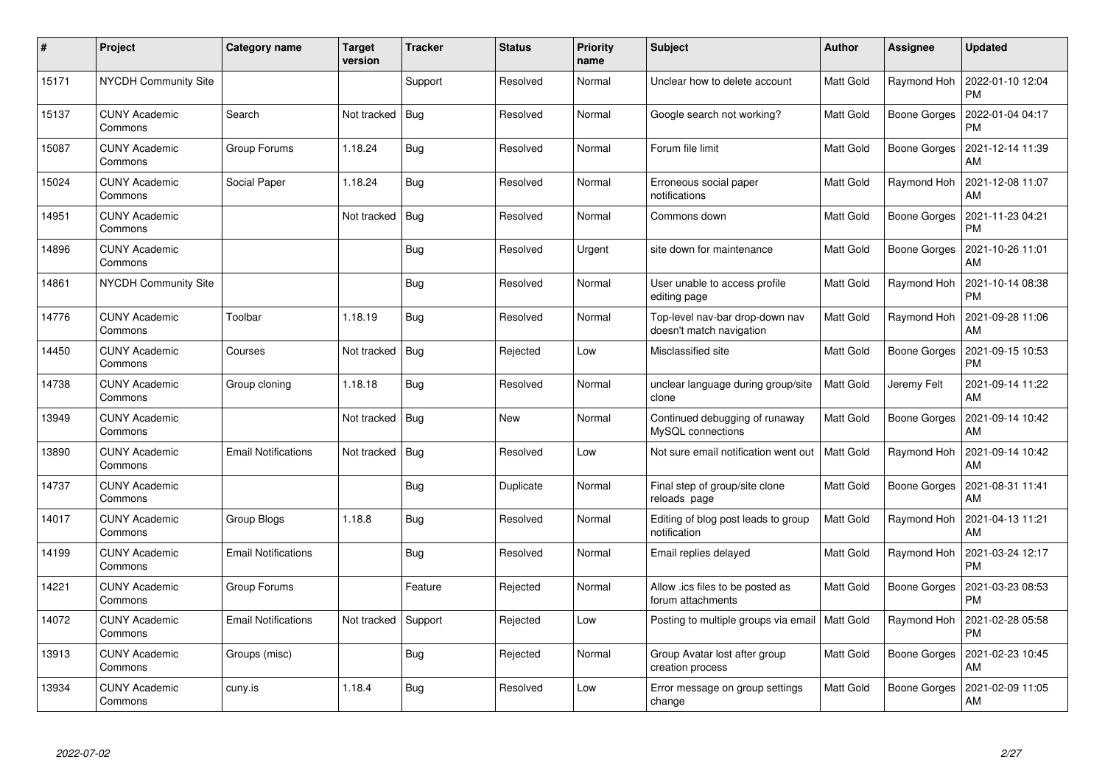| $\pmb{\sharp}$ | Project                         | <b>Category name</b>       | <b>Target</b><br>version | <b>Tracker</b> | <b>Status</b> | <b>Priority</b><br>name | <b>Subject</b>                                              | <b>Author</b>    | <b>Assignee</b>     | <b>Updated</b>                |
|----------------|---------------------------------|----------------------------|--------------------------|----------------|---------------|-------------------------|-------------------------------------------------------------|------------------|---------------------|-------------------------------|
| 15171          | <b>NYCDH Community Site</b>     |                            |                          | Support        | Resolved      | Normal                  | Unclear how to delete account                               | <b>Matt Gold</b> | Raymond Hoh         | 2022-01-10 12:04<br><b>PM</b> |
| 15137          | <b>CUNY Academic</b><br>Commons | Search                     | Not tracked              | <b>Bug</b>     | Resolved      | Normal                  | Google search not working?                                  | Matt Gold        | Boone Gorges        | 2022-01-04 04:17<br><b>PM</b> |
| 15087          | <b>CUNY Academic</b><br>Commons | Group Forums               | 1.18.24                  | <b>Bug</b>     | Resolved      | Normal                  | Forum file limit                                            | <b>Matt Gold</b> | <b>Boone Gorges</b> | 2021-12-14 11:39<br>AM        |
| 15024          | <b>CUNY Academic</b><br>Commons | Social Paper               | 1.18.24                  | Bug            | Resolved      | Normal                  | Erroneous social paper<br>notifications                     | Matt Gold        | Raymond Hoh         | 2021-12-08 11:07<br>AM        |
| 14951          | <b>CUNY Academic</b><br>Commons |                            | Not tracked              | Bug            | Resolved      | Normal                  | Commons down                                                | Matt Gold        | Boone Gorges        | 2021-11-23 04:21<br><b>PM</b> |
| 14896          | <b>CUNY Academic</b><br>Commons |                            |                          | Bug            | Resolved      | Urgent                  | site down for maintenance                                   | Matt Gold        | Boone Gorges        | 2021-10-26 11:01<br>AM        |
| 14861          | <b>NYCDH Community Site</b>     |                            |                          | Bug            | Resolved      | Normal                  | User unable to access profile<br>editing page               | Matt Gold        | Raymond Hoh         | 2021-10-14 08:38<br><b>PM</b> |
| 14776          | <b>CUNY Academic</b><br>Commons | Toolbar                    | 1.18.19                  | Bug            | Resolved      | Normal                  | Top-level nav-bar drop-down nav<br>doesn't match navigation | Matt Gold        | Raymond Hoh         | 2021-09-28 11:06<br>AM        |
| 14450          | <b>CUNY Academic</b><br>Commons | Courses                    | Not tracked              | <b>Bug</b>     | Rejected      | Low                     | Misclassified site                                          | Matt Gold        | Boone Gorges        | 2021-09-15 10:53<br><b>PM</b> |
| 14738          | <b>CUNY Academic</b><br>Commons | Group cloning              | 1.18.18                  | Bug            | Resolved      | Normal                  | unclear language during group/site<br>clone                 | <b>Matt Gold</b> | Jeremy Felt         | 2021-09-14 11:22<br>AM        |
| 13949          | <b>CUNY Academic</b><br>Commons |                            | Not tracked              | <b>Bug</b>     | <b>New</b>    | Normal                  | Continued debugging of runaway<br>MySQL connections         | Matt Gold        | Boone Gorges        | 2021-09-14 10:42<br>AM        |
| 13890          | <b>CUNY Academic</b><br>Commons | <b>Email Notifications</b> | Not tracked              | Bug            | Resolved      | Low                     | Not sure email notification went out                        | Matt Gold        | Raymond Hoh         | 2021-09-14 10:42<br>AM        |
| 14737          | <b>CUNY Academic</b><br>Commons |                            |                          | Bug            | Duplicate     | Normal                  | Final step of group/site clone<br>reloads page              | Matt Gold        | Boone Gorges        | 2021-08-31 11:41<br>AM        |
| 14017          | <b>CUNY Academic</b><br>Commons | <b>Group Blogs</b>         | 1.18.8                   | <b>Bug</b>     | Resolved      | Normal                  | Editing of blog post leads to group<br>notification         | Matt Gold        | Raymond Hoh         | 2021-04-13 11:21<br>AM        |
| 14199          | <b>CUNY Academic</b><br>Commons | Email Notifications        |                          | <b>Bug</b>     | Resolved      | Normal                  | Email replies delayed                                       | Matt Gold        | Raymond Hoh         | 2021-03-24 12:17<br><b>PM</b> |
| 14221          | <b>CUNY Academic</b><br>Commons | Group Forums               |                          | Feature        | Rejected      | Normal                  | Allow .ics files to be posted as<br>forum attachments       | Matt Gold        | Boone Gorges        | 2021-03-23 08:53<br><b>PM</b> |
| 14072          | <b>CUNY Academic</b><br>Commons | Email Notifications        | Not tracked              | Support        | Rejected      | Low                     | Posting to multiple groups via email   Matt Gold            |                  | Raymond Hoh         | 2021-02-28 05:58<br><b>PM</b> |
| 13913          | <b>CUNY Academic</b><br>Commons | Groups (misc)              |                          | Bug            | Rejected      | Normal                  | Group Avatar lost after group<br>creation process           | Matt Gold        | Boone Gorges        | 2021-02-23 10:45<br>AM        |
| 13934          | <b>CUNY Academic</b><br>Commons | cuny.is                    | 1.18.4                   | <b>Bug</b>     | Resolved      | Low                     | Error message on group settings<br>change                   | Matt Gold        | Boone Gorges        | 2021-02-09 11:05<br>AM        |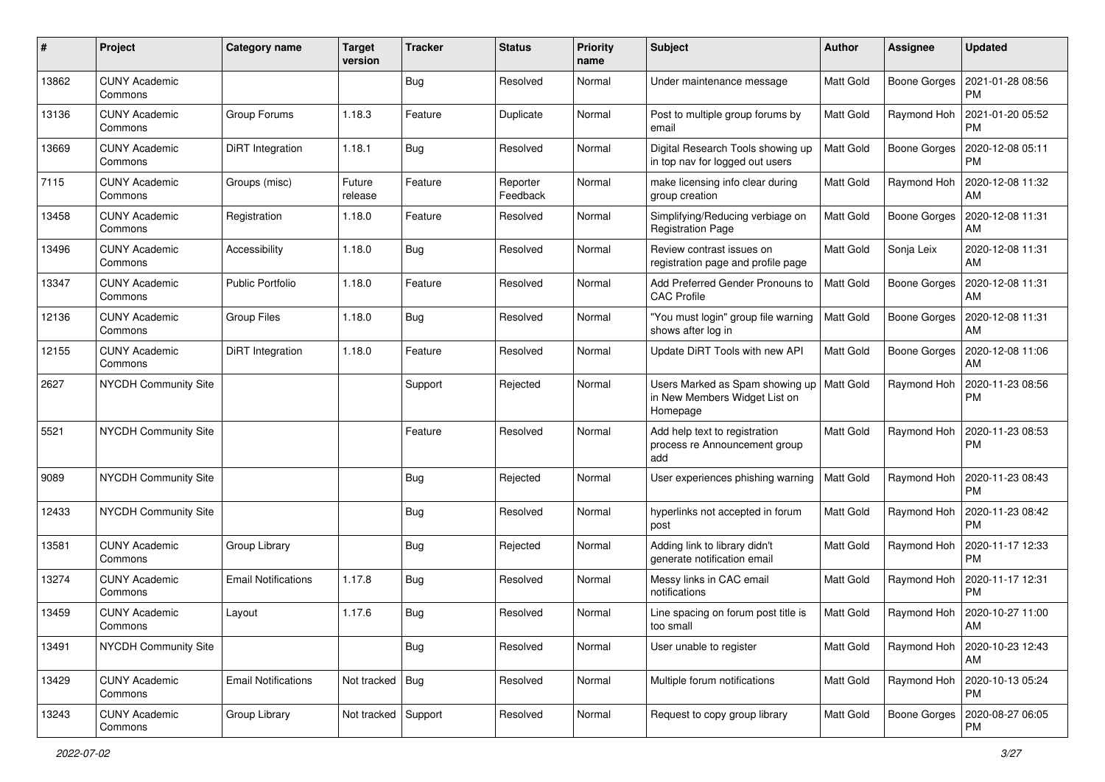| #     | Project                         | Category name              | <b>Target</b><br>version | <b>Tracker</b> | <b>Status</b>        | <b>Priority</b><br>name | <b>Subject</b>                                                               | Author           | Assignee            | <b>Updated</b>                |
|-------|---------------------------------|----------------------------|--------------------------|----------------|----------------------|-------------------------|------------------------------------------------------------------------------|------------------|---------------------|-------------------------------|
| 13862 | <b>CUNY Academic</b><br>Commons |                            |                          | Bug            | Resolved             | Normal                  | Under maintenance message                                                    | Matt Gold        | <b>Boone Gorges</b> | 2021-01-28 08:56<br><b>PM</b> |
| 13136 | <b>CUNY Academic</b><br>Commons | Group Forums               | 1.18.3                   | Feature        | Duplicate            | Normal                  | Post to multiple group forums by<br>email                                    | Matt Gold        | Raymond Hoh         | 2021-01-20 05:52<br><b>PM</b> |
| 13669 | CUNY Academic<br>Commons        | DiRT Integration           | 1.18.1                   | Bug            | Resolved             | Normal                  | Digital Research Tools showing up<br>in top nav for logged out users         | Matt Gold        | <b>Boone Gorges</b> | 2020-12-08 05:11<br><b>PM</b> |
| 7115  | <b>CUNY Academic</b><br>Commons | Groups (misc)              | Future<br>release        | Feature        | Reporter<br>Feedback | Normal                  | make licensing info clear during<br>group creation                           | Matt Gold        | Raymond Hoh         | 2020-12-08 11:32<br>AM        |
| 13458 | <b>CUNY Academic</b><br>Commons | Registration               | 1.18.0                   | Feature        | Resolved             | Normal                  | Simplifying/Reducing verbiage on<br><b>Registration Page</b>                 | <b>Matt Gold</b> | <b>Boone Gorges</b> | 2020-12-08 11:31<br>AM        |
| 13496 | <b>CUNY Academic</b><br>Commons | Accessibility              | 1.18.0                   | Bug            | Resolved             | Normal                  | Review contrast issues on<br>registration page and profile page              | Matt Gold        | Sonja Leix          | 2020-12-08 11:31<br>AM        |
| 13347 | <b>CUNY Academic</b><br>Commons | <b>Public Portfolio</b>    | 1.18.0                   | Feature        | Resolved             | Normal                  | Add Preferred Gender Pronouns to<br><b>CAC Profile</b>                       | Matt Gold        | <b>Boone Gorges</b> | 2020-12-08 11:31<br>AM        |
| 12136 | <b>CUNY Academic</b><br>Commons | <b>Group Files</b>         | 1.18.0                   | Bug            | Resolved             | Normal                  | "You must login" group file warning<br>shows after log in                    | Matt Gold        | Boone Gorges        | 2020-12-08 11:31<br>AM        |
| 12155 | <b>CUNY Academic</b><br>Commons | <b>DiRT</b> Integration    | 1.18.0                   | Feature        | Resolved             | Normal                  | Update DiRT Tools with new API                                               | Matt Gold        | Boone Gorges        | 2020-12-08 11:06<br>AM        |
| 2627  | <b>NYCDH Community Site</b>     |                            |                          | Support        | Rejected             | Normal                  | Users Marked as Spam showing up<br>in New Members Widget List on<br>Homepage | Matt Gold        | Raymond Hoh         | 2020-11-23 08:56<br><b>PM</b> |
| 5521  | <b>NYCDH Community Site</b>     |                            |                          | Feature        | Resolved             | Normal                  | Add help text to registration<br>process re Announcement group<br>add        | Matt Gold        | Raymond Hoh         | 2020-11-23 08:53<br><b>PM</b> |
| 9089  | <b>NYCDH Community Site</b>     |                            |                          | Bug            | Rejected             | Normal                  | User experiences phishing warning                                            | Matt Gold        | Raymond Hoh         | 2020-11-23 08:43<br><b>PM</b> |
| 12433 | <b>NYCDH Community Site</b>     |                            |                          | Bug            | Resolved             | Normal                  | hyperlinks not accepted in forum<br>post                                     | Matt Gold        | Raymond Hoh         | 2020-11-23 08:42<br><b>PM</b> |
| 13581 | <b>CUNY Academic</b><br>Commons | Group Library              |                          | Bug            | Rejected             | Normal                  | Adding link to library didn't<br>generate notification email                 | Matt Gold        | Raymond Hoh         | 2020-11-17 12:33<br><b>PM</b> |
| 13274 | <b>CUNY Academic</b><br>Commons | <b>Email Notifications</b> | 1.17.8                   | Bug            | Resolved             | Normal                  | Messy links in CAC email<br>notifications                                    | Matt Gold        | Raymond Hoh         | 2020-11-17 12:31<br><b>PM</b> |
| 13459 | <b>CUNY Academic</b><br>Commons | Layout                     | 1.17.6                   | Bug            | Resolved             | Normal                  | Line spacing on forum post title is<br>too small                             | Matt Gold        | Raymond Hoh         | 2020-10-27 11:00<br>AM        |
| 13491 | <b>NYCDH Community Site</b>     |                            |                          | <b>Bug</b>     | Resolved             | Normal                  | User unable to register                                                      | Matt Gold        | Raymond Hoh         | 2020-10-23 12:43<br>AM        |
| 13429 | <b>CUNY Academic</b><br>Commons | <b>Email Notifications</b> | Not tracked   Bug        |                | Resolved             | Normal                  | Multiple forum notifications                                                 | Matt Gold        | Raymond Hoh         | 2020-10-13 05:24<br><b>PM</b> |
| 13243 | <b>CUNY Academic</b><br>Commons | Group Library              | Not tracked Support      |                | Resolved             | Normal                  | Request to copy group library                                                | Matt Gold        | Boone Gorges        | 2020-08-27 06:05<br>PM        |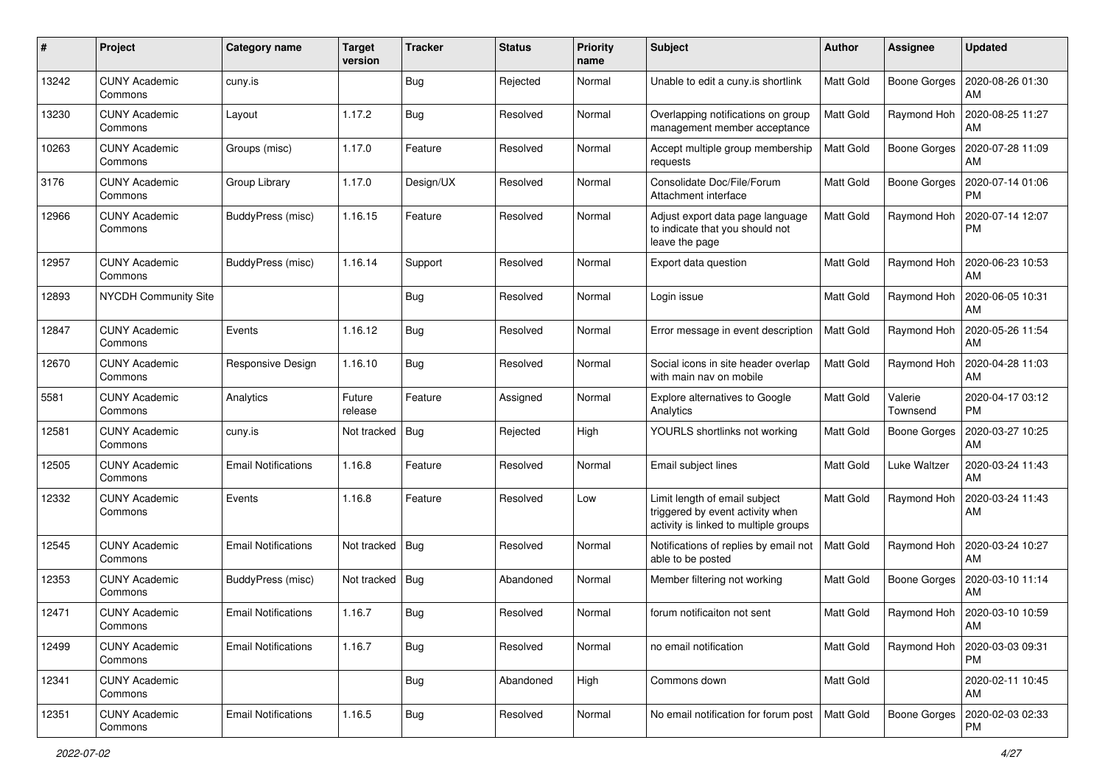| #     | Project                         | <b>Category name</b>       | <b>Target</b><br>version | <b>Tracker</b> | <b>Status</b> | <b>Priority</b><br>name | Subject                                                                                                    | Author           | <b>Assignee</b>     | <b>Updated</b>                |
|-------|---------------------------------|----------------------------|--------------------------|----------------|---------------|-------------------------|------------------------------------------------------------------------------------------------------------|------------------|---------------------|-------------------------------|
| 13242 | <b>CUNY Academic</b><br>Commons | cuny.is                    |                          | Bug            | Rejected      | Normal                  | Unable to edit a cuny is shortlink                                                                         | Matt Gold        | Boone Gorges        | 2020-08-26 01:30<br>AM        |
| 13230 | <b>CUNY Academic</b><br>Commons | Layout                     | 1.17.2                   | Bug            | Resolved      | Normal                  | Overlapping notifications on group<br>management member acceptance                                         | Matt Gold        | Raymond Hoh         | 2020-08-25 11:27<br>AM        |
| 10263 | <b>CUNY Academic</b><br>Commons | Groups (misc)              | 1.17.0                   | Feature        | Resolved      | Normal                  | Accept multiple group membership<br>requests                                                               | Matt Gold        | <b>Boone Gorges</b> | 2020-07-28 11:09<br>AM        |
| 3176  | <b>CUNY Academic</b><br>Commons | Group Library              | 1.17.0                   | Design/UX      | Resolved      | Normal                  | Consolidate Doc/File/Forum<br>Attachment interface                                                         | Matt Gold        | <b>Boone Gorges</b> | 2020-07-14 01:06<br><b>PM</b> |
| 12966 | <b>CUNY Academic</b><br>Commons | BuddyPress (misc)          | 1.16.15                  | Feature        | Resolved      | Normal                  | Adjust export data page language<br>to indicate that you should not<br>leave the page                      | Matt Gold        | Raymond Hoh         | 2020-07-14 12:07<br><b>PM</b> |
| 12957 | <b>CUNY Academic</b><br>Commons | BuddyPress (misc)          | 1.16.14                  | Support        | Resolved      | Normal                  | Export data question                                                                                       | Matt Gold        | Raymond Hoh         | 2020-06-23 10:53<br>AM        |
| 12893 | <b>NYCDH Community Site</b>     |                            |                          | Bug            | Resolved      | Normal                  | Login issue                                                                                                | Matt Gold        | Raymond Hoh         | 2020-06-05 10:31<br>AM        |
| 12847 | <b>CUNY Academic</b><br>Commons | Events                     | 1.16.12                  | Bug            | Resolved      | Normal                  | Error message in event description                                                                         | Matt Gold        | Raymond Hoh         | 2020-05-26 11:54<br>AM        |
| 12670 | <b>CUNY Academic</b><br>Commons | Responsive Design          | 1.16.10                  | <b>Bug</b>     | Resolved      | Normal                  | Social icons in site header overlap<br>with main nav on mobile                                             | Matt Gold        | Raymond Hoh         | 2020-04-28 11:03<br>AM        |
| 5581  | <b>CUNY Academic</b><br>Commons | Analytics                  | Future<br>release        | Feature        | Assigned      | Normal                  | Explore alternatives to Google<br>Analytics                                                                | Matt Gold        | Valerie<br>Townsend | 2020-04-17 03:12<br><b>PM</b> |
| 12581 | <b>CUNY Academic</b><br>Commons | cuny.is                    | Not tracked              | <b>Bug</b>     | Rejected      | High                    | YOURLS shortlinks not working                                                                              | Matt Gold        | <b>Boone Gorges</b> | 2020-03-27 10:25<br>AM        |
| 12505 | <b>CUNY Academic</b><br>Commons | <b>Email Notifications</b> | 1.16.8                   | Feature        | Resolved      | Normal                  | Email subject lines                                                                                        | Matt Gold        | Luke Waltzer        | 2020-03-24 11:43<br>AM        |
| 12332 | <b>CUNY Academic</b><br>Commons | Events                     | 1.16.8                   | Feature        | Resolved      | Low                     | Limit length of email subject<br>triggered by event activity when<br>activity is linked to multiple groups | Matt Gold        | Raymond Hoh         | 2020-03-24 11:43<br>AM        |
| 12545 | <b>CUNY Academic</b><br>Commons | <b>Email Notifications</b> | Not tracked              | Bug            | Resolved      | Normal                  | Notifications of replies by email not<br>able to be posted                                                 | <b>Matt Gold</b> | Raymond Hoh         | 2020-03-24 10:27<br>AM        |
| 12353 | <b>CUNY Academic</b><br>Commons | BuddyPress (misc)          | Not tracked              | Bug            | Abandoned     | Normal                  | Member filtering not working                                                                               | Matt Gold        | Boone Gorges        | 2020-03-10 11:14<br>AM        |
| 12471 | <b>CUNY Academic</b><br>Commons | <b>Email Notifications</b> | 1.16.7                   | Bug            | Resolved      | Normal                  | forum notificaiton not sent                                                                                | Matt Gold        | Raymond Hoh         | 2020-03-10 10:59<br>AM        |
| 12499 | <b>CUNY Academic</b><br>Commons | <b>Email Notifications</b> | 1.16.7                   | <b>Bug</b>     | Resolved      | Normal                  | no email notification                                                                                      | Matt Gold        | Raymond Hoh         | 2020-03-03 09:31<br>PM        |
| 12341 | <b>CUNY Academic</b><br>Commons |                            |                          | <b>Bug</b>     | Abandoned     | High                    | Commons down                                                                                               | Matt Gold        |                     | 2020-02-11 10:45<br>AM        |
| 12351 | <b>CUNY Academic</b><br>Commons | <b>Email Notifications</b> | 1.16.5                   | <b>Bug</b>     | Resolved      | Normal                  | No email notification for forum post                                                                       | Matt Gold        | <b>Boone Gorges</b> | 2020-02-03 02:33<br><b>PM</b> |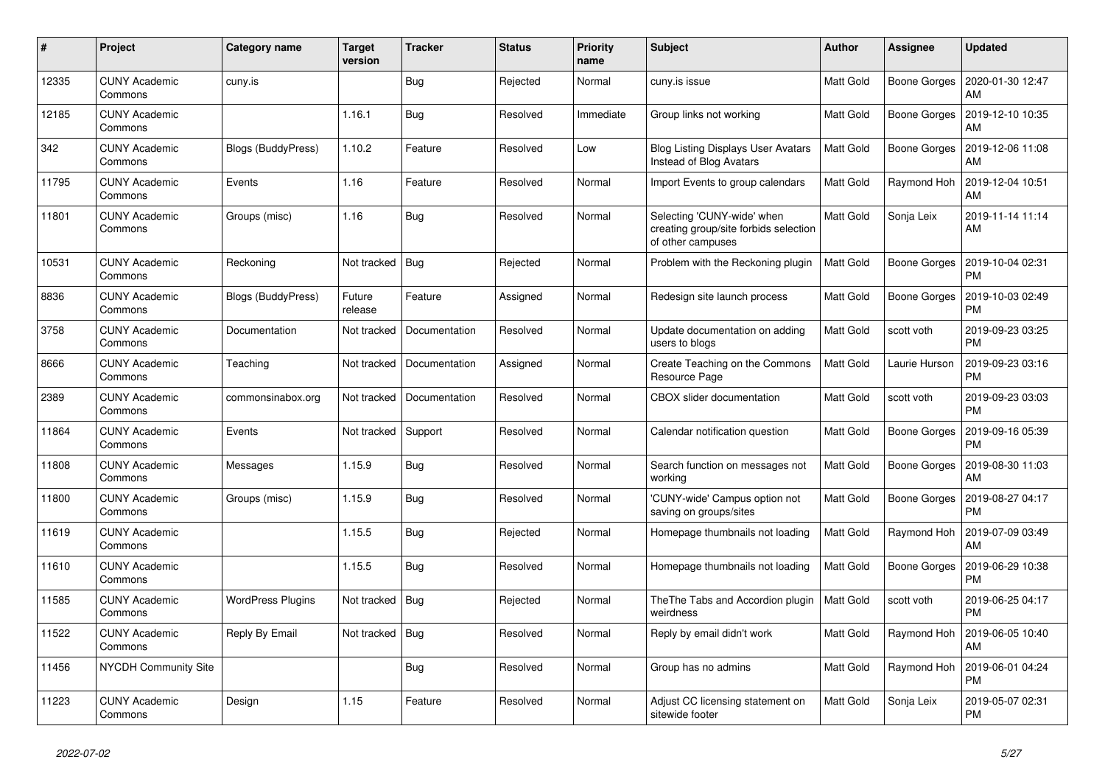| $\#$  | Project                         | Category name            | <b>Target</b><br>version | <b>Tracker</b> | <b>Status</b> | <b>Priority</b><br>name | <b>Subject</b>                                                                           | <b>Author</b>    | <b>Assignee</b> | <b>Updated</b>                |
|-------|---------------------------------|--------------------------|--------------------------|----------------|---------------|-------------------------|------------------------------------------------------------------------------------------|------------------|-----------------|-------------------------------|
| 12335 | <b>CUNY Academic</b><br>Commons | cuny.is                  |                          | <b>Bug</b>     | Rejected      | Normal                  | cuny.is issue                                                                            | Matt Gold        | Boone Gorges    | 2020-01-30 12:47<br>AM        |
| 12185 | <b>CUNY Academic</b><br>Commons |                          | 1.16.1                   | Bug            | Resolved      | Immediate               | Group links not working                                                                  | Matt Gold        | Boone Gorges    | 2019-12-10 10:35<br>AM        |
| 342   | <b>CUNY Academic</b><br>Commons | Blogs (BuddyPress)       | 1.10.2                   | Feature        | Resolved      | Low                     | <b>Blog Listing Displays User Avatars</b><br>Instead of Blog Avatars                     | Matt Gold        | Boone Gorges    | 2019-12-06 11:08<br>AM        |
| 11795 | <b>CUNY Academic</b><br>Commons | Events                   | 1.16                     | Feature        | Resolved      | Normal                  | Import Events to group calendars                                                         | Matt Gold        | Raymond Hoh     | 2019-12-04 10:51<br>AM        |
| 11801 | <b>CUNY Academic</b><br>Commons | Groups (misc)            | 1.16                     | <b>Bug</b>     | Resolved      | Normal                  | Selecting 'CUNY-wide' when<br>creating group/site forbids selection<br>of other campuses | Matt Gold        | Sonja Leix      | 2019-11-14 11:14<br>AM        |
| 10531 | <b>CUNY Academic</b><br>Commons | Reckoning                | Not tracked              | Bug            | Rejected      | Normal                  | Problem with the Reckoning plugin                                                        | <b>Matt Gold</b> | Boone Gorges    | 2019-10-04 02:31<br><b>PM</b> |
| 8836  | <b>CUNY Academic</b><br>Commons | Blogs (BuddyPress)       | Future<br>release        | Feature        | Assigned      | Normal                  | Redesign site launch process                                                             | Matt Gold        | Boone Gorges    | 2019-10-03 02:49<br><b>PM</b> |
| 3758  | <b>CUNY Academic</b><br>Commons | Documentation            | Not tracked              | Documentation  | Resolved      | Normal                  | Update documentation on adding<br>users to blogs                                         | <b>Matt Gold</b> | scott voth      | 2019-09-23 03:25<br><b>PM</b> |
| 8666  | <b>CUNY Academic</b><br>Commons | Teaching                 | Not tracked              | Documentation  | Assigned      | Normal                  | Create Teaching on the Commons<br>Resource Page                                          | Matt Gold        | Laurie Hurson   | 2019-09-23 03:16<br><b>PM</b> |
| 2389  | <b>CUNY Academic</b><br>Commons | commonsinabox.org        | Not tracked              | Documentation  | Resolved      | Normal                  | <b>CBOX</b> slider documentation                                                         | Matt Gold        | scott voth      | 2019-09-23 03:03<br><b>PM</b> |
| 11864 | <b>CUNY Academic</b><br>Commons | Events                   | Not tracked              | Support        | Resolved      | Normal                  | Calendar notification question                                                           | Matt Gold        | Boone Gorges    | 2019-09-16 05:39<br><b>PM</b> |
| 11808 | <b>CUNY Academic</b><br>Commons | Messages                 | 1.15.9                   | Bug            | Resolved      | Normal                  | Search function on messages not<br>working                                               | Matt Gold        | Boone Gorges    | 2019-08-30 11:03<br>AM        |
| 11800 | <b>CUNY Academic</b><br>Commons | Groups (misc)            | 1.15.9                   | <b>Bug</b>     | Resolved      | Normal                  | 'CUNY-wide' Campus option not<br>saving on groups/sites                                  | Matt Gold        | Boone Gorges    | 2019-08-27 04:17<br><b>PM</b> |
| 11619 | <b>CUNY Academic</b><br>Commons |                          | 1.15.5                   | <b>Bug</b>     | Rejected      | Normal                  | Homepage thumbnails not loading                                                          | Matt Gold        | Raymond Hoh     | 2019-07-09 03:49<br>AM        |
| 11610 | <b>CUNY Academic</b><br>Commons |                          | 1.15.5                   | <b>Bug</b>     | Resolved      | Normal                  | Homepage thumbnails not loading                                                          | <b>Matt Gold</b> | Boone Gorges    | 2019-06-29 10:38<br><b>PM</b> |
| 11585 | <b>CUNY Academic</b><br>Commons | <b>WordPress Plugins</b> | Not tracked              | <b>Bug</b>     | Rejected      | Normal                  | The The Tabs and Accordion plugin<br>weirdness                                           | <b>Matt Gold</b> | scott voth      | 2019-06-25 04:17<br><b>PM</b> |
| 11522 | <b>CUNY Academic</b><br>Commons | Reply By Email           | Not tracked              | Bug            | Resolved      | Normal                  | Reply by email didn't work                                                               | Matt Gold        | Raymond Hoh     | 2019-06-05 10:40<br>AM        |
| 11456 | <b>NYCDH Community Site</b>     |                          |                          | Bug            | Resolved      | Normal                  | Group has no admins                                                                      | Matt Gold        | Raymond Hoh     | 2019-06-01 04:24<br><b>PM</b> |
| 11223 | <b>CUNY Academic</b><br>Commons | Design                   | 1.15                     | Feature        | Resolved      | Normal                  | Adjust CC licensing statement on<br>sitewide footer                                      | Matt Gold        | Sonja Leix      | 2019-05-07 02:31<br><b>PM</b> |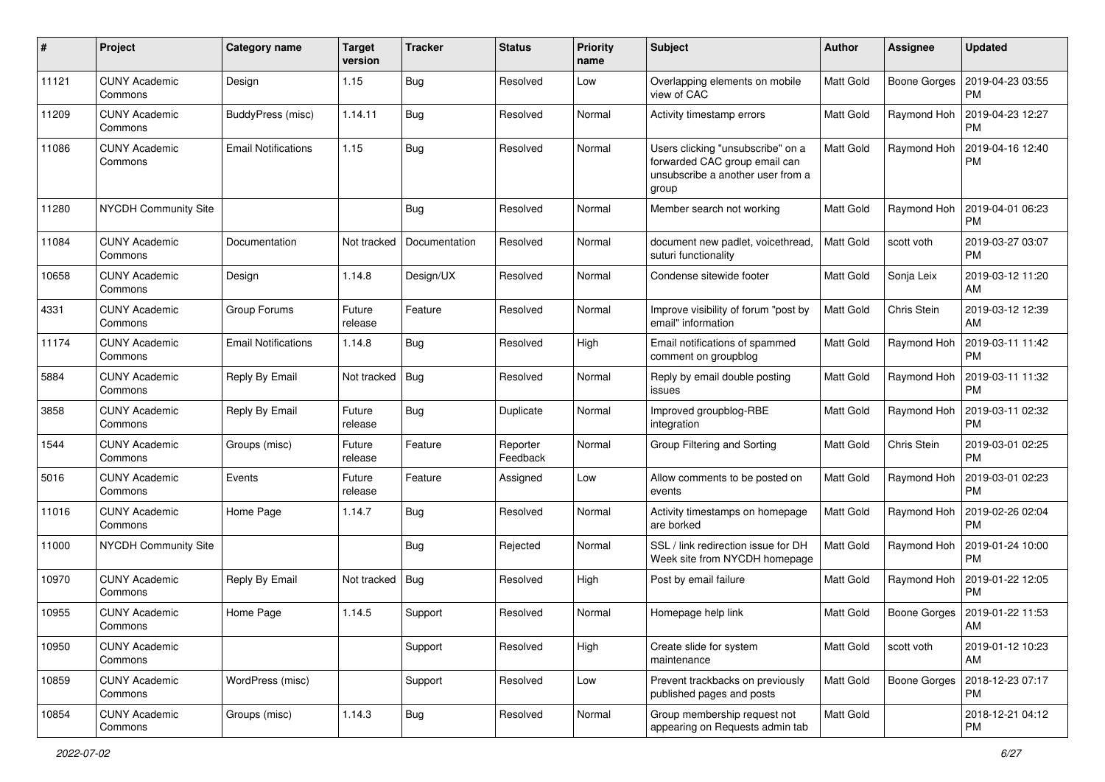| #     | Project                         | Category name              | <b>Target</b><br>version | <b>Tracker</b> | <b>Status</b>        | <b>Priority</b><br>name | <b>Subject</b>                                                                                                   | Author           | Assignee     | <b>Updated</b>                |
|-------|---------------------------------|----------------------------|--------------------------|----------------|----------------------|-------------------------|------------------------------------------------------------------------------------------------------------------|------------------|--------------|-------------------------------|
| 11121 | <b>CUNY Academic</b><br>Commons | Design                     | 1.15                     | <b>Bug</b>     | Resolved             | Low                     | Overlapping elements on mobile<br>view of CAC                                                                    | <b>Matt Gold</b> | Boone Gorges | 2019-04-23 03:55<br><b>PM</b> |
| 11209 | <b>CUNY Academic</b><br>Commons | BuddyPress (misc)          | 1.14.11                  | <b>Bug</b>     | Resolved             | Normal                  | Activity timestamp errors                                                                                        | Matt Gold        | Raymond Hoh  | 2019-04-23 12:27<br><b>PM</b> |
| 11086 | <b>CUNY Academic</b><br>Commons | <b>Email Notifications</b> | 1.15                     | Bug            | Resolved             | Normal                  | Users clicking "unsubscribe" on a<br>forwarded CAC group email can<br>unsubscribe a another user from a<br>group | Matt Gold        | Raymond Hoh  | 2019-04-16 12:40<br><b>PM</b> |
| 11280 | <b>NYCDH Community Site</b>     |                            |                          | Bug            | Resolved             | Normal                  | Member search not working                                                                                        | <b>Matt Gold</b> | Raymond Hoh  | 2019-04-01 06:23<br><b>PM</b> |
| 11084 | <b>CUNY Academic</b><br>Commons | Documentation              | Not tracked              | Documentation  | Resolved             | Normal                  | document new padlet, voicethread,<br>suturi functionality                                                        | Matt Gold        | scott voth   | 2019-03-27 03:07<br><b>PM</b> |
| 10658 | <b>CUNY Academic</b><br>Commons | Design                     | 1.14.8                   | Design/UX      | Resolved             | Normal                  | Condense sitewide footer                                                                                         | Matt Gold        | Sonja Leix   | 2019-03-12 11:20<br>AM        |
| 4331  | <b>CUNY Academic</b><br>Commons | Group Forums               | Future<br>release        | Feature        | Resolved             | Normal                  | Improve visibility of forum "post by<br>email" information                                                       | Matt Gold        | Chris Stein  | 2019-03-12 12:39<br>AM        |
| 11174 | <b>CUNY Academic</b><br>Commons | <b>Email Notifications</b> | 1.14.8                   | Bug            | Resolved             | High                    | Email notifications of spammed<br>comment on groupblog                                                           | Matt Gold        | Raymond Hoh  | 2019-03-11 11:42<br><b>PM</b> |
| 5884  | <b>CUNY Academic</b><br>Commons | Reply By Email             | Not tracked              | Bug            | Resolved             | Normal                  | Reply by email double posting<br>issues                                                                          | Matt Gold        | Raymond Hoh  | 2019-03-11 11:32<br><b>PM</b> |
| 3858  | <b>CUNY Academic</b><br>Commons | Reply By Email             | Future<br>release        | Bug            | Duplicate            | Normal                  | Improved groupblog-RBE<br>integration                                                                            | Matt Gold        | Raymond Hoh  | 2019-03-11 02:32<br><b>PM</b> |
| 1544  | <b>CUNY Academic</b><br>Commons | Groups (misc)              | Future<br>release        | Feature        | Reporter<br>Feedback | Normal                  | Group Filtering and Sorting                                                                                      | Matt Gold        | Chris Stein  | 2019-03-01 02:25<br><b>PM</b> |
| 5016  | <b>CUNY Academic</b><br>Commons | Events                     | Future<br>release        | Feature        | Assigned             | Low                     | Allow comments to be posted on<br>events                                                                         | Matt Gold        | Raymond Hoh  | 2019-03-01 02:23<br><b>PM</b> |
| 11016 | <b>CUNY Academic</b><br>Commons | Home Page                  | 1.14.7                   | Bug            | Resolved             | Normal                  | Activity timestamps on homepage<br>are borked                                                                    | Matt Gold        | Raymond Hoh  | 2019-02-26 02:04<br><b>PM</b> |
| 11000 | <b>NYCDH Community Site</b>     |                            |                          | Bug            | Rejected             | Normal                  | SSL / link redirection issue for DH<br>Week site from NYCDH homepage                                             | Matt Gold        | Raymond Hoh  | 2019-01-24 10:00<br><b>PM</b> |
| 10970 | <b>CUNY Academic</b><br>Commons | Reply By Email             | Not tracked              | Bug            | Resolved             | High                    | Post by email failure                                                                                            | Matt Gold        | Raymond Hoh  | 2019-01-22 12:05<br><b>PM</b> |
| 10955 | <b>CUNY Academic</b><br>Commons | Home Page                  | 1.14.5                   | Support        | Resolved             | Normal                  | Homepage help link                                                                                               | Matt Gold        | Boone Gorges | 2019-01-22 11:53<br>AM        |
| 10950 | <b>CUNY Academic</b><br>Commons |                            |                          | Support        | Resolved             | High                    | Create slide for system<br>maintenance                                                                           | Matt Gold        | scott voth   | 2019-01-12 10:23<br>AM        |
| 10859 | <b>CUNY Academic</b><br>Commons | WordPress (misc)           |                          | Support        | Resolved             | Low                     | Prevent trackbacks on previously<br>published pages and posts                                                    | <b>Matt Gold</b> | Boone Gorges | 2018-12-23 07:17<br><b>PM</b> |
| 10854 | <b>CUNY Academic</b><br>Commons | Groups (misc)              | 1.14.3                   | Bug            | Resolved             | Normal                  | Group membership request not<br>appearing on Requests admin tab                                                  | Matt Gold        |              | 2018-12-21 04:12<br><b>PM</b> |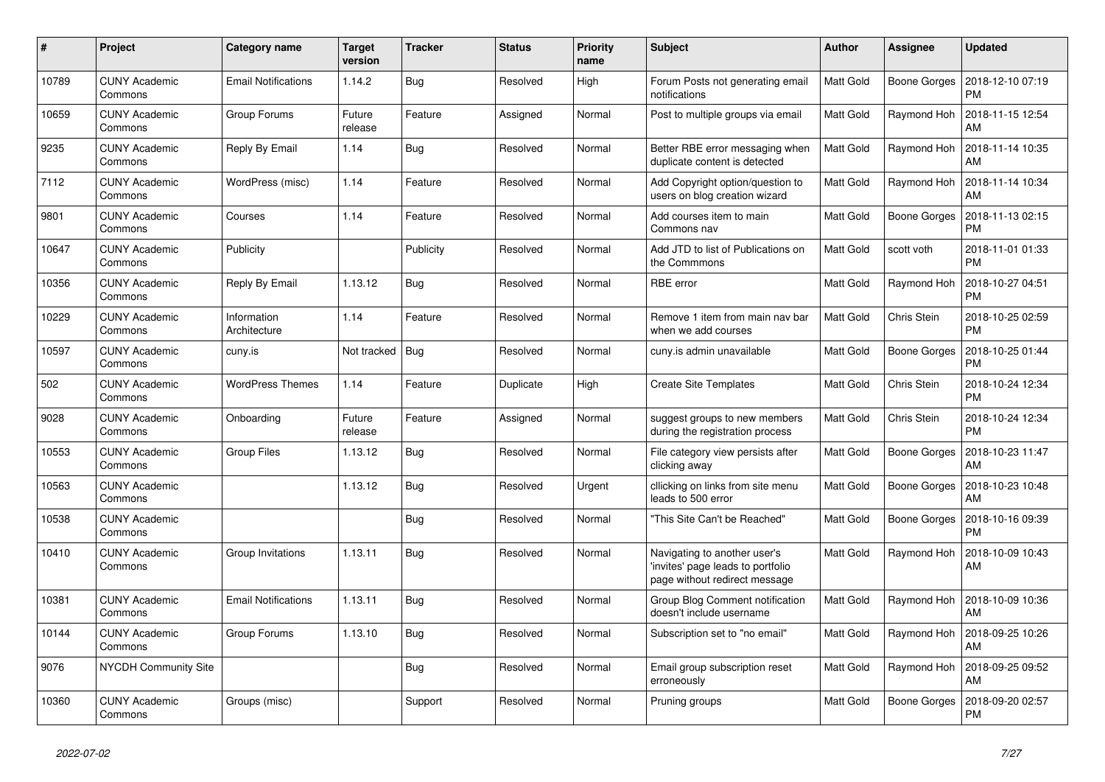| #     | Project                         | Category name               | <b>Target</b><br>version | <b>Tracker</b> | <b>Status</b> | <b>Priority</b><br>name | <b>Subject</b>                                                                                     | Author    | Assignee            | <b>Updated</b>                |
|-------|---------------------------------|-----------------------------|--------------------------|----------------|---------------|-------------------------|----------------------------------------------------------------------------------------------------|-----------|---------------------|-------------------------------|
| 10789 | <b>CUNY Academic</b><br>Commons | <b>Email Notifications</b>  | 1.14.2                   | Bug            | Resolved      | High                    | Forum Posts not generating email<br>notifications                                                  | Matt Gold | Boone Gorges        | 2018-12-10 07:19<br><b>PM</b> |
| 10659 | <b>CUNY Academic</b><br>Commons | Group Forums                | Future<br>release        | Feature        | Assigned      | Normal                  | Post to multiple groups via email                                                                  | Matt Gold | Raymond Hoh         | 2018-11-15 12:54<br>AM        |
| 9235  | <b>CUNY Academic</b><br>Commons | Reply By Email              | 1.14                     | Bug            | Resolved      | Normal                  | Better RBE error messaging when<br>duplicate content is detected                                   | Matt Gold | Raymond Hoh         | 2018-11-14 10:35<br>AM        |
| 7112  | <b>CUNY Academic</b><br>Commons | WordPress (misc)            | 1.14                     | Feature        | Resolved      | Normal                  | Add Copyright option/question to<br>users on blog creation wizard                                  | Matt Gold | Raymond Hoh         | 2018-11-14 10:34<br>AM        |
| 9801  | <b>CUNY Academic</b><br>Commons | Courses                     | 1.14                     | Feature        | Resolved      | Normal                  | Add courses item to main<br>Commons nav                                                            | Matt Gold | <b>Boone Gorges</b> | 2018-11-13 02:15<br><b>PM</b> |
| 10647 | <b>CUNY Academic</b><br>Commons | Publicity                   |                          | Publicity      | Resolved      | Normal                  | Add JTD to list of Publications on<br>the Commmons                                                 | Matt Gold | scott voth          | 2018-11-01 01:33<br><b>PM</b> |
| 10356 | <b>CUNY Academic</b><br>Commons | Reply By Email              | 1.13.12                  | Bug            | Resolved      | Normal                  | <b>RBE</b> error                                                                                   | Matt Gold | Raymond Hoh         | 2018-10-27 04:51<br><b>PM</b> |
| 10229 | <b>CUNY Academic</b><br>Commons | Information<br>Architecture | 1.14                     | Feature        | Resolved      | Normal                  | Remove 1 item from main nav bar<br>when we add courses                                             | Matt Gold | Chris Stein         | 2018-10-25 02:59<br><b>PM</b> |
| 10597 | <b>CUNY Academic</b><br>Commons | cuny.is                     | Not tracked              | <b>Bug</b>     | Resolved      | Normal                  | cuny.is admin unavailable                                                                          | Matt Gold | <b>Boone Gorges</b> | 2018-10-25 01:44<br><b>PM</b> |
| 502   | <b>CUNY Academic</b><br>Commons | <b>WordPress Themes</b>     | 1.14                     | Feature        | Duplicate     | High                    | <b>Create Site Templates</b>                                                                       | Matt Gold | Chris Stein         | 2018-10-24 12:34<br><b>PM</b> |
| 9028  | <b>CUNY Academic</b><br>Commons | Onboarding                  | Future<br>release        | Feature        | Assigned      | Normal                  | suggest groups to new members<br>during the registration process                                   | Matt Gold | Chris Stein         | 2018-10-24 12:34<br><b>PM</b> |
| 10553 | <b>CUNY Academic</b><br>Commons | <b>Group Files</b>          | 1.13.12                  | Bug            | Resolved      | Normal                  | File category view persists after<br>clicking away                                                 | Matt Gold | Boone Gorges        | 2018-10-23 11:47<br>AM        |
| 10563 | <b>CUNY Academic</b><br>Commons |                             | 1.13.12                  | <b>Bug</b>     | Resolved      | Urgent                  | cllicking on links from site menu<br>leads to 500 error                                            | Matt Gold | Boone Gorges        | 2018-10-23 10:48<br>AM        |
| 10538 | <b>CUNY Academic</b><br>Commons |                             |                          | Bug            | Resolved      | Normal                  | "This Site Can't be Reached"                                                                       | Matt Gold | Boone Gorges        | 2018-10-16 09:39<br><b>PM</b> |
| 10410 | <b>CUNY Academic</b><br>Commons | Group Invitations           | 1.13.11                  | <b>Bug</b>     | Resolved      | Normal                  | Navigating to another user's<br>'invites' page leads to portfolio<br>page without redirect message | Matt Gold | Raymond Hoh         | 2018-10-09 10:43<br>AM        |
| 10381 | <b>CUNY Academic</b><br>Commons | <b>Email Notifications</b>  | 1.13.11                  | Bug            | Resolved      | Normal                  | Group Blog Comment notification<br>doesn't include username                                        | Matt Gold | Raymond Hoh         | 2018-10-09 10:36<br>AM        |
| 10144 | <b>CUNY Academic</b><br>Commons | Group Forums                | 1.13.10                  | <b>Bug</b>     | Resolved      | Normal                  | Subscription set to "no email"                                                                     | Matt Gold | Raymond Hoh         | 2018-09-25 10:26<br>AM        |
| 9076  | <b>NYCDH Community Site</b>     |                             |                          | Bug            | Resolved      | Normal                  | Email group subscription reset<br>erroneously                                                      | Matt Gold | Raymond Hoh         | 2018-09-25 09:52<br>AM        |
| 10360 | <b>CUNY Academic</b><br>Commons | Groups (misc)               |                          | Support        | Resolved      | Normal                  | Pruning groups                                                                                     | Matt Gold | Boone Gorges        | 2018-09-20 02:57<br><b>PM</b> |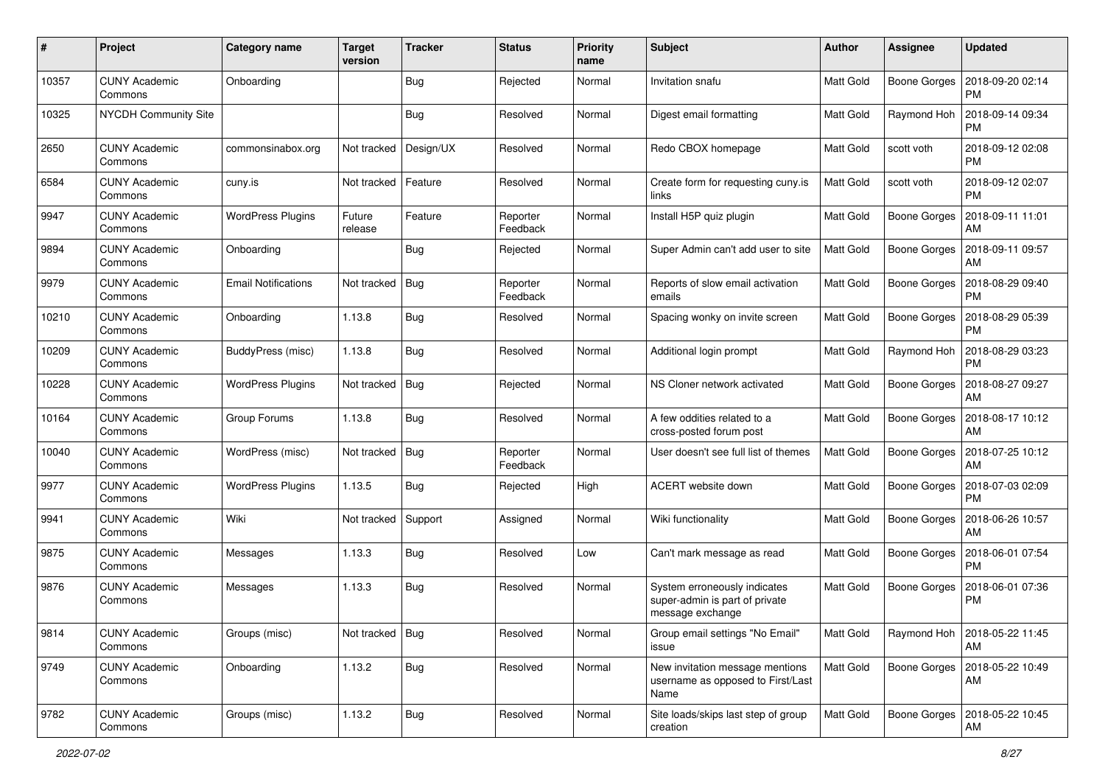| #     | Project                         | <b>Category name</b>       | <b>Target</b><br>version | <b>Tracker</b> | <b>Status</b>        | <b>Priority</b><br>name | Subject                                                                            | Author           | Assignee            | <b>Updated</b>                       |
|-------|---------------------------------|----------------------------|--------------------------|----------------|----------------------|-------------------------|------------------------------------------------------------------------------------|------------------|---------------------|--------------------------------------|
| 10357 | <b>CUNY Academic</b><br>Commons | Onboarding                 |                          | Bug            | Rejected             | Normal                  | Invitation snafu                                                                   | Matt Gold        | <b>Boone Gorges</b> | 2018-09-20 02:14<br><b>PM</b>        |
| 10325 | NYCDH Community Site            |                            |                          | Bug            | Resolved             | Normal                  | Digest email formatting                                                            | Matt Gold        | Raymond Hoh         | 2018-09-14 09:34<br><b>PM</b>        |
| 2650  | <b>CUNY Academic</b><br>Commons | commonsinabox.org          | Not tracked              | Design/UX      | Resolved             | Normal                  | Redo CBOX homepage                                                                 | Matt Gold        | scott voth          | 2018-09-12 02:08<br><b>PM</b>        |
| 6584  | <b>CUNY Academic</b><br>Commons | cuny.is                    | Not tracked              | Feature        | Resolved             | Normal                  | Create form for requesting cuny.is<br>links                                        | Matt Gold        | scott voth          | 2018-09-12 02:07<br><b>PM</b>        |
| 9947  | <b>CUNY Academic</b><br>Commons | <b>WordPress Plugins</b>   | Future<br>release        | Feature        | Reporter<br>Feedback | Normal                  | Install H5P quiz plugin                                                            | Matt Gold        | Boone Gorges        | 2018-09-11 11:01<br>AM               |
| 9894  | <b>CUNY Academic</b><br>Commons | Onboarding                 |                          | Bug            | Rejected             | Normal                  | Super Admin can't add user to site                                                 | Matt Gold        | <b>Boone Gorges</b> | 2018-09-11 09:57<br>AM               |
| 9979  | <b>CUNY Academic</b><br>Commons | <b>Email Notifications</b> | Not tracked              | Bug            | Reporter<br>Feedback | Normal                  | Reports of slow email activation<br>emails                                         | Matt Gold        | <b>Boone Gorges</b> | 2018-08-29 09:40<br><b>PM</b>        |
| 10210 | <b>CUNY Academic</b><br>Commons | Onboarding                 | 1.13.8                   | Bug            | Resolved             | Normal                  | Spacing wonky on invite screen                                                     | Matt Gold        | <b>Boone Gorges</b> | 2018-08-29 05:39<br>РM               |
| 10209 | <b>CUNY Academic</b><br>Commons | BuddyPress (misc)          | 1.13.8                   | Bug            | Resolved             | Normal                  | Additional login prompt                                                            | Matt Gold        | Raymond Hoh         | 2018-08-29 03:23<br><b>PM</b>        |
| 10228 | <b>CUNY Academic</b><br>Commons | <b>WordPress Plugins</b>   | Not tracked              | <b>Bug</b>     | Rejected             | Normal                  | NS Cloner network activated                                                        | Matt Gold        | <b>Boone Gorges</b> | 2018-08-27 09:27<br>AM               |
| 10164 | <b>CUNY Academic</b><br>Commons | Group Forums               | 1.13.8                   | Bug            | Resolved             | Normal                  | A few oddities related to a<br>cross-posted forum post                             | <b>Matt Gold</b> | <b>Boone Gorges</b> | 2018-08-17 10:12<br>AM               |
| 10040 | <b>CUNY Academic</b><br>Commons | WordPress (misc)           | Not tracked              | <b>Bug</b>     | Reporter<br>Feedback | Normal                  | User doesn't see full list of themes                                               | Matt Gold        | Boone Gorges        | 2018-07-25 10:12<br>AM               |
| 9977  | <b>CUNY Academic</b><br>Commons | <b>WordPress Plugins</b>   | 1.13.5                   | Bug            | Rejected             | High                    | ACERT website down                                                                 | Matt Gold        | <b>Boone Gorges</b> | 2018-07-03 02:09<br><b>PM</b>        |
| 9941  | <b>CUNY Academic</b><br>Commons | Wiki                       | Not tracked              | Support        | Assigned             | Normal                  | Wiki functionality                                                                 | Matt Gold        | Boone Gorges        | 2018-06-26 10:57<br>AM               |
| 9875  | <b>CUNY Academic</b><br>Commons | Messages                   | 1.13.3                   | Bug            | Resolved             | Low                     | Can't mark message as read                                                         | Matt Gold        | <b>Boone Gorges</b> | 2018-06-01 07:54<br><b>PM</b>        |
| 9876  | <b>CUNY Academic</b><br>Commons | Messages                   | 1.13.3                   | Bug            | Resolved             | Normal                  | System erroneously indicates<br>super-admin is part of private<br>message exchange | Matt Gold        | Boone Gorges        | 2018-06-01 07:36<br><b>PM</b>        |
| 9814  | <b>CUNY Academic</b><br>Commons | Groups (misc)              | Not tracked   Bug        |                | Resolved             | Normal                  | Group email settings "No Email"<br>issue                                           | <b>Matt Gold</b> |                     | Raymond Hoh   2018-05-22 11:45<br>AM |
| 9749  | <b>CUNY Academic</b><br>Commons | Onboarding                 | 1.13.2                   | <b>Bug</b>     | Resolved             | Normal                  | New invitation message mentions<br>username as opposed to First/Last<br>Name       | Matt Gold        | <b>Boone Gorges</b> | 2018-05-22 10:49<br>AM               |
| 9782  | <b>CUNY Academic</b><br>Commons | Groups (misc)              | 1.13.2                   | <b>Bug</b>     | Resolved             | Normal                  | Site loads/skips last step of group<br>creation                                    | Matt Gold        | Boone Gorges        | 2018-05-22 10:45<br>AM               |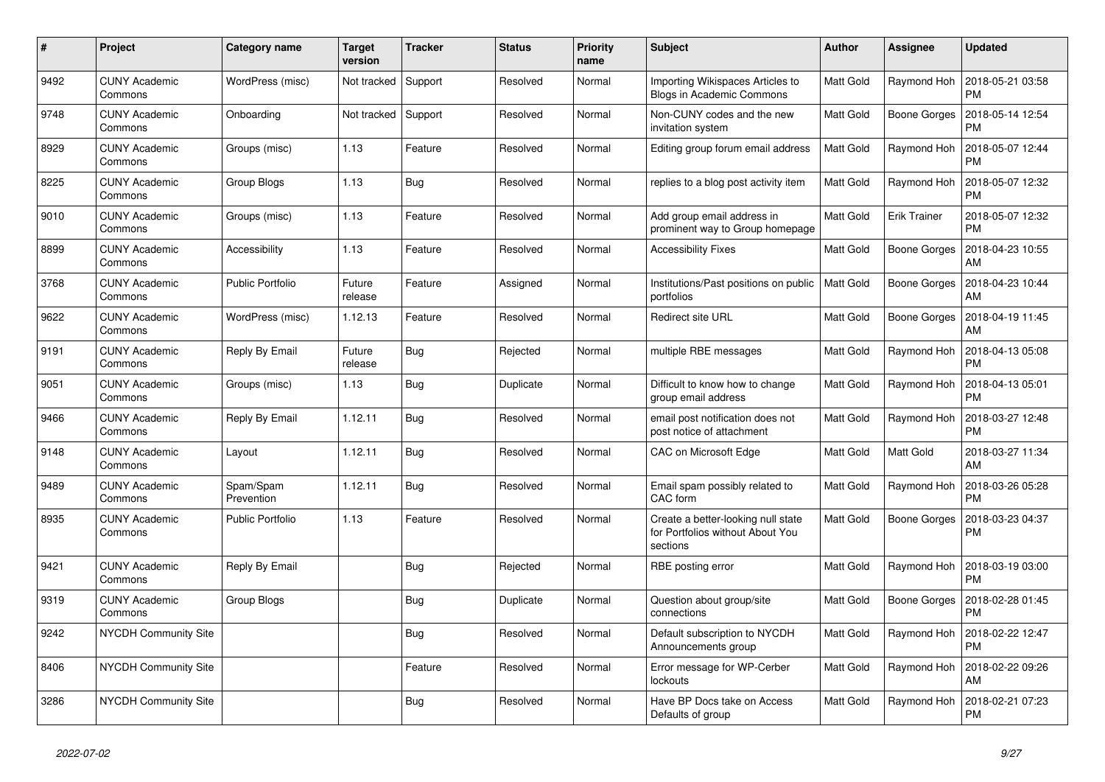| #    | Project                         | Category name           | <b>Target</b><br>version | <b>Tracker</b> | <b>Status</b> | <b>Priority</b><br>name | <b>Subject</b>                                                                     | Author    | Assignee            | <b>Updated</b>                |
|------|---------------------------------|-------------------------|--------------------------|----------------|---------------|-------------------------|------------------------------------------------------------------------------------|-----------|---------------------|-------------------------------|
| 9492 | <b>CUNY Academic</b><br>Commons | WordPress (misc)        | Not tracked              | Support        | Resolved      | Normal                  | Importing Wikispaces Articles to<br>Blogs in Academic Commons                      | Matt Gold | Raymond Hoh         | 2018-05-21 03:58<br><b>PM</b> |
| 9748 | <b>CUNY Academic</b><br>Commons | Onboarding              | Not tracked              | Support        | Resolved      | Normal                  | Non-CUNY codes and the new<br>invitation system                                    | Matt Gold | Boone Gorges        | 2018-05-14 12:54<br><b>PM</b> |
| 8929 | <b>CUNY Academic</b><br>Commons | Groups (misc)           | 1.13                     | Feature        | Resolved      | Normal                  | Editing group forum email address                                                  | Matt Gold | Raymond Hoh         | 2018-05-07 12:44<br><b>PM</b> |
| 8225 | <b>CUNY Academic</b><br>Commons | Group Blogs             | 1.13                     | Bug            | Resolved      | Normal                  | replies to a blog post activity item                                               | Matt Gold | Raymond Hoh         | 2018-05-07 12:32<br><b>PM</b> |
| 9010 | <b>CUNY Academic</b><br>Commons | Groups (misc)           | 1.13                     | Feature        | Resolved      | Normal                  | Add group email address in<br>prominent way to Group homepage                      | Matt Gold | <b>Erik Trainer</b> | 2018-05-07 12:32<br><b>PM</b> |
| 8899 | <b>CUNY Academic</b><br>Commons | Accessibility           | 1.13                     | Feature        | Resolved      | Normal                  | <b>Accessibility Fixes</b>                                                         | Matt Gold | Boone Gorges        | 2018-04-23 10:55<br>AM        |
| 3768 | <b>CUNY Academic</b><br>Commons | <b>Public Portfolio</b> | Future<br>release        | Feature        | Assigned      | Normal                  | Institutions/Past positions on public<br>portfolios                                | Matt Gold | Boone Gorges        | 2018-04-23 10:44<br>AM        |
| 9622 | <b>CUNY Academic</b><br>Commons | WordPress (misc)        | 1.12.13                  | Feature        | Resolved      | Normal                  | <b>Redirect site URL</b>                                                           | Matt Gold | Boone Gorges        | 2018-04-19 11:45<br><b>AM</b> |
| 9191 | <b>CUNY Academic</b><br>Commons | Reply By Email          | Future<br>release        | Bug            | Rejected      | Normal                  | multiple RBE messages                                                              | Matt Gold | Raymond Hoh         | 2018-04-13 05:08<br><b>PM</b> |
| 9051 | <b>CUNY Academic</b><br>Commons | Groups (misc)           | 1.13                     | Bug            | Duplicate     | Normal                  | Difficult to know how to change<br>group email address                             | Matt Gold | Raymond Hoh         | 2018-04-13 05:01<br><b>PM</b> |
| 9466 | <b>CUNY Academic</b><br>Commons | Reply By Email          | 1.12.11                  | <b>Bug</b>     | Resolved      | Normal                  | email post notification does not<br>post notice of attachment                      | Matt Gold | Raymond Hoh         | 2018-03-27 12:48<br><b>PM</b> |
| 9148 | <b>CUNY Academic</b><br>Commons | Layout                  | 1.12.11                  | Bug            | Resolved      | Normal                  | <b>CAC on Microsoft Edge</b>                                                       | Matt Gold | Matt Gold           | 2018-03-27 11:34<br>AM        |
| 9489 | <b>CUNY Academic</b><br>Commons | Spam/Spam<br>Prevention | 1.12.11                  | Bug            | Resolved      | Normal                  | Email spam possibly related to<br>CAC form                                         | Matt Gold | Raymond Hoh         | 2018-03-26 05:28<br><b>PM</b> |
| 8935 | <b>CUNY Academic</b><br>Commons | Public Portfolio        | 1.13                     | Feature        | Resolved      | Normal                  | Create a better-looking null state<br>for Portfolios without About You<br>sections | Matt Gold | Boone Gorges        | 2018-03-23 04:37<br><b>PM</b> |
| 9421 | <b>CUNY Academic</b><br>Commons | Reply By Email          |                          | <b>Bug</b>     | Rejected      | Normal                  | RBE posting error                                                                  | Matt Gold | Raymond Hoh         | 2018-03-19 03:00<br><b>PM</b> |
| 9319 | <b>CUNY Academic</b><br>Commons | Group Blogs             |                          | <b>Bug</b>     | Duplicate     | Normal                  | Question about group/site<br>connections                                           | Matt Gold | <b>Boone Gorges</b> | 2018-02-28 01:45<br><b>PM</b> |
| 9242 | NYCDH Community Site            |                         |                          | Bug            | Resolved      | Normal                  | Default subscription to NYCDH<br>Announcements group                               | Matt Gold | Raymond Hoh         | 2018-02-22 12:47<br><b>PM</b> |
| 8406 | NYCDH Community Site            |                         |                          | Feature        | Resolved      | Normal                  | Error message for WP-Cerber<br>lockouts                                            | Matt Gold | Raymond Hoh         | 2018-02-22 09:26<br>AM        |
| 3286 | <b>NYCDH Community Site</b>     |                         |                          | <b>Bug</b>     | Resolved      | Normal                  | Have BP Docs take on Access<br>Defaults of group                                   | Matt Gold | Raymond Hoh         | 2018-02-21 07:23<br><b>PM</b> |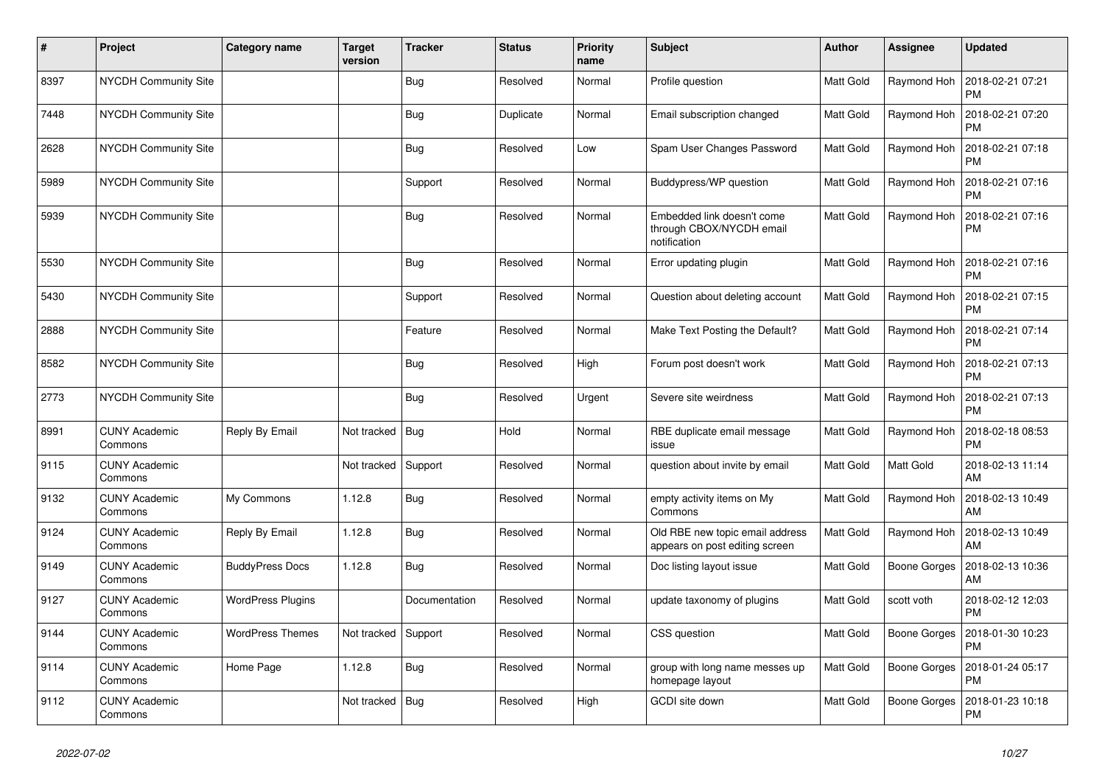| $\vert$ # | Project                         | Category name            | <b>Target</b><br>version | <b>Tracker</b> | <b>Status</b> | <b>Priority</b><br>name | <b>Subject</b>                                                         | <b>Author</b> | <b>Assignee</b> | <b>Updated</b>                |
|-----------|---------------------------------|--------------------------|--------------------------|----------------|---------------|-------------------------|------------------------------------------------------------------------|---------------|-----------------|-------------------------------|
| 8397      | <b>NYCDH Community Site</b>     |                          |                          | Bug            | Resolved      | Normal                  | Profile question                                                       | Matt Gold     | Raymond Hoh     | 2018-02-21 07:21<br><b>PM</b> |
| 7448      | <b>NYCDH Community Site</b>     |                          |                          | Bug            | Duplicate     | Normal                  | Email subscription changed                                             | Matt Gold     | Raymond Hoh     | 2018-02-21 07:20<br><b>PM</b> |
| 2628      | <b>NYCDH Community Site</b>     |                          |                          | Bug            | Resolved      | Low                     | Spam User Changes Password                                             | Matt Gold     | Raymond Hoh     | 2018-02-21 07:18<br><b>PM</b> |
| 5989      | <b>NYCDH Community Site</b>     |                          |                          | Support        | Resolved      | Normal                  | Buddypress/WP question                                                 | Matt Gold     | Raymond Hoh     | 2018-02-21 07:16<br><b>PM</b> |
| 5939      | <b>NYCDH Community Site</b>     |                          |                          | Bug            | Resolved      | Normal                  | Embedded link doesn't come<br>through CBOX/NYCDH email<br>notification | Matt Gold     | Raymond Hoh     | 2018-02-21 07:16<br><b>PM</b> |
| 5530      | <b>NYCDH Community Site</b>     |                          |                          | Bug            | Resolved      | Normal                  | Error updating plugin                                                  | Matt Gold     | Raymond Hoh     | 2018-02-21 07:16<br><b>PM</b> |
| 5430      | <b>NYCDH Community Site</b>     |                          |                          | Support        | Resolved      | Normal                  | Question about deleting account                                        | Matt Gold     | Raymond Hoh     | 2018-02-21 07:15<br><b>PM</b> |
| 2888      | <b>NYCDH Community Site</b>     |                          |                          | Feature        | Resolved      | Normal                  | Make Text Posting the Default?                                         | Matt Gold     | Raymond Hoh     | 2018-02-21 07:14<br><b>PM</b> |
| 8582      | <b>NYCDH Community Site</b>     |                          |                          | <b>Bug</b>     | Resolved      | High                    | Forum post doesn't work                                                | Matt Gold     | Raymond Hoh     | 2018-02-21 07:13<br>PM        |
| 2773      | <b>NYCDH Community Site</b>     |                          |                          | <b>Bug</b>     | Resolved      | Urgent                  | Severe site weirdness                                                  | Matt Gold     | Raymond Hoh     | 2018-02-21 07:13<br><b>PM</b> |
| 8991      | <b>CUNY Academic</b><br>Commons | Reply By Email           | Not tracked              | Bug            | Hold          | Normal                  | RBE duplicate email message<br>issue                                   | Matt Gold     | Raymond Hoh     | 2018-02-18 08:53<br><b>PM</b> |
| 9115      | <b>CUNY Academic</b><br>Commons |                          | Not tracked              | Support        | Resolved      | Normal                  | question about invite by email                                         | Matt Gold     | Matt Gold       | 2018-02-13 11:14<br>AM        |
| 9132      | <b>CUNY Academic</b><br>Commons | My Commons               | 1.12.8                   | <b>Bug</b>     | Resolved      | Normal                  | empty activity items on My<br>Commons                                  | Matt Gold     | Raymond Hoh     | 2018-02-13 10:49<br>AM        |
| 9124      | <b>CUNY Academic</b><br>Commons | Reply By Email           | 1.12.8                   | <b>Bug</b>     | Resolved      | Normal                  | Old RBE new topic email address<br>appears on post editing screen      | Matt Gold     | Raymond Hoh     | 2018-02-13 10:49<br>AM        |
| 9149      | <b>CUNY Academic</b><br>Commons | <b>BuddyPress Docs</b>   | 1.12.8                   | <b>Bug</b>     | Resolved      | Normal                  | Doc listing layout issue                                               | Matt Gold     | Boone Gorges    | 2018-02-13 10:36<br>AM        |
| 9127      | <b>CUNY Academic</b><br>Commons | <b>WordPress Plugins</b> |                          | Documentation  | Resolved      | Normal                  | update taxonomy of plugins                                             | Matt Gold     | scott voth      | 2018-02-12 12:03<br><b>PM</b> |
| 9144      | <b>CUNY Academic</b><br>Commons | <b>WordPress Themes</b>  | Not tracked              | Support        | Resolved      | Normal                  | CSS question                                                           | Matt Gold     | Boone Gorges    | 2018-01-30 10:23<br><b>PM</b> |
| 9114      | <b>CUNY Academic</b><br>Commons | Home Page                | 1.12.8                   | <b>Bug</b>     | Resolved      | Normal                  | group with long name messes up<br>homepage layout                      | Matt Gold     | Boone Gorges    | 2018-01-24 05:17<br><b>PM</b> |
| 9112      | <b>CUNY Academic</b><br>Commons |                          | Not tracked              | Bug            | Resolved      | High                    | GCDI site down                                                         | Matt Gold     | Boone Gorges    | 2018-01-23 10:18<br>PM        |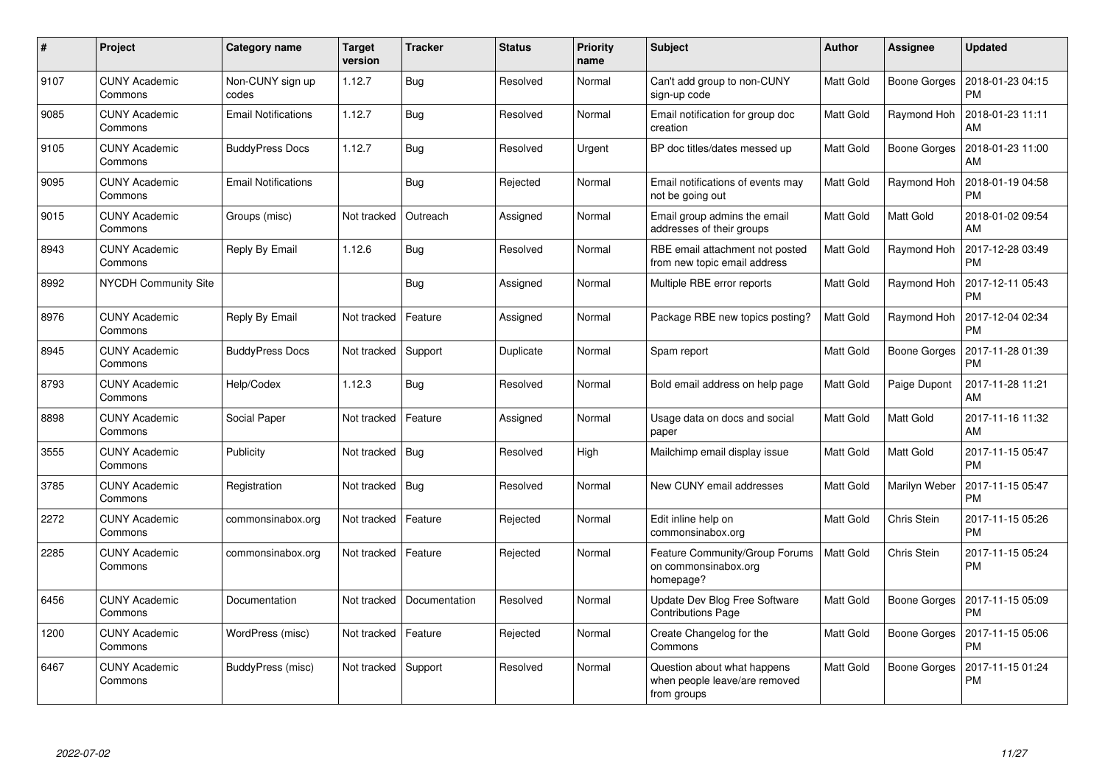| #    | Project                         | <b>Category name</b>       | <b>Target</b><br>version | <b>Tracker</b> | <b>Status</b> | <b>Priority</b><br>name | <b>Subject</b>                                                              | Author    | <b>Assignee</b>     | <b>Updated</b>                |
|------|---------------------------------|----------------------------|--------------------------|----------------|---------------|-------------------------|-----------------------------------------------------------------------------|-----------|---------------------|-------------------------------|
| 9107 | <b>CUNY Academic</b><br>Commons | Non-CUNY sign up<br>codes  | 1.12.7                   | Bug            | Resolved      | Normal                  | Can't add group to non-CUNY<br>sign-up code                                 | Matt Gold | Boone Gorges        | 2018-01-23 04:15<br><b>PM</b> |
| 9085 | <b>CUNY Academic</b><br>Commons | <b>Email Notifications</b> | 1.12.7                   | <b>Bug</b>     | Resolved      | Normal                  | Email notification for group doc<br>creation                                | Matt Gold | Raymond Hoh         | 2018-01-23 11:11<br>AM        |
| 9105 | <b>CUNY Academic</b><br>Commons | <b>BuddyPress Docs</b>     | 1.12.7                   | <b>Bug</b>     | Resolved      | Urgent                  | BP doc titles/dates messed up                                               | Matt Gold | Boone Gorges        | 2018-01-23 11:00<br>AM        |
| 9095 | <b>CUNY Academic</b><br>Commons | <b>Email Notifications</b> |                          | <b>Bug</b>     | Rejected      | Normal                  | Email notifications of events may<br>not be going out                       | Matt Gold | Raymond Hoh         | 2018-01-19 04:58<br><b>PM</b> |
| 9015 | <b>CUNY Academic</b><br>Commons | Groups (misc)              | Not tracked              | Outreach       | Assigned      | Normal                  | Email group admins the email<br>addresses of their groups                   | Matt Gold | Matt Gold           | 2018-01-02 09:54<br>AM        |
| 8943 | <b>CUNY Academic</b><br>Commons | Reply By Email             | 1.12.6                   | Bug            | Resolved      | Normal                  | RBE email attachment not posted<br>from new topic email address             | Matt Gold | Raymond Hoh         | 2017-12-28 03:49<br><b>PM</b> |
| 8992 | <b>NYCDH Community Site</b>     |                            |                          | Bug            | Assigned      | Normal                  | Multiple RBE error reports                                                  | Matt Gold | Raymond Hoh         | 2017-12-11 05:43<br><b>PM</b> |
| 8976 | <b>CUNY Academic</b><br>Commons | Reply By Email             | Not tracked              | Feature        | Assigned      | Normal                  | Package RBE new topics posting?                                             | Matt Gold | Raymond Hoh         | 2017-12-04 02:34<br><b>PM</b> |
| 8945 | <b>CUNY Academic</b><br>Commons | <b>BuddyPress Docs</b>     | Not tracked              | Support        | Duplicate     | Normal                  | Spam report                                                                 | Matt Gold | <b>Boone Gorges</b> | 2017-11-28 01:39<br><b>PM</b> |
| 8793 | <b>CUNY Academic</b><br>Commons | Help/Codex                 | 1.12.3                   | Bug            | Resolved      | Normal                  | Bold email address on help page                                             | Matt Gold | Paige Dupont        | 2017-11-28 11:21<br>AM        |
| 8898 | <b>CUNY Academic</b><br>Commons | Social Paper               | Not tracked              | Feature        | Assigned      | Normal                  | Usage data on docs and social<br>paper                                      | Matt Gold | Matt Gold           | 2017-11-16 11:32<br>AM        |
| 3555 | <b>CUNY Academic</b><br>Commons | Publicity                  | Not tracked              | Bug            | Resolved      | High                    | Mailchimp email display issue                                               | Matt Gold | Matt Gold           | 2017-11-15 05:47<br><b>PM</b> |
| 3785 | <b>CUNY Academic</b><br>Commons | Registration               | Not tracked              | Bug            | Resolved      | Normal                  | New CUNY email addresses                                                    | Matt Gold | Marilyn Weber       | 2017-11-15 05:47<br><b>PM</b> |
| 2272 | <b>CUNY Academic</b><br>Commons | commonsinabox.org          | Not tracked              | Feature        | Rejected      | Normal                  | Edit inline help on<br>commonsinabox.org                                    | Matt Gold | Chris Stein         | 2017-11-15 05:26<br><b>PM</b> |
| 2285 | <b>CUNY Academic</b><br>Commons | commonsinabox.org          | Not tracked              | Feature        | Rejected      | Normal                  | Feature Community/Group Forums<br>on commonsinabox.org<br>homepage?         | Matt Gold | Chris Stein         | 2017-11-15 05:24<br><b>PM</b> |
| 6456 | <b>CUNY Academic</b><br>Commons | Documentation              | Not tracked              | Documentation  | Resolved      | Normal                  | Update Dev Blog Free Software<br><b>Contributions Page</b>                  | Matt Gold | Boone Gorges        | 2017-11-15 05:09<br><b>PM</b> |
| 1200 | <b>CUNY Academic</b><br>Commons | WordPress (misc)           | Not tracked              | Feature        | Rejected      | Normal                  | Create Changelog for the<br>Commons                                         | Matt Gold | Boone Gorges        | 2017-11-15 05:06<br><b>PM</b> |
| 6467 | <b>CUNY Academic</b><br>Commons | BuddyPress (misc)          | Not tracked              | Support        | Resolved      | Normal                  | Question about what happens<br>when people leave/are removed<br>from groups | Matt Gold | Boone Gorges        | 2017-11-15 01:24<br><b>PM</b> |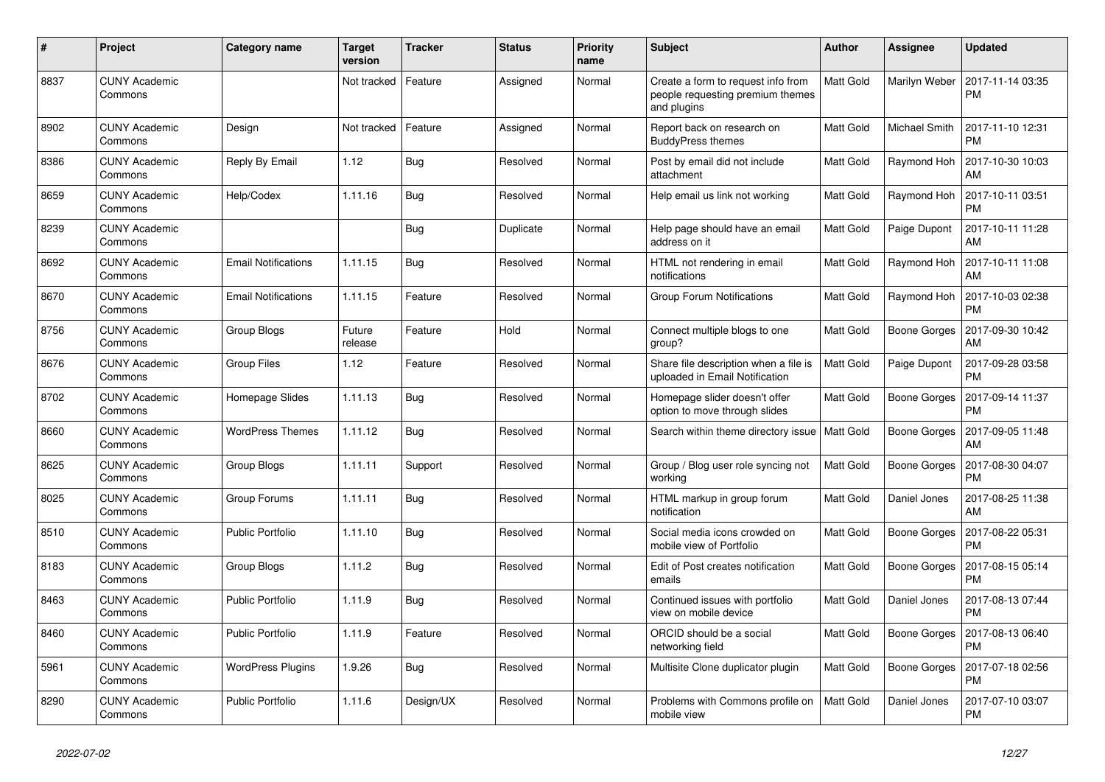| $\#$ | Project                         | Category name              | <b>Target</b><br>version | <b>Tracker</b> | <b>Status</b> | <b>Priority</b><br>name | <b>Subject</b>                                                                        | Author    | Assignee            | <b>Updated</b>                |
|------|---------------------------------|----------------------------|--------------------------|----------------|---------------|-------------------------|---------------------------------------------------------------------------------------|-----------|---------------------|-------------------------------|
| 8837 | <b>CUNY Academic</b><br>Commons |                            | Not tracked              | Feature        | Assigned      | Normal                  | Create a form to request info from<br>people requesting premium themes<br>and plugins | Matt Gold | Marilyn Weber       | 2017-11-14 03:35<br><b>PM</b> |
| 8902 | <b>CUNY Academic</b><br>Commons | Design                     | Not tracked              | Feature        | Assigned      | Normal                  | Report back on research on<br><b>BuddyPress themes</b>                                | Matt Gold | Michael Smith       | 2017-11-10 12:31<br><b>PM</b> |
| 8386 | <b>CUNY Academic</b><br>Commons | Reply By Email             | 1.12                     | Bug            | Resolved      | Normal                  | Post by email did not include<br>attachment                                           | Matt Gold | Raymond Hoh         | 2017-10-30 10:03<br>AM        |
| 8659 | <b>CUNY Academic</b><br>Commons | Help/Codex                 | 1.11.16                  | Bug            | Resolved      | Normal                  | Help email us link not working                                                        | Matt Gold | Raymond Hoh         | 2017-10-11 03:51<br><b>PM</b> |
| 8239 | <b>CUNY Academic</b><br>Commons |                            |                          | Bug            | Duplicate     | Normal                  | Help page should have an email<br>address on it                                       | Matt Gold | Paige Dupont        | 2017-10-11 11:28<br>AM        |
| 8692 | <b>CUNY Academic</b><br>Commons | <b>Email Notifications</b> | 1.11.15                  | Bug            | Resolved      | Normal                  | HTML not rendering in email<br>notifications                                          | Matt Gold | Raymond Hoh         | 2017-10-11 11:08<br>AM        |
| 8670 | <b>CUNY Academic</b><br>Commons | <b>Email Notifications</b> | 1.11.15                  | Feature        | Resolved      | Normal                  | Group Forum Notifications                                                             | Matt Gold | Raymond Hoh         | 2017-10-03 02:38<br><b>PM</b> |
| 8756 | <b>CUNY Academic</b><br>Commons | Group Blogs                | Future<br>release        | Feature        | Hold          | Normal                  | Connect multiple blogs to one<br>group?                                               | Matt Gold | Boone Gorges        | 2017-09-30 10:42<br>AM        |
| 8676 | <b>CUNY Academic</b><br>Commons | <b>Group Files</b>         | 1.12                     | Feature        | Resolved      | Normal                  | Share file description when a file is<br>uploaded in Email Notification               | Matt Gold | Paige Dupont        | 2017-09-28 03:58<br><b>PM</b> |
| 8702 | <b>CUNY Academic</b><br>Commons | Homepage Slides            | 1.11.13                  | Bug            | Resolved      | Normal                  | Homepage slider doesn't offer<br>option to move through slides                        | Matt Gold | <b>Boone Gorges</b> | 2017-09-14 11:37<br><b>PM</b> |
| 8660 | <b>CUNY Academic</b><br>Commons | <b>WordPress Themes</b>    | 1.11.12                  | <b>Bug</b>     | Resolved      | Normal                  | Search within theme directory issue   Matt Gold                                       |           | <b>Boone Gorges</b> | 2017-09-05 11:48<br>AM        |
| 8625 | <b>CUNY Academic</b><br>Commons | Group Blogs                | 1.11.11                  | Support        | Resolved      | Normal                  | Group / Blog user role syncing not<br>working                                         | Matt Gold | Boone Gorges        | 2017-08-30 04:07<br><b>PM</b> |
| 8025 | <b>CUNY Academic</b><br>Commons | Group Forums               | 1.11.11                  | Bug            | Resolved      | Normal                  | HTML markup in group forum<br>notification                                            | Matt Gold | Daniel Jones        | 2017-08-25 11:38<br>AM        |
| 8510 | <b>CUNY Academic</b><br>Commons | <b>Public Portfolio</b>    | 1.11.10                  | Bug            | Resolved      | Normal                  | Social media icons crowded on<br>mobile view of Portfolio                             | Matt Gold | Boone Gorges        | 2017-08-22 05:31<br><b>PM</b> |
| 8183 | <b>CUNY Academic</b><br>Commons | Group Blogs                | 1.11.2                   | Bug            | Resolved      | Normal                  | Edit of Post creates notification<br>emails                                           | Matt Gold | Boone Gorges        | 2017-08-15 05:14<br><b>PM</b> |
| 8463 | <b>CUNY Academic</b><br>Commons | <b>Public Portfolio</b>    | 1.11.9                   | Bug            | Resolved      | Normal                  | Continued issues with portfolio<br>view on mobile device                              | Matt Gold | Daniel Jones        | 2017-08-13 07:44<br><b>PM</b> |
| 8460 | <b>CUNY Academic</b><br>Commons | <b>Public Portfolio</b>    | 1.11.9                   | Feature        | Resolved      | Normal                  | ORCID should be a social<br>networking field                                          | Matt Gold | Boone Gorges        | 2017-08-13 06:40<br><b>PM</b> |
| 5961 | <b>CUNY Academic</b><br>Commons | <b>WordPress Plugins</b>   | 1.9.26                   | Bug            | Resolved      | Normal                  | Multisite Clone duplicator plugin                                                     | Matt Gold | Boone Gorges        | 2017-07-18 02:56<br><b>PM</b> |
| 8290 | <b>CUNY Academic</b><br>Commons | <b>Public Portfolio</b>    | 1.11.6                   | Design/UX      | Resolved      | Normal                  | Problems with Commons profile on<br>mobile view                                       | Matt Gold | Daniel Jones        | 2017-07-10 03:07<br><b>PM</b> |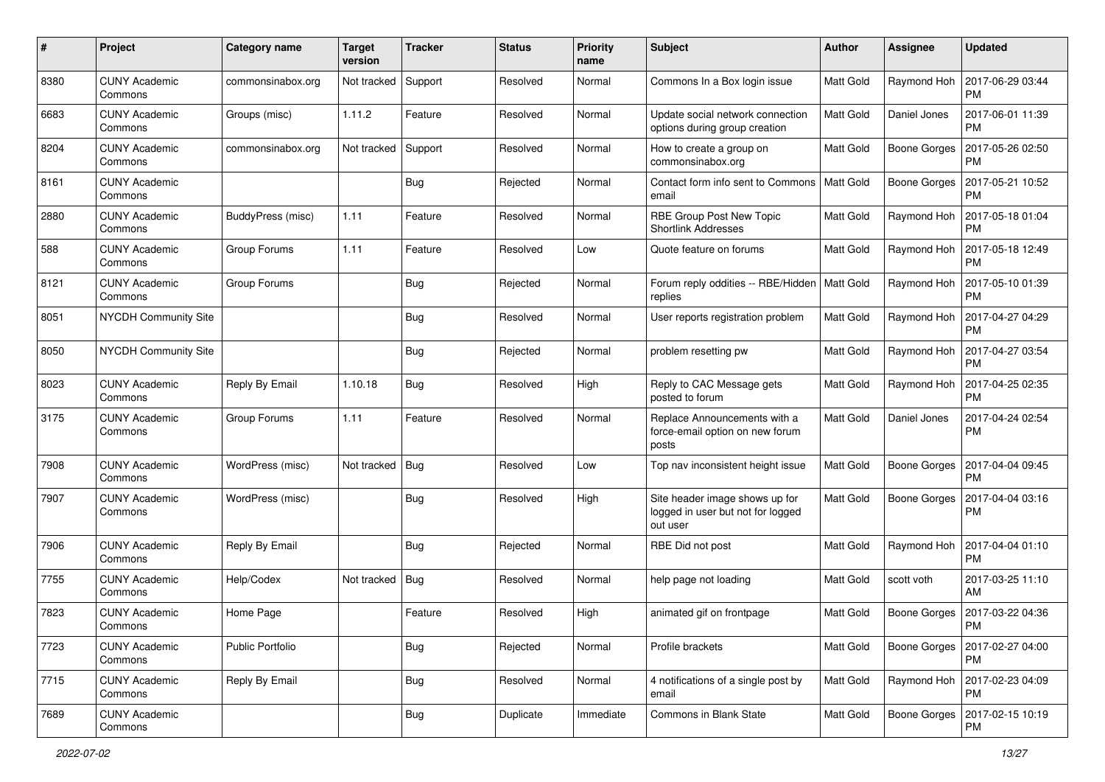| #    | Project                         | Category name     | <b>Target</b><br>version | <b>Tracker</b> | <b>Status</b> | <b>Priority</b><br>name | <b>Subject</b>                                                                  | Author    | <b>Assignee</b>     | <b>Updated</b>                |
|------|---------------------------------|-------------------|--------------------------|----------------|---------------|-------------------------|---------------------------------------------------------------------------------|-----------|---------------------|-------------------------------|
| 8380 | <b>CUNY Academic</b><br>Commons | commonsinabox.org | Not tracked              | Support        | Resolved      | Normal                  | Commons In a Box login issue                                                    | Matt Gold | Raymond Hoh         | 2017-06-29 03:44<br><b>PM</b> |
| 6683 | <b>CUNY Academic</b><br>Commons | Groups (misc)     | 1.11.2                   | Feature        | Resolved      | Normal                  | Update social network connection<br>options during group creation               | Matt Gold | Daniel Jones        | 2017-06-01 11:39<br><b>PM</b> |
| 8204 | <b>CUNY Academic</b><br>Commons | commonsinabox.org | Not tracked              | Support        | Resolved      | Normal                  | How to create a group on<br>commonsinabox.org                                   | Matt Gold | <b>Boone Gorges</b> | 2017-05-26 02:50<br><b>PM</b> |
| 8161 | <b>CUNY Academic</b><br>Commons |                   |                          | Bug            | Rejected      | Normal                  | Contact form info sent to Commons<br>email                                      | Matt Gold | <b>Boone Gorges</b> | 2017-05-21 10:52<br><b>PM</b> |
| 2880 | <b>CUNY Academic</b><br>Commons | BuddyPress (misc) | 1.11                     | Feature        | Resolved      | Normal                  | RBE Group Post New Topic<br><b>Shortlink Addresses</b>                          | Matt Gold | Raymond Hoh         | 2017-05-18 01:04<br><b>PM</b> |
| 588  | <b>CUNY Academic</b><br>Commons | Group Forums      | 1.11                     | Feature        | Resolved      | Low                     | Quote feature on forums                                                         | Matt Gold | Raymond Hoh         | 2017-05-18 12:49<br><b>PM</b> |
| 8121 | <b>CUNY Academic</b><br>Commons | Group Forums      |                          | Bug            | Rejected      | Normal                  | Forum reply oddities -- RBE/Hidden<br>replies                                   | Matt Gold | Raymond Hoh         | 2017-05-10 01:39<br><b>PM</b> |
| 8051 | <b>NYCDH Community Site</b>     |                   |                          | <b>Bug</b>     | Resolved      | Normal                  | User reports registration problem                                               | Matt Gold | Raymond Hoh         | 2017-04-27 04:29<br><b>PM</b> |
| 8050 | <b>NYCDH Community Site</b>     |                   |                          | <b>Bug</b>     | Rejected      | Normal                  | problem resetting pw                                                            | Matt Gold | Raymond Hoh         | 2017-04-27 03:54<br><b>PM</b> |
| 8023 | <b>CUNY Academic</b><br>Commons | Reply By Email    | 1.10.18                  | Bug            | Resolved      | High                    | Reply to CAC Message gets<br>posted to forum                                    | Matt Gold | Raymond Hoh         | 2017-04-25 02:35<br><b>PM</b> |
| 3175 | <b>CUNY Academic</b><br>Commons | Group Forums      | 1.11                     | Feature        | Resolved      | Normal                  | Replace Announcements with a<br>force-email option on new forum<br>posts        | Matt Gold | Daniel Jones        | 2017-04-24 02:54<br><b>PM</b> |
| 7908 | <b>CUNY Academic</b><br>Commons | WordPress (misc)  | Not tracked              | Bug            | Resolved      | Low                     | Top nav inconsistent height issue                                               | Matt Gold | <b>Boone Gorges</b> | 2017-04-04 09:45<br>PM        |
| 7907 | <b>CUNY Academic</b><br>Commons | WordPress (misc)  |                          | Bug            | Resolved      | High                    | Site header image shows up for<br>logged in user but not for logged<br>out user | Matt Gold | <b>Boone Gorges</b> | 2017-04-04 03:16<br><b>PM</b> |
| 7906 | <b>CUNY Academic</b><br>Commons | Reply By Email    |                          | Bug            | Rejected      | Normal                  | RBE Did not post                                                                | Matt Gold | Raymond Hoh         | 2017-04-04 01:10<br><b>PM</b> |
| 7755 | <b>CUNY Academic</b><br>Commons | Help/Codex        | Not tracked              | <b>Bug</b>     | Resolved      | Normal                  | help page not loading                                                           | Matt Gold | scott voth          | 2017-03-25 11:10<br>AM        |
| 7823 | <b>CUNY Academic</b><br>Commons | Home Page         |                          | Feature        | Resolved      | High                    | animated gif on frontpage                                                       | Matt Gold | Boone Gorges        | 2017-03-22 04:36<br>PM        |
| 7723 | <b>CUNY Academic</b><br>Commons | Public Portfolio  |                          | <b>Bug</b>     | Rejected      | Normal                  | Profile brackets                                                                | Matt Gold | Boone Gorges        | 2017-02-27 04:00<br><b>PM</b> |
| 7715 | <b>CUNY Academic</b><br>Commons | Reply By Email    |                          | <b>Bug</b>     | Resolved      | Normal                  | 4 notifications of a single post by<br>email                                    | Matt Gold | Raymond Hoh         | 2017-02-23 04:09<br><b>PM</b> |
| 7689 | <b>CUNY Academic</b><br>Commons |                   |                          | <b>Bug</b>     | Duplicate     | Immediate               | Commons in Blank State                                                          | Matt Gold | Boone Gorges        | 2017-02-15 10:19<br><b>PM</b> |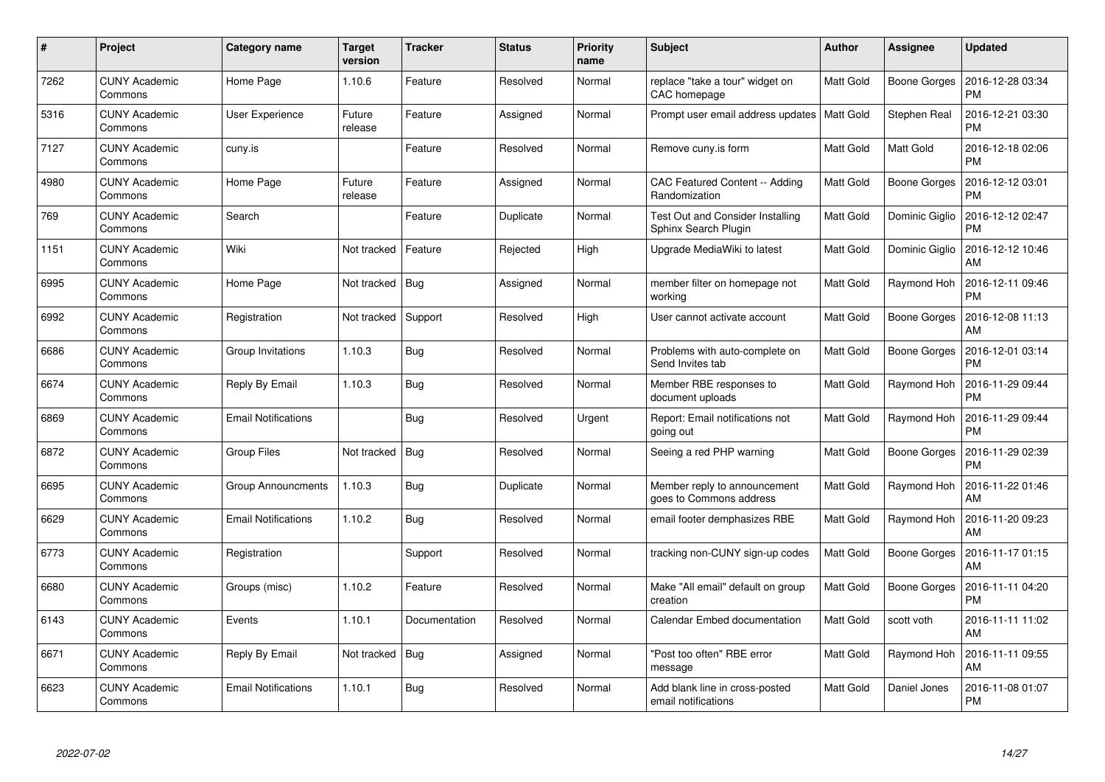| #    | Project                         | Category name              | <b>Target</b><br>version | <b>Tracker</b> | <b>Status</b> | <b>Priority</b><br>name | <b>Subject</b>                                                  | <b>Author</b> | Assignee            | <b>Updated</b>                |
|------|---------------------------------|----------------------------|--------------------------|----------------|---------------|-------------------------|-----------------------------------------------------------------|---------------|---------------------|-------------------------------|
| 7262 | <b>CUNY Academic</b><br>Commons | Home Page                  | 1.10.6                   | Feature        | Resolved      | Normal                  | replace "take a tour" widget on<br>CAC homepage                 | Matt Gold     | Boone Gorges        | 2016-12-28 03:34<br><b>PM</b> |
| 5316 | <b>CUNY Academic</b><br>Commons | User Experience            | Future<br>release        | Feature        | Assigned      | Normal                  | Prompt user email address updates   Matt Gold                   |               | <b>Stephen Real</b> | 2016-12-21 03:30<br><b>PM</b> |
| 7127 | <b>CUNY Academic</b><br>Commons | cuny.is                    |                          | Feature        | Resolved      | Normal                  | Remove cuny is form                                             | Matt Gold     | Matt Gold           | 2016-12-18 02:06<br><b>PM</b> |
| 4980 | <b>CUNY Academic</b><br>Commons | Home Page                  | Future<br>release        | Feature        | Assigned      | Normal                  | CAC Featured Content -- Adding<br>Randomization                 | Matt Gold     | Boone Gorges        | 2016-12-12 03:01<br><b>PM</b> |
| 769  | <b>CUNY Academic</b><br>Commons | Search                     |                          | Feature        | Duplicate     | Normal                  | <b>Test Out and Consider Installing</b><br>Sphinx Search Plugin | Matt Gold     | Dominic Giglio      | 2016-12-12 02:47<br><b>PM</b> |
| 1151 | <b>CUNY Academic</b><br>Commons | Wiki                       | Not tracked              | Feature        | Rejected      | High                    | Upgrade MediaWiki to latest                                     | Matt Gold     | Dominic Giglio      | 2016-12-12 10:46<br>AM        |
| 6995 | <b>CUNY Academic</b><br>Commons | Home Page                  | Not tracked              | Bug            | Assigned      | Normal                  | member filter on homepage not<br>working                        | Matt Gold     | Raymond Hoh         | 2016-12-11 09:46<br><b>PM</b> |
| 6992 | <b>CUNY Academic</b><br>Commons | Registration               | Not tracked              | Support        | Resolved      | High                    | User cannot activate account                                    | Matt Gold     | Boone Gorges        | 2016-12-08 11:13<br>AM        |
| 6686 | <b>CUNY Academic</b><br>Commons | Group Invitations          | 1.10.3                   | Bug            | Resolved      | Normal                  | Problems with auto-complete on<br>Send Invites tab              | Matt Gold     | Boone Gorges        | 2016-12-01 03:14<br><b>PM</b> |
| 6674 | <b>CUNY Academic</b><br>Commons | Reply By Email             | 1.10.3                   | Bug            | Resolved      | Normal                  | Member RBE responses to<br>document uploads                     | Matt Gold     | Raymond Hoh         | 2016-11-29 09:44<br><b>PM</b> |
| 6869 | <b>CUNY Academic</b><br>Commons | <b>Email Notifications</b> |                          | <b>Bug</b>     | Resolved      | Urgent                  | Report: Email notifications not<br>going out                    | Matt Gold     | Raymond Hoh         | 2016-11-29 09:44<br><b>PM</b> |
| 6872 | <b>CUNY Academic</b><br>Commons | Group Files                | Not tracked              | <b>Bug</b>     | Resolved      | Normal                  | Seeing a red PHP warning                                        | Matt Gold     | Boone Gorges        | 2016-11-29 02:39<br><b>PM</b> |
| 6695 | <b>CUNY Academic</b><br>Commons | <b>Group Announcments</b>  | 1.10.3                   | <b>Bug</b>     | Duplicate     | Normal                  | Member reply to announcement<br>goes to Commons address         | Matt Gold     | Raymond Hoh         | 2016-11-22 01:46<br>AM        |
| 6629 | <b>CUNY Academic</b><br>Commons | <b>Email Notifications</b> | 1.10.2                   | Bug            | Resolved      | Normal                  | email footer demphasizes RBE                                    | Matt Gold     | Raymond Hoh         | 2016-11-20 09:23<br>AM        |
| 6773 | <b>CUNY Academic</b><br>Commons | Registration               |                          | Support        | Resolved      | Normal                  | tracking non-CUNY sign-up codes                                 | Matt Gold     | Boone Gorges        | 2016-11-17 01:15<br>AM        |
| 6680 | <b>CUNY Academic</b><br>Commons | Groups (misc)              | 1.10.2                   | Feature        | Resolved      | Normal                  | Make "All email" default on group<br>creation                   | Matt Gold     | Boone Gorges        | 2016-11-11 04:20<br><b>PM</b> |
| 6143 | <b>CUNY Academic</b><br>Commons | Events                     | 1.10.1                   | Documentation  | Resolved      | Normal                  | Calendar Embed documentation                                    | Matt Gold     | scott voth          | 2016-11-11 11:02<br>AM        |
| 6671 | <b>CUNY Academic</b><br>Commons | Reply By Email             | Not tracked              | Bug            | Assigned      | Normal                  | 'Post too often" RBE error<br>message                           | Matt Gold     | Raymond Hoh         | 2016-11-11 09:55<br>AM        |
| 6623 | CUNY Academic<br>Commons        | <b>Email Notifications</b> | 1.10.1                   | <b>Bug</b>     | Resolved      | Normal                  | Add blank line in cross-posted<br>email notifications           | Matt Gold     | Daniel Jones        | 2016-11-08 01:07<br>PM        |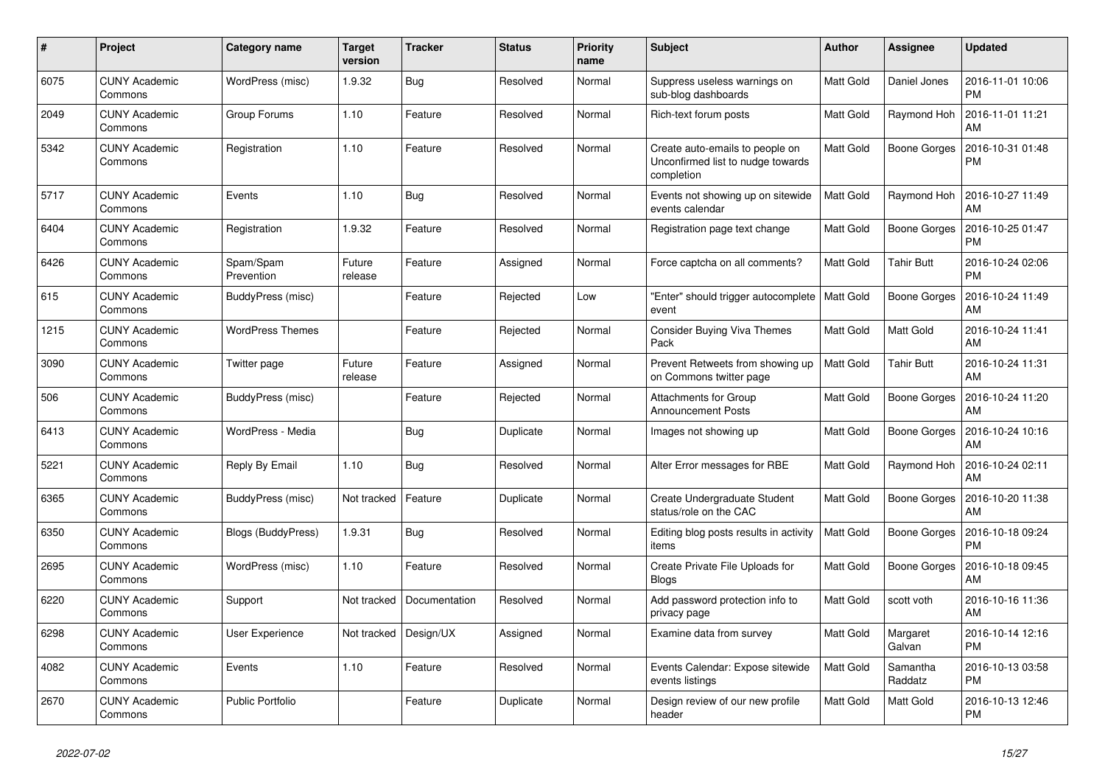| #    | Project                         | <b>Category name</b>    | Target<br>version | <b>Tracker</b> | <b>Status</b> | <b>Priority</b><br>name | <b>Subject</b>                                                                     | Author    | <b>Assignee</b>     | <b>Updated</b>                |
|------|---------------------------------|-------------------------|-------------------|----------------|---------------|-------------------------|------------------------------------------------------------------------------------|-----------|---------------------|-------------------------------|
| 6075 | <b>CUNY Academic</b><br>Commons | WordPress (misc)        | 1.9.32            | Bug            | Resolved      | Normal                  | Suppress useless warnings on<br>sub-blog dashboards                                | Matt Gold | Daniel Jones        | 2016-11-01 10:06<br><b>PM</b> |
| 2049 | <b>CUNY Academic</b><br>Commons | Group Forums            | 1.10              | Feature        | Resolved      | Normal                  | Rich-text forum posts                                                              | Matt Gold | Raymond Hoh         | 2016-11-01 11:21<br>AM        |
| 5342 | <b>CUNY Academic</b><br>Commons | Registration            | 1.10              | Feature        | Resolved      | Normal                  | Create auto-emails to people on<br>Unconfirmed list to nudge towards<br>completion | Matt Gold | <b>Boone Gorges</b> | 2016-10-31 01:48<br><b>PM</b> |
| 5717 | <b>CUNY Academic</b><br>Commons | Events                  | 1.10              | Bug            | Resolved      | Normal                  | Events not showing up on sitewide<br>events calendar                               | Matt Gold | Raymond Hoh         | 2016-10-27 11:49<br>AM        |
| 6404 | <b>CUNY Academic</b><br>Commons | Registration            | 1.9.32            | Feature        | Resolved      | Normal                  | Registration page text change                                                      | Matt Gold | Boone Gorges        | 2016-10-25 01:47<br><b>PM</b> |
| 6426 | <b>CUNY Academic</b><br>Commons | Spam/Spam<br>Prevention | Future<br>release | Feature        | Assigned      | Normal                  | Force captcha on all comments?                                                     | Matt Gold | <b>Tahir Butt</b>   | 2016-10-24 02:06<br><b>PM</b> |
| 615  | <b>CUNY Academic</b><br>Commons | BuddyPress (misc)       |                   | Feature        | Rejected      | Low                     | "Enter" should trigger autocomplete<br>event                                       | Matt Gold | <b>Boone Gorges</b> | 2016-10-24 11:49<br>AM        |
| 1215 | <b>CUNY Academic</b><br>Commons | <b>WordPress Themes</b> |                   | Feature        | Rejected      | Normal                  | <b>Consider Buying Viva Themes</b><br>Pack                                         | Matt Gold | Matt Gold           | 2016-10-24 11:41<br>AM        |
| 3090 | <b>CUNY Academic</b><br>Commons | Twitter page            | Future<br>release | Feature        | Assigned      | Normal                  | Prevent Retweets from showing up<br>on Commons twitter page                        | Matt Gold | <b>Tahir Butt</b>   | 2016-10-24 11:31<br>AM        |
| 506  | <b>CUNY Academic</b><br>Commons | BuddyPress (misc)       |                   | Feature        | Rejected      | Normal                  | Attachments for Group<br><b>Announcement Posts</b>                                 | Matt Gold | <b>Boone Gorges</b> | 2016-10-24 11:20<br>AM        |
| 6413 | <b>CUNY Academic</b><br>Commons | WordPress - Media       |                   | Bug            | Duplicate     | Normal                  | Images not showing up                                                              | Matt Gold | Boone Gorges        | 2016-10-24 10:16<br>AM        |
| 5221 | <b>CUNY Academic</b><br>Commons | Reply By Email          | 1.10              | <b>Bug</b>     | Resolved      | Normal                  | Alter Error messages for RBE                                                       | Matt Gold | Raymond Hoh         | 2016-10-24 02:11<br>AM        |
| 6365 | <b>CUNY Academic</b><br>Commons | BuddyPress (misc)       | Not tracked       | Feature        | Duplicate     | Normal                  | Create Undergraduate Student<br>status/role on the CAC                             | Matt Gold | Boone Gorges        | 2016-10-20 11:38<br>AM        |
| 6350 | <b>CUNY Academic</b><br>Commons | Blogs (BuddyPress)      | 1.9.31            | Bug            | Resolved      | Normal                  | Editing blog posts results in activity<br>items                                    | Matt Gold | Boone Gorges        | 2016-10-18 09:24<br><b>PM</b> |
| 2695 | <b>CUNY Academic</b><br>Commons | WordPress (misc)        | 1.10              | Feature        | Resolved      | Normal                  | Create Private File Uploads for<br><b>Blogs</b>                                    | Matt Gold | Boone Gorges        | 2016-10-18 09:45<br>AM        |
| 6220 | <b>CUNY Academic</b><br>Commons | Support                 | Not tracked       | Documentation  | Resolved      | Normal                  | Add password protection info to<br>privacy page                                    | Matt Gold | scott voth          | 2016-10-16 11:36<br>AM        |
| 6298 | <b>CUNY Academic</b><br>Commons | User Experience         | Not tracked       | Design/UX      | Assigned      | Normal                  | Examine data from survey                                                           | Matt Gold | Margaret<br>Galvan  | 2016-10-14 12:16<br><b>PM</b> |
| 4082 | <b>CUNY Academic</b><br>Commons | Events                  | 1.10              | Feature        | Resolved      | Normal                  | Events Calendar: Expose sitewide<br>events listings                                | Matt Gold | Samantha<br>Raddatz | 2016-10-13 03:58<br><b>PM</b> |
| 2670 | <b>CUNY Academic</b><br>Commons | <b>Public Portfolio</b> |                   | Feature        | Duplicate     | Normal                  | Design review of our new profile<br>header                                         | Matt Gold | Matt Gold           | 2016-10-13 12:46<br><b>PM</b> |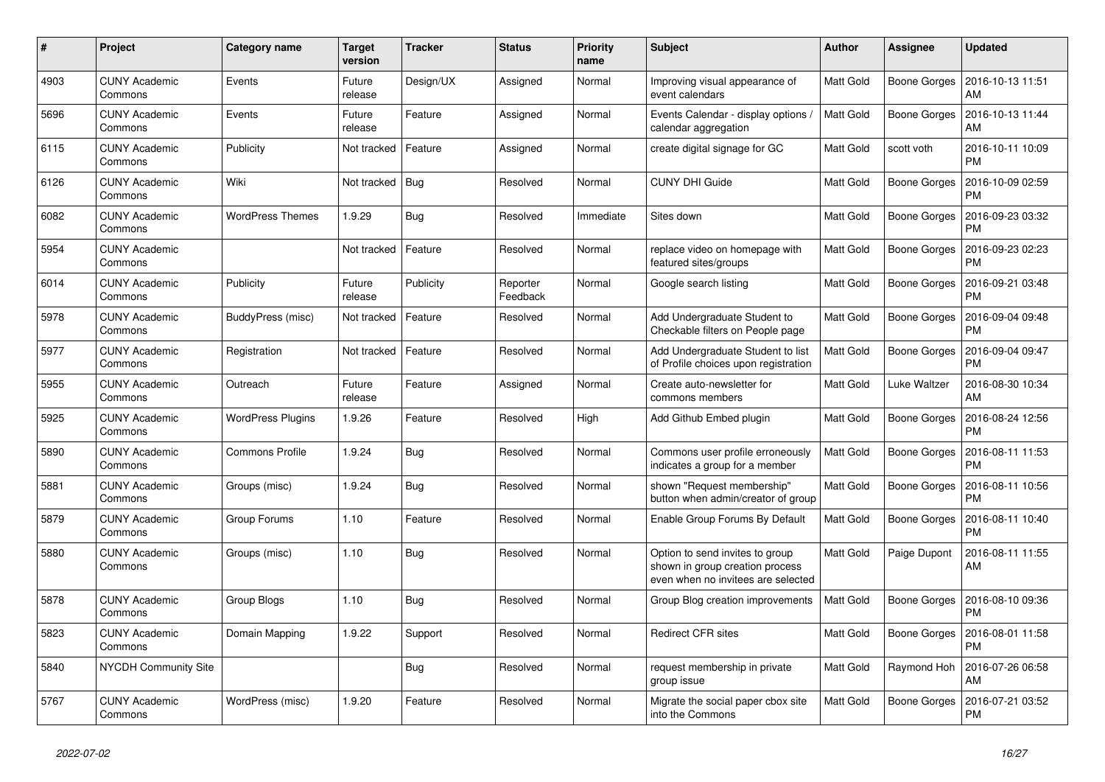| #    | Project                         | Category name            | <b>Target</b><br>version | <b>Tracker</b> | <b>Status</b>        | <b>Priority</b><br>name | <b>Subject</b>                                                                                           | Author    | Assignee            | <b>Updated</b>                |
|------|---------------------------------|--------------------------|--------------------------|----------------|----------------------|-------------------------|----------------------------------------------------------------------------------------------------------|-----------|---------------------|-------------------------------|
| 4903 | <b>CUNY Academic</b><br>Commons | Events                   | Future<br>release        | Design/UX      | Assigned             | Normal                  | Improving visual appearance of<br>event calendars                                                        | Matt Gold | Boone Gorges        | 2016-10-13 11:51<br>AM        |
| 5696 | <b>CUNY Academic</b><br>Commons | Events                   | Future<br>release        | Feature        | Assigned             | Normal                  | Events Calendar - display options /<br>calendar aggregation                                              | Matt Gold | <b>Boone Gorges</b> | 2016-10-13 11:44<br>AM        |
| 6115 | <b>CUNY Academic</b><br>Commons | Publicity                | Not tracked              | Feature        | Assigned             | Normal                  | create digital signage for GC                                                                            | Matt Gold | scott voth          | 2016-10-11 10:09<br><b>PM</b> |
| 6126 | <b>CUNY Academic</b><br>Commons | Wiki                     | Not tracked              | <b>Bug</b>     | Resolved             | Normal                  | <b>CUNY DHI Guide</b>                                                                                    | Matt Gold | Boone Gorges        | 2016-10-09 02:59<br><b>PM</b> |
| 6082 | <b>CUNY Academic</b><br>Commons | <b>WordPress Themes</b>  | 1.9.29                   | <b>Bug</b>     | Resolved             | Immediate               | Sites down                                                                                               | Matt Gold | Boone Gorges        | 2016-09-23 03:32<br><b>PM</b> |
| 5954 | <b>CUNY Academic</b><br>Commons |                          | Not tracked              | Feature        | Resolved             | Normal                  | replace video on homepage with<br>featured sites/groups                                                  | Matt Gold | Boone Gorges        | 2016-09-23 02:23<br><b>PM</b> |
| 6014 | <b>CUNY Academic</b><br>Commons | Publicity                | Future<br>release        | Publicity      | Reporter<br>Feedback | Normal                  | Google search listing                                                                                    | Matt Gold | Boone Gorges        | 2016-09-21 03:48<br><b>PM</b> |
| 5978 | <b>CUNY Academic</b><br>Commons | BuddyPress (misc)        | Not tracked              | Feature        | Resolved             | Normal                  | Add Undergraduate Student to<br>Checkable filters on People page                                         | Matt Gold | Boone Gorges        | 2016-09-04 09:48<br><b>PM</b> |
| 5977 | <b>CUNY Academic</b><br>Commons | Registration             | Not tracked              | Feature        | Resolved             | Normal                  | Add Undergraduate Student to list<br>of Profile choices upon registration                                | Matt Gold | <b>Boone Gorges</b> | 2016-09-04 09:47<br><b>PM</b> |
| 5955 | <b>CUNY Academic</b><br>Commons | Outreach                 | Future<br>release        | Feature        | Assigned             | Normal                  | Create auto-newsletter for<br>commons members                                                            | Matt Gold | Luke Waltzer        | 2016-08-30 10:34<br>AM        |
| 5925 | <b>CUNY Academic</b><br>Commons | <b>WordPress Plugins</b> | 1.9.26                   | Feature        | Resolved             | High                    | Add Github Embed plugin                                                                                  | Matt Gold | Boone Gorges        | 2016-08-24 12:56<br><b>PM</b> |
| 5890 | <b>CUNY Academic</b><br>Commons | <b>Commons Profile</b>   | 1.9.24                   | Bug            | Resolved             | Normal                  | Commons user profile erroneously<br>indicates a group for a member                                       | Matt Gold | Boone Gorges        | 2016-08-11 11:53<br><b>PM</b> |
| 5881 | <b>CUNY Academic</b><br>Commons | Groups (misc)            | 1.9.24                   | Bug            | Resolved             | Normal                  | shown "Request membership"<br>button when admin/creator of group                                         | Matt Gold | Boone Gorges        | 2016-08-11 10:56<br><b>PM</b> |
| 5879 | <b>CUNY Academic</b><br>Commons | Group Forums             | 1.10                     | Feature        | Resolved             | Normal                  | Enable Group Forums By Default                                                                           | Matt Gold | Boone Gorges        | 2016-08-11 10:40<br><b>PM</b> |
| 5880 | <b>CUNY Academic</b><br>Commons | Groups (misc)            | 1.10                     | <b>Bug</b>     | Resolved             | Normal                  | Option to send invites to group<br>shown in group creation process<br>even when no invitees are selected | Matt Gold | Paige Dupont        | 2016-08-11 11:55<br>AM        |
| 5878 | <b>CUNY Academic</b><br>Commons | Group Blogs              | 1.10                     | Bug            | Resolved             | Normal                  | Group Blog creation improvements                                                                         | Matt Gold | <b>Boone Gorges</b> | 2016-08-10 09:36<br><b>PM</b> |
| 5823 | <b>CUNY Academic</b><br>Commons | Domain Mapping           | 1.9.22                   | Support        | Resolved             | Normal                  | <b>Redirect CFR sites</b>                                                                                | Matt Gold | Boone Gorges        | 2016-08-01 11:58<br><b>PM</b> |
| 5840 | <b>NYCDH Community Site</b>     |                          |                          | Bug            | Resolved             | Normal                  | request membership in private<br>group issue                                                             | Matt Gold | Raymond Hoh         | 2016-07-26 06:58<br>AM        |
| 5767 | <b>CUNY Academic</b><br>Commons | WordPress (misc)         | 1.9.20                   | Feature        | Resolved             | Normal                  | Migrate the social paper cbox site<br>into the Commons                                                   | Matt Gold | <b>Boone Gorges</b> | 2016-07-21 03:52<br><b>PM</b> |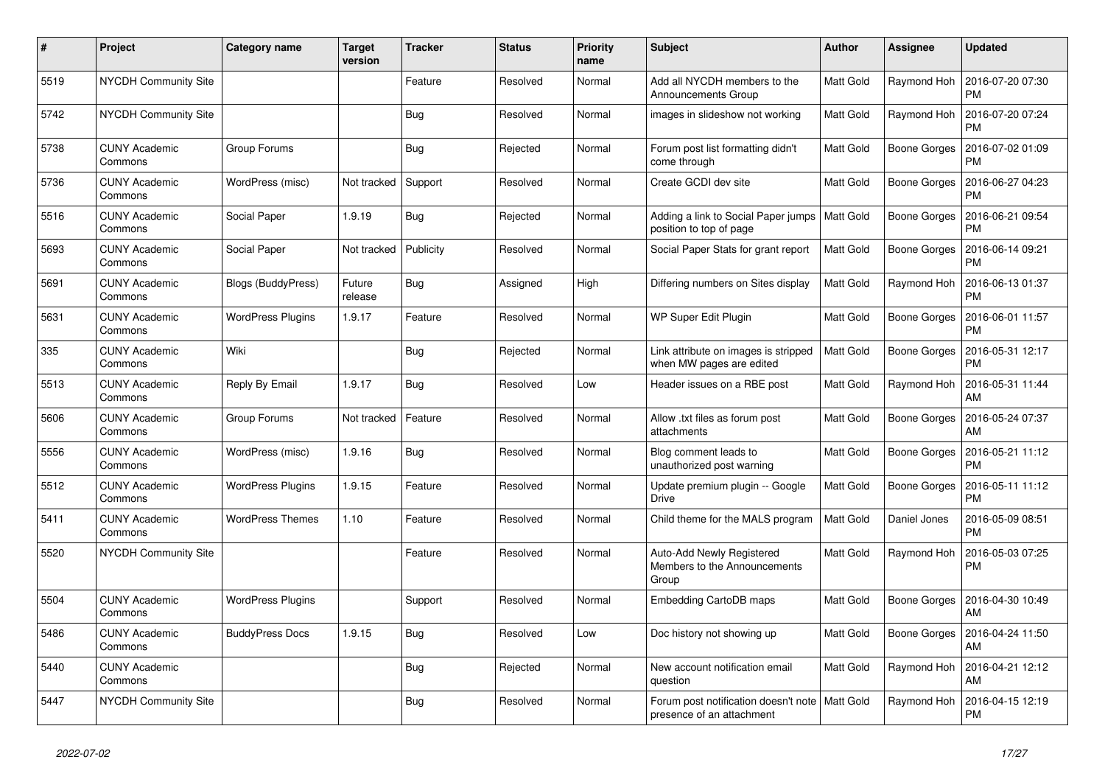| #    | Project                         | <b>Category name</b>     | <b>Target</b><br>version | <b>Tracker</b> | <b>Status</b> | <b>Priority</b><br>name | <b>Subject</b>                                                                | <b>Author</b> | <b>Assignee</b> | <b>Updated</b>                |
|------|---------------------------------|--------------------------|--------------------------|----------------|---------------|-------------------------|-------------------------------------------------------------------------------|---------------|-----------------|-------------------------------|
| 5519 | NYCDH Community Site            |                          |                          | Feature        | Resolved      | Normal                  | Add all NYCDH members to the<br>Announcements Group                           | Matt Gold     | Raymond Hoh     | 2016-07-20 07:30<br><b>PM</b> |
| 5742 | <b>NYCDH Community Site</b>     |                          |                          | <b>Bug</b>     | Resolved      | Normal                  | images in slideshow not working                                               | Matt Gold     | Raymond Hoh     | 2016-07-20 07:24<br><b>PM</b> |
| 5738 | <b>CUNY Academic</b><br>Commons | Group Forums             |                          | <b>Bug</b>     | Rejected      | Normal                  | Forum post list formatting didn't<br>come through                             | Matt Gold     | Boone Gorges    | 2016-07-02 01:09<br><b>PM</b> |
| 5736 | <b>CUNY Academic</b><br>Commons | WordPress (misc)         | Not tracked              | Support        | Resolved      | Normal                  | Create GCDI dev site                                                          | Matt Gold     | Boone Gorges    | 2016-06-27 04:23<br><b>PM</b> |
| 5516 | <b>CUNY Academic</b><br>Commons | Social Paper             | 1.9.19                   | Bug            | Rejected      | Normal                  | Adding a link to Social Paper jumps<br>position to top of page                | Matt Gold     | Boone Gorges    | 2016-06-21 09:54<br><b>PM</b> |
| 5693 | <b>CUNY Academic</b><br>Commons | Social Paper             | Not tracked              | Publicity      | Resolved      | Normal                  | Social Paper Stats for grant report                                           | Matt Gold     | Boone Gorges    | 2016-06-14 09:21<br><b>PM</b> |
| 5691 | <b>CUNY Academic</b><br>Commons | Blogs (BuddyPress)       | Future<br>release        | Bug            | Assigned      | High                    | Differing numbers on Sites display                                            | Matt Gold     | Raymond Hoh     | 2016-06-13 01:37<br><b>PM</b> |
| 5631 | <b>CUNY Academic</b><br>Commons | <b>WordPress Plugins</b> | 1.9.17                   | Feature        | Resolved      | Normal                  | WP Super Edit Plugin                                                          | Matt Gold     | Boone Gorges    | 2016-06-01 11:57<br><b>PM</b> |
| 335  | <b>CUNY Academic</b><br>Commons | Wiki                     |                          | Bug            | Rejected      | Normal                  | Link attribute on images is stripped<br>when MW pages are edited              | Matt Gold     | Boone Gorges    | 2016-05-31 12:17<br><b>PM</b> |
| 5513 | <b>CUNY Academic</b><br>Commons | Reply By Email           | 1.9.17                   | <b>Bug</b>     | Resolved      | Low                     | Header issues on a RBE post                                                   | Matt Gold     | Raymond Hoh     | 2016-05-31 11:44<br>AM        |
| 5606 | <b>CUNY Academic</b><br>Commons | Group Forums             | Not tracked              | Feature        | Resolved      | Normal                  | Allow .txt files as forum post<br>attachments                                 | Matt Gold     | Boone Gorges    | 2016-05-24 07:37<br>AM        |
| 5556 | <b>CUNY Academic</b><br>Commons | WordPress (misc)         | 1.9.16                   | Bug            | Resolved      | Normal                  | Blog comment leads to<br>unauthorized post warning                            | Matt Gold     | Boone Gorges    | 2016-05-21 11:12<br><b>PM</b> |
| 5512 | <b>CUNY Academic</b><br>Commons | <b>WordPress Plugins</b> | 1.9.15                   | Feature        | Resolved      | Normal                  | Update premium plugin -- Google<br><b>Drive</b>                               | Matt Gold     | Boone Gorges    | 2016-05-11 11:12<br><b>PM</b> |
| 5411 | <b>CUNY Academic</b><br>Commons | <b>WordPress Themes</b>  | 1.10                     | Feature        | Resolved      | Normal                  | Child theme for the MALS program                                              | Matt Gold     | Daniel Jones    | 2016-05-09 08:51<br><b>PM</b> |
| 5520 | NYCDH Community Site            |                          |                          | Feature        | Resolved      | Normal                  | Auto-Add Newly Registered<br>Members to the Announcements<br>Group            | Matt Gold     | Raymond Hoh     | 2016-05-03 07:25<br>PM        |
| 5504 | <b>CUNY Academic</b><br>Commons | <b>WordPress Plugins</b> |                          | Support        | Resolved      | Normal                  | Embedding CartoDB maps                                                        | Matt Gold     | Boone Gorges    | 2016-04-30 10:49<br>AM        |
| 5486 | <b>CUNY Academic</b><br>Commons | <b>BuddyPress Docs</b>   | 1.9.15                   | Bug            | Resolved      | Low                     | Doc history not showing up                                                    | Matt Gold     | Boone Gorges    | 2016-04-24 11:50<br>AM        |
| 5440 | <b>CUNY Academic</b><br>Commons |                          |                          | <b>Bug</b>     | Rejected      | Normal                  | New account notification email<br>question                                    | Matt Gold     | Raymond Hoh     | 2016-04-21 12:12<br>AM        |
| 5447 | <b>NYCDH Community Site</b>     |                          |                          | <b>Bug</b>     | Resolved      | Normal                  | Forum post notification doesn't note   Matt Gold<br>presence of an attachment |               | Raymond Hoh     | 2016-04-15 12:19<br><b>PM</b> |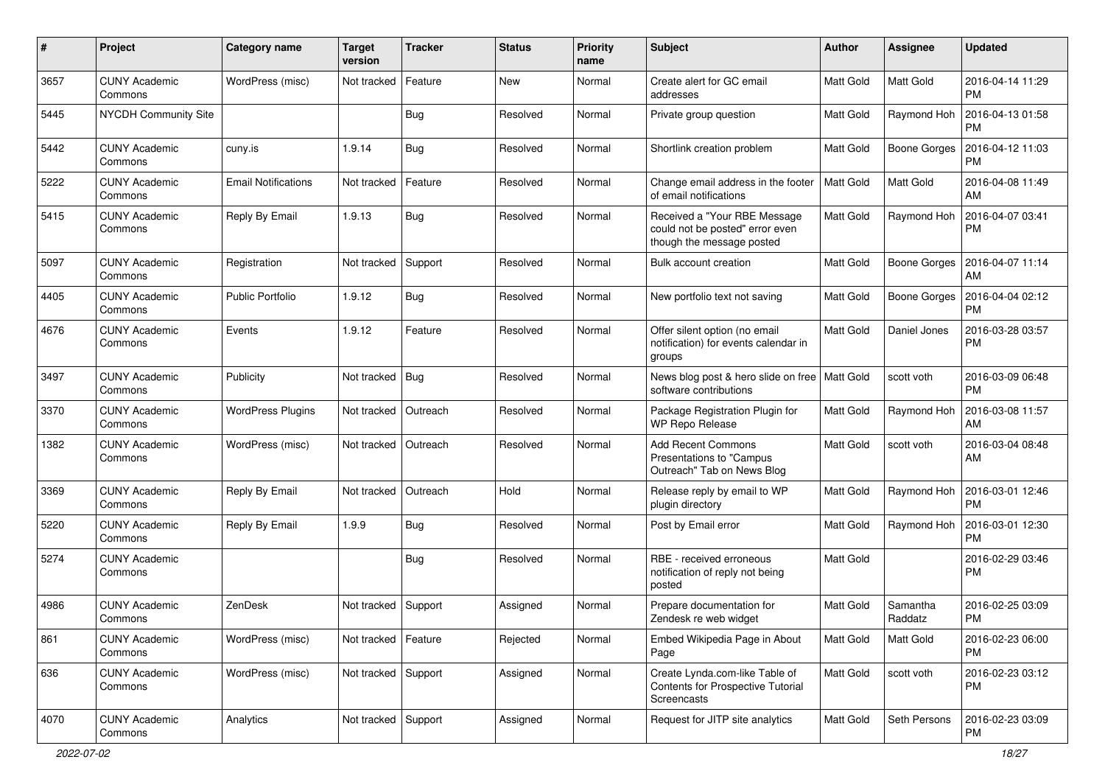| $\pmb{\#}$ | Project                         | <b>Category name</b>       | <b>Target</b><br>version | <b>Tracker</b> | <b>Status</b> | <b>Priority</b><br>name | Subject                                                                                      | Author           | Assignee            | <b>Updated</b>                |
|------------|---------------------------------|----------------------------|--------------------------|----------------|---------------|-------------------------|----------------------------------------------------------------------------------------------|------------------|---------------------|-------------------------------|
| 3657       | <b>CUNY Academic</b><br>Commons | WordPress (misc)           | Not tracked              | Feature        | <b>New</b>    | Normal                  | Create alert for GC email<br>addresses                                                       | Matt Gold        | Matt Gold           | 2016-04-14 11:29<br><b>PM</b> |
| 5445       | <b>NYCDH Community Site</b>     |                            |                          | <b>Bug</b>     | Resolved      | Normal                  | Private group question                                                                       | Matt Gold        | Raymond Hoh         | 2016-04-13 01:58<br><b>PM</b> |
| 5442       | <b>CUNY Academic</b><br>Commons | cuny.is                    | 1.9.14                   | Bug            | Resolved      | Normal                  | Shortlink creation problem                                                                   | Matt Gold        | <b>Boone Gorges</b> | 2016-04-12 11:03<br><b>PM</b> |
| 5222       | <b>CUNY Academic</b><br>Commons | <b>Email Notifications</b> | Not tracked              | Feature        | Resolved      | Normal                  | Change email address in the footer<br>of email notifications                                 | <b>Matt Gold</b> | <b>Matt Gold</b>    | 2016-04-08 11:49<br>AM        |
| 5415       | <b>CUNY Academic</b><br>Commons | Reply By Email             | 1.9.13                   | Bug            | Resolved      | Normal                  | Received a "Your RBE Message<br>could not be posted" error even<br>though the message posted | Matt Gold        | Raymond Hoh         | 2016-04-07 03:41<br><b>PM</b> |
| 5097       | <b>CUNY Academic</b><br>Commons | Registration               | Not tracked              | Support        | Resolved      | Normal                  | Bulk account creation                                                                        | Matt Gold        | Boone Gorges        | 2016-04-07 11:14<br>AM        |
| 4405       | <b>CUNY Academic</b><br>Commons | <b>Public Portfolio</b>    | 1.9.12                   | Bug            | Resolved      | Normal                  | New portfolio text not saving                                                                | Matt Gold        | Boone Gorges        | 2016-04-04 02:12<br>PM        |
| 4676       | <b>CUNY Academic</b><br>Commons | Events                     | 1.9.12                   | Feature        | Resolved      | Normal                  | Offer silent option (no email<br>notification) for events calendar in<br>groups              | Matt Gold        | Daniel Jones        | 2016-03-28 03:57<br><b>PM</b> |
| 3497       | <b>CUNY Academic</b><br>Commons | Publicity                  | Not tracked              | Bug            | Resolved      | Normal                  | News blog post & hero slide on free   Matt Gold<br>software contributions                    |                  | scott voth          | 2016-03-09 06:48<br><b>PM</b> |
| 3370       | <b>CUNY Academic</b><br>Commons | <b>WordPress Plugins</b>   | Not tracked              | Outreach       | Resolved      | Normal                  | Package Registration Plugin for<br><b>WP Repo Release</b>                                    | Matt Gold        | Raymond Hoh         | 2016-03-08 11:57<br>AM        |
| 1382       | <b>CUNY Academic</b><br>Commons | WordPress (misc)           | Not tracked              | Outreach       | Resolved      | Normal                  | <b>Add Recent Commons</b><br>Presentations to "Campus<br>Outreach" Tab on News Blog          | Matt Gold        | scott voth          | 2016-03-04 08:48<br>AM        |
| 3369       | <b>CUNY Academic</b><br>Commons | Reply By Email             | Not tracked              | Outreach       | Hold          | Normal                  | Release reply by email to WP<br>plugin directory                                             | Matt Gold        | Raymond Hoh         | 2016-03-01 12:46<br><b>PM</b> |
| 5220       | <b>CUNY Academic</b><br>Commons | Reply By Email             | 1.9.9                    | Bug            | Resolved      | Normal                  | Post by Email error                                                                          | Matt Gold        | Raymond Hoh         | 2016-03-01 12:30<br><b>PM</b> |
| 5274       | <b>CUNY Academic</b><br>Commons |                            |                          | <b>Bug</b>     | Resolved      | Normal                  | RBE - received erroneous<br>notification of reply not being<br>posted                        | Matt Gold        |                     | 2016-02-29 03:46<br><b>PM</b> |
| 4986       | <b>CUNY Academic</b><br>Commons | ZenDesk                    | Not tracked              | Support        | Assigned      | Normal                  | Prepare documentation for<br>Zendesk re web widget                                           | Matt Gold        | Samantha<br>Raddatz | 2016-02-25 03:09<br><b>PM</b> |
| 861        | <b>CUNY Academic</b><br>Commons | WordPress (misc)           | Not tracked              | Feature        | Rejected      | Normal                  | Embed Wikipedia Page in About<br>Page                                                        | Matt Gold        | Matt Gold           | 2016-02-23 06:00<br>PM        |
| 636        | <b>CUNY Academic</b><br>Commons | WordPress (misc)           | Not tracked Support      |                | Assigned      | Normal                  | Create Lynda.com-like Table of<br>Contents for Prospective Tutorial<br>Screencasts           | Matt Gold        | scott voth          | 2016-02-23 03:12<br><b>PM</b> |
| 4070       | <b>CUNY Academic</b><br>Commons | Analytics                  | Not tracked Support      |                | Assigned      | Normal                  | Request for JITP site analytics                                                              | Matt Gold        | Seth Persons        | 2016-02-23 03:09<br><b>PM</b> |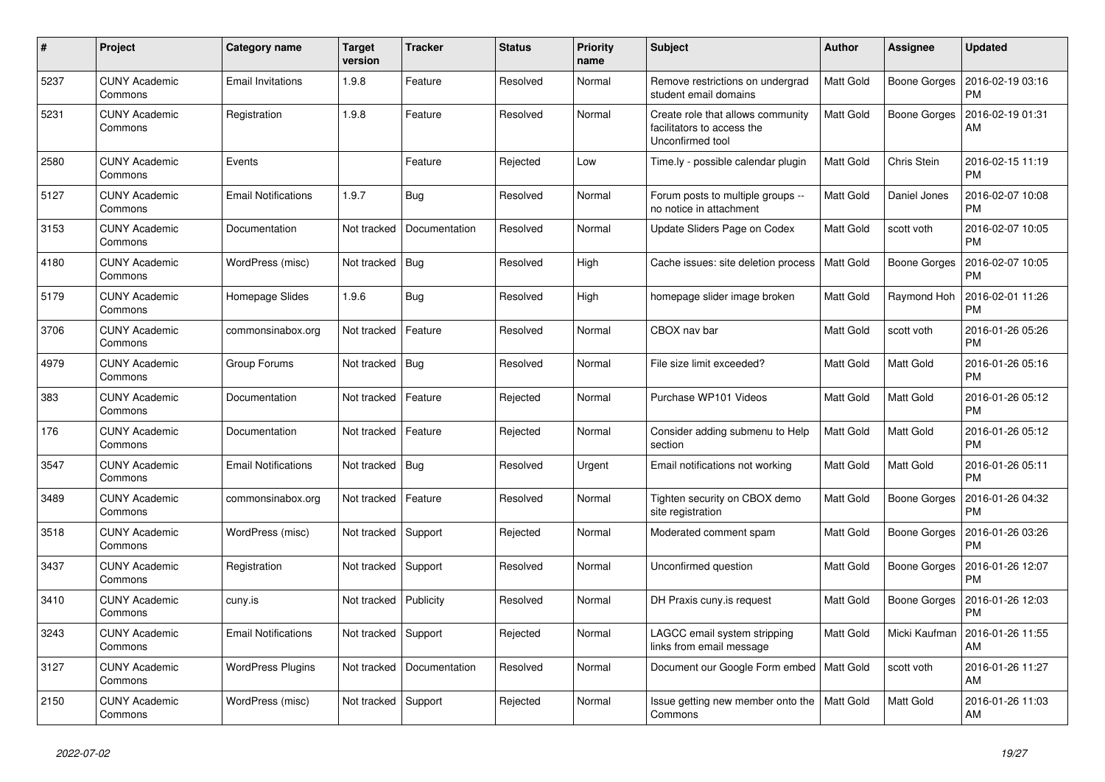| #    | Project                         | Category name              | <b>Target</b><br>version | <b>Tracker</b> | <b>Status</b> | <b>Priority</b><br>name | <b>Subject</b>                                                                      | Author           | <b>Assignee</b>     | <b>Updated</b>                |
|------|---------------------------------|----------------------------|--------------------------|----------------|---------------|-------------------------|-------------------------------------------------------------------------------------|------------------|---------------------|-------------------------------|
| 5237 | <b>CUNY Academic</b><br>Commons | <b>Email Invitations</b>   | 1.9.8                    | Feature        | Resolved      | Normal                  | Remove restrictions on undergrad<br>student email domains                           | Matt Gold        | Boone Gorges        | 2016-02-19 03:16<br><b>PM</b> |
| 5231 | <b>CUNY Academic</b><br>Commons | Registration               | 1.9.8                    | Feature        | Resolved      | Normal                  | Create role that allows community<br>facilitators to access the<br>Unconfirmed tool | Matt Gold        | <b>Boone Gorges</b> | 2016-02-19 01:31<br>AM        |
| 2580 | <b>CUNY Academic</b><br>Commons | Events                     |                          | Feature        | Rejected      | Low                     | Time.ly - possible calendar plugin                                                  | <b>Matt Gold</b> | Chris Stein         | 2016-02-15 11:19<br><b>PM</b> |
| 5127 | <b>CUNY Academic</b><br>Commons | <b>Email Notifications</b> | 1.9.7                    | Bug            | Resolved      | Normal                  | Forum posts to multiple groups --<br>no notice in attachment                        | Matt Gold        | Daniel Jones        | 2016-02-07 10:08<br><b>PM</b> |
| 3153 | <b>CUNY Academic</b><br>Commons | Documentation              | Not tracked              | Documentation  | Resolved      | Normal                  | Update Sliders Page on Codex                                                        | Matt Gold        | scott voth          | 2016-02-07 10:05<br><b>PM</b> |
| 4180 | <b>CUNY Academic</b><br>Commons | WordPress (misc)           | Not tracked              | Bug            | Resolved      | High                    | Cache issues: site deletion process                                                 | Matt Gold        | <b>Boone Gorges</b> | 2016-02-07 10:05<br><b>PM</b> |
| 5179 | <b>CUNY Academic</b><br>Commons | Homepage Slides            | 1.9.6                    | Bug            | Resolved      | High                    | homepage slider image broken                                                        | Matt Gold        | Raymond Hoh         | 2016-02-01 11:26<br><b>PM</b> |
| 3706 | <b>CUNY Academic</b><br>Commons | commonsinabox.org          | Not tracked              | Feature        | Resolved      | Normal                  | CBOX nav bar                                                                        | Matt Gold        | scott voth          | 2016-01-26 05:26<br><b>PM</b> |
| 4979 | <b>CUNY Academic</b><br>Commons | Group Forums               | Not tracked              | Bug            | Resolved      | Normal                  | File size limit exceeded?                                                           | Matt Gold        | Matt Gold           | 2016-01-26 05:16<br><b>PM</b> |
| 383  | <b>CUNY Academic</b><br>Commons | Documentation              | Not tracked              | Feature        | Rejected      | Normal                  | Purchase WP101 Videos                                                               | Matt Gold        | <b>Matt Gold</b>    | 2016-01-26 05:12<br><b>PM</b> |
| 176  | <b>CUNY Academic</b><br>Commons | Documentation              | Not tracked              | Feature        | Rejected      | Normal                  | Consider adding submenu to Help<br>section                                          | Matt Gold        | <b>Matt Gold</b>    | 2016-01-26 05:12<br><b>PM</b> |
| 3547 | <b>CUNY Academic</b><br>Commons | <b>Email Notifications</b> | Not tracked              | Bug            | Resolved      | Urgent                  | Email notifications not working                                                     | Matt Gold        | Matt Gold           | 2016-01-26 05:11<br><b>PM</b> |
| 3489 | <b>CUNY Academic</b><br>Commons | commonsinabox.org          | Not tracked              | Feature        | Resolved      | Normal                  | Tighten security on CBOX demo<br>site registration                                  | Matt Gold        | Boone Gorges        | 2016-01-26 04:32<br><b>PM</b> |
| 3518 | <b>CUNY Academic</b><br>Commons | WordPress (misc)           | Not tracked              | Support        | Rejected      | Normal                  | Moderated comment spam                                                              | Matt Gold        | Boone Gorges        | 2016-01-26 03:26<br><b>PM</b> |
| 3437 | <b>CUNY Academic</b><br>Commons | Registration               | Not tracked              | Support        | Resolved      | Normal                  | Unconfirmed question                                                                | Matt Gold        | Boone Gorges        | 2016-01-26 12:07<br><b>PM</b> |
| 3410 | <b>CUNY Academic</b><br>Commons | cuny.is                    | Not tracked              | Publicity      | Resolved      | Normal                  | DH Praxis cuny is request                                                           | Matt Gold        | Boone Gorges        | 2016-01-26 12:03<br>РM        |
| 3243 | CUNY Academic<br>Commons        | <b>Email Notifications</b> | Not tracked              | Support        | Rejected      | Normal                  | LAGCC email system stripping<br>links from email message                            | Matt Gold        | Micki Kaufman       | 2016-01-26 11:55<br>AM        |
| 3127 | <b>CUNY Academic</b><br>Commons | <b>WordPress Plugins</b>   | Not tracked              | Documentation  | Resolved      | Normal                  | Document our Google Form embed   Matt Gold                                          |                  | scott voth          | 2016-01-26 11:27<br>AM        |
| 2150 | <b>CUNY Academic</b><br>Commons | WordPress (misc)           | Not tracked              | Support        | Rejected      | Normal                  | Issue getting new member onto the<br>Commons                                        | Matt Gold        | <b>Matt Gold</b>    | 2016-01-26 11:03<br>AM        |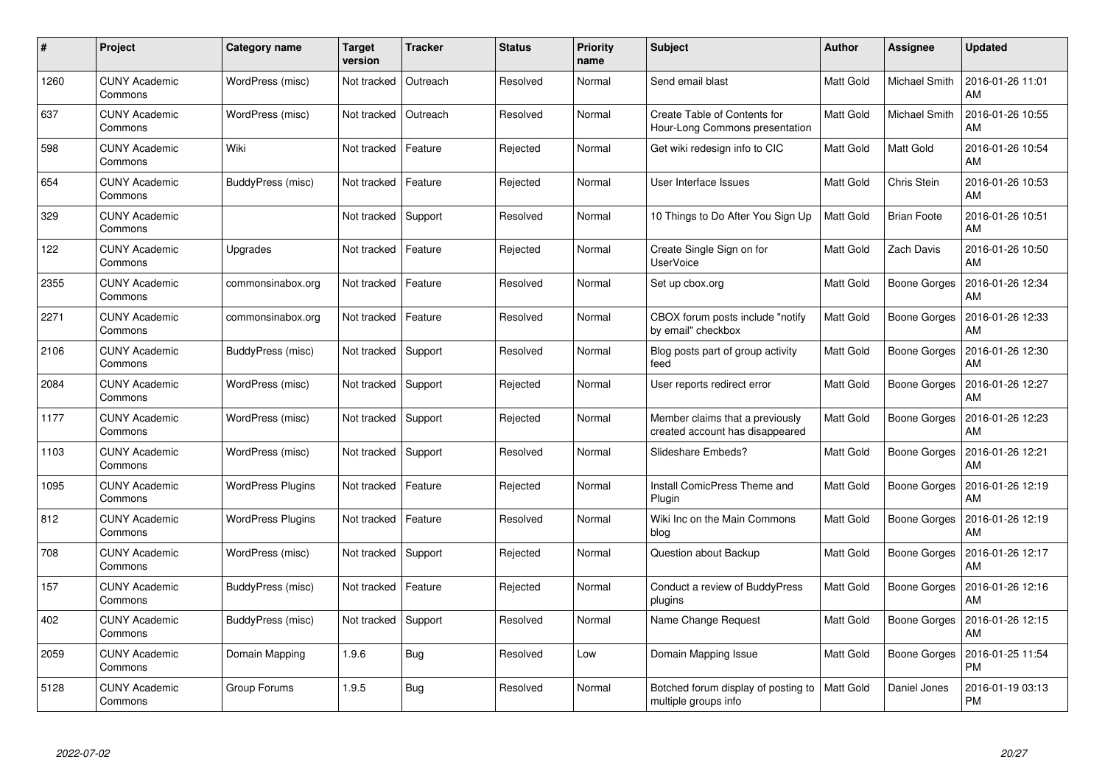| #    | Project                         | Category name            | <b>Target</b><br>version | <b>Tracker</b> | <b>Status</b> | <b>Priority</b><br>name | <b>Subject</b>                                                     | <b>Author</b>    | Assignee            | <b>Updated</b>                |
|------|---------------------------------|--------------------------|--------------------------|----------------|---------------|-------------------------|--------------------------------------------------------------------|------------------|---------------------|-------------------------------|
| 1260 | <b>CUNY Academic</b><br>Commons | WordPress (misc)         | Not tracked              | Outreach       | Resolved      | Normal                  | Send email blast                                                   | <b>Matt Gold</b> | Michael Smith       | 2016-01-26 11:01<br>AM        |
| 637  | <b>CUNY Academic</b><br>Commons | WordPress (misc)         | Not tracked              | Outreach       | Resolved      | Normal                  | Create Table of Contents for<br>Hour-Long Commons presentation     | Matt Gold        | Michael Smith       | 2016-01-26 10:55<br>AM        |
| 598  | <b>CUNY Academic</b><br>Commons | Wiki                     | Not tracked              | Feature        | Rejected      | Normal                  | Get wiki redesign info to CIC                                      | Matt Gold        | Matt Gold           | 2016-01-26 10:54<br>AM        |
| 654  | <b>CUNY Academic</b><br>Commons | BuddyPress (misc)        | Not tracked              | Feature        | Rejected      | Normal                  | User Interface Issues                                              | Matt Gold        | Chris Stein         | 2016-01-26 10:53<br>AM        |
| 329  | <b>CUNY Academic</b><br>Commons |                          | Not tracked              | Support        | Resolved      | Normal                  | 10 Things to Do After You Sign Up                                  | Matt Gold        | <b>Brian Foote</b>  | 2016-01-26 10:51<br>AM        |
| 122  | <b>CUNY Academic</b><br>Commons | Upgrades                 | Not tracked              | Feature        | Rejected      | Normal                  | Create Single Sign on for<br><b>UserVoice</b>                      | Matt Gold        | <b>Zach Davis</b>   | 2016-01-26 10:50<br>AM        |
| 2355 | <b>CUNY Academic</b><br>Commons | commonsinabox.org        | Not tracked              | Feature        | Resolved      | Normal                  | Set up cbox.org                                                    | Matt Gold        | <b>Boone Gorges</b> | 2016-01-26 12:34<br>AM        |
| 2271 | <b>CUNY Academic</b><br>Commons | commonsinabox.org        | Not tracked              | Feature        | Resolved      | Normal                  | CBOX forum posts include "notify<br>by email" checkbox             | Matt Gold        | Boone Gorges        | 2016-01-26 12:33<br>AM        |
| 2106 | <b>CUNY Academic</b><br>Commons | BuddyPress (misc)        | Not tracked              | Support        | Resolved      | Normal                  | Blog posts part of group activity<br>feed                          | Matt Gold        | Boone Gorges        | 2016-01-26 12:30<br>AM        |
| 2084 | <b>CUNY Academic</b><br>Commons | WordPress (misc)         | Not tracked              | Support        | Rejected      | Normal                  | User reports redirect error                                        | Matt Gold        | Boone Gorges        | 2016-01-26 12:27<br>AM        |
| 1177 | <b>CUNY Academic</b><br>Commons | WordPress (misc)         | Not tracked              | Support        | Rejected      | Normal                  | Member claims that a previously<br>created account has disappeared | Matt Gold        | Boone Gorges        | 2016-01-26 12:23<br>AM        |
| 1103 | <b>CUNY Academic</b><br>Commons | WordPress (misc)         | Not tracked              | Support        | Resolved      | Normal                  | Slideshare Embeds?                                                 | Matt Gold        | Boone Gorges        | 2016-01-26 12:21<br>AM        |
| 1095 | <b>CUNY Academic</b><br>Commons | <b>WordPress Plugins</b> | Not tracked              | Feature        | Rejected      | Normal                  | Install ComicPress Theme and<br>Plugin                             | Matt Gold        | Boone Gorges        | 2016-01-26 12:19<br>AM        |
| 812  | <b>CUNY Academic</b><br>Commons | <b>WordPress Plugins</b> | Not tracked              | Feature        | Resolved      | Normal                  | Wiki Inc on the Main Commons<br>blog                               | Matt Gold        | <b>Boone Gorges</b> | 2016-01-26 12:19<br>AM        |
| 708  | <b>CUNY Academic</b><br>Commons | WordPress (misc)         | Not tracked              | Support        | Rejected      | Normal                  | Question about Backup                                              | Matt Gold        | <b>Boone Gorges</b> | 2016-01-26 12:17<br>AM        |
| 157  | <b>CUNY Academic</b><br>Commons | BuddyPress (misc)        | Not tracked              | Feature        | Rejected      | Normal                  | Conduct a review of BuddyPress<br>plugins                          | Matt Gold        | Boone Gorges        | 2016-01-26 12:16<br>AM        |
| 402  | <b>CUNY Academic</b><br>Commons | BuddyPress (misc)        | Not tracked              | Support        | Resolved      | Normal                  | Name Change Request                                                | Matt Gold        | Boone Gorges        | 2016-01-26 12:15<br>AM        |
| 2059 | <b>CUNY Academic</b><br>Commons | Domain Mapping           | 1.9.6                    | Bug            | Resolved      | Low                     | Domain Mapping Issue                                               | Matt Gold        | <b>Boone Gorges</b> | 2016-01-25 11:54<br><b>PM</b> |
| 5128 | CUNY Academic<br>Commons        | Group Forums             | 1.9.5                    | <b>Bug</b>     | Resolved      | Normal                  | Botched forum display of posting to<br>multiple groups info        | Matt Gold        | Daniel Jones        | 2016-01-19 03:13<br>PM        |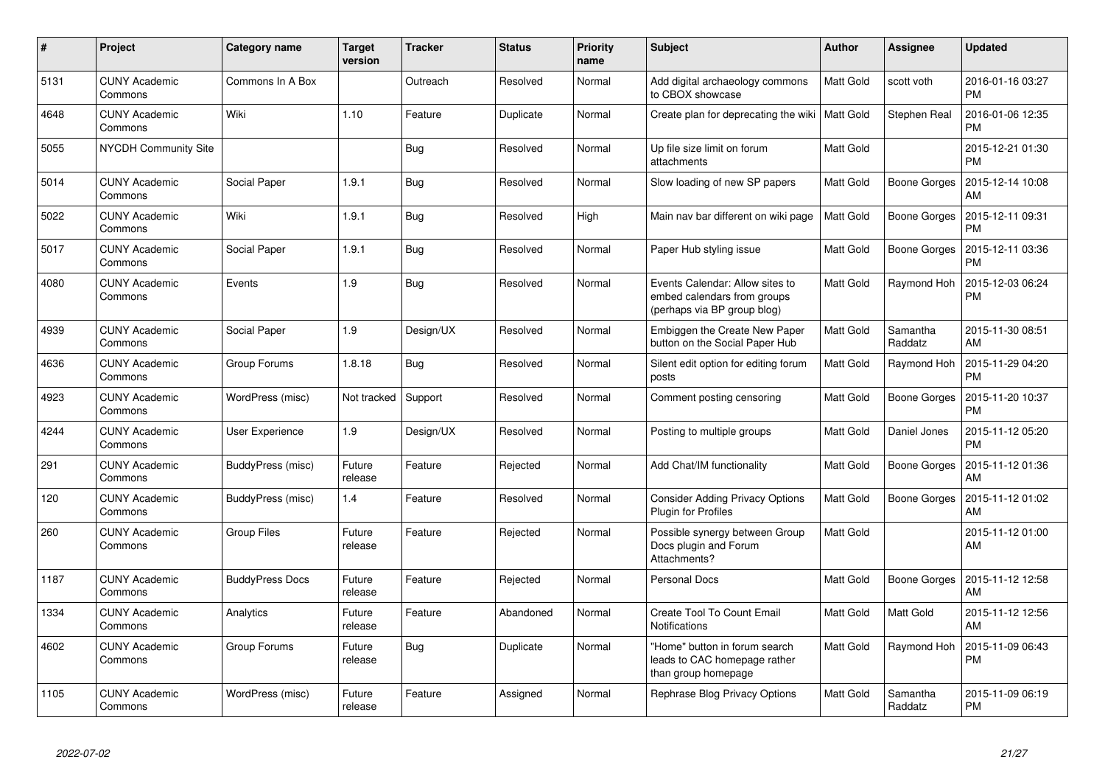| $\pmb{\#}$ | Project                         | Category name          | <b>Target</b><br>version | <b>Tracker</b> | <b>Status</b> | <b>Priority</b><br>name | <b>Subject</b>                                                                                | Author           | Assignee            | <b>Updated</b>                |
|------------|---------------------------------|------------------------|--------------------------|----------------|---------------|-------------------------|-----------------------------------------------------------------------------------------------|------------------|---------------------|-------------------------------|
| 5131       | <b>CUNY Academic</b><br>Commons | Commons In A Box       |                          | Outreach       | Resolved      | Normal                  | Add digital archaeology commons<br>to CBOX showcase                                           | <b>Matt Gold</b> | scott voth          | 2016-01-16 03:27<br><b>PM</b> |
| 4648       | <b>CUNY Academic</b><br>Commons | Wiki                   | 1.10                     | Feature        | Duplicate     | Normal                  | Create plan for deprecating the wiki   Matt Gold                                              |                  | Stephen Real        | 2016-01-06 12:35<br><b>PM</b> |
| 5055       | <b>NYCDH Community Site</b>     |                        |                          | Bug            | Resolved      | Normal                  | Up file size limit on forum<br>attachments                                                    | Matt Gold        |                     | 2015-12-21 01:30<br><b>PM</b> |
| 5014       | <b>CUNY Academic</b><br>Commons | Social Paper           | 1.9.1                    | <b>Bug</b>     | Resolved      | Normal                  | Slow loading of new SP papers                                                                 | Matt Gold        | Boone Gorges        | 2015-12-14 10:08<br>AM        |
| 5022       | <b>CUNY Academic</b><br>Commons | Wiki                   | 1.9.1                    | Bug            | Resolved      | High                    | Main nav bar different on wiki page                                                           | Matt Gold        | Boone Gorges        | 2015-12-11 09:31<br><b>PM</b> |
| 5017       | <b>CUNY Academic</b><br>Commons | Social Paper           | 1.9.1                    | Bug            | Resolved      | Normal                  | Paper Hub styling issue                                                                       | Matt Gold        | Boone Gorges        | 2015-12-11 03:36<br><b>PM</b> |
| 4080       | <b>CUNY Academic</b><br>Commons | Events                 | 1.9                      | Bug            | Resolved      | Normal                  | Events Calendar: Allow sites to<br>embed calendars from groups<br>(perhaps via BP group blog) | Matt Gold        | Raymond Hoh         | 2015-12-03 06:24<br><b>PM</b> |
| 4939       | <b>CUNY Academic</b><br>Commons | Social Paper           | 1.9                      | Design/UX      | Resolved      | Normal                  | Embiggen the Create New Paper<br>button on the Social Paper Hub                               | Matt Gold        | Samantha<br>Raddatz | 2015-11-30 08:51<br>AM        |
| 4636       | <b>CUNY Academic</b><br>Commons | Group Forums           | 1.8.18                   | Bug            | Resolved      | Normal                  | Silent edit option for editing forum<br>posts                                                 | <b>Matt Gold</b> | Raymond Hoh         | 2015-11-29 04:20<br><b>PM</b> |
| 4923       | <b>CUNY Academic</b><br>Commons | WordPress (misc)       | Not tracked              | Support        | Resolved      | Normal                  | Comment posting censoring                                                                     | Matt Gold        | Boone Gorges        | 2015-11-20 10:37<br><b>PM</b> |
| 4244       | <b>CUNY Academic</b><br>Commons | User Experience        | 1.9                      | Design/UX      | Resolved      | Normal                  | Posting to multiple groups                                                                    | Matt Gold        | Daniel Jones        | 2015-11-12 05:20<br><b>PM</b> |
| 291        | <b>CUNY Academic</b><br>Commons | BuddyPress (misc)      | Future<br>release        | Feature        | Rejected      | Normal                  | Add Chat/IM functionality                                                                     | Matt Gold        | Boone Gorges        | 2015-11-12 01:36<br>AM        |
| 120        | <b>CUNY Academic</b><br>Commons | BuddyPress (misc)      | 1.4                      | Feature        | Resolved      | Normal                  | <b>Consider Adding Privacy Options</b><br>Plugin for Profiles                                 | Matt Gold        | Boone Gorges        | 2015-11-12 01:02<br>AM        |
| 260        | <b>CUNY Academic</b><br>Commons | <b>Group Files</b>     | Future<br>release        | Feature        | Rejected      | Normal                  | Possible synergy between Group<br>Docs plugin and Forum<br>Attachments?                       | Matt Gold        |                     | 2015-11-12 01:00<br>AM        |
| 1187       | <b>CUNY Academic</b><br>Commons | <b>BuddyPress Docs</b> | Future<br>release        | Feature        | Rejected      | Normal                  | <b>Personal Docs</b>                                                                          | Matt Gold        | Boone Gorges        | 2015-11-12 12:58<br>AM        |
| 1334       | <b>CUNY Academic</b><br>Commons | Analytics              | Future<br>release        | Feature        | Abandoned     | Normal                  | Create Tool To Count Email<br><b>Notifications</b>                                            | Matt Gold        | Matt Gold           | 2015-11-12 12:56<br>AM        |
| 4602       | <b>CUNY Academic</b><br>Commons | Group Forums           | Future<br>release        | <b>Bug</b>     | Duplicate     | Normal                  | 'Home" button in forum search<br>leads to CAC homepage rather<br>than group homepage          | Matt Gold        | Raymond Hoh         | 2015-11-09 06:43<br>PM        |
| 1105       | <b>CUNY Academic</b><br>Commons | WordPress (misc)       | Future<br>release        | Feature        | Assigned      | Normal                  | Rephrase Blog Privacy Options                                                                 | Matt Gold        | Samantha<br>Raddatz | 2015-11-09 06:19<br><b>PM</b> |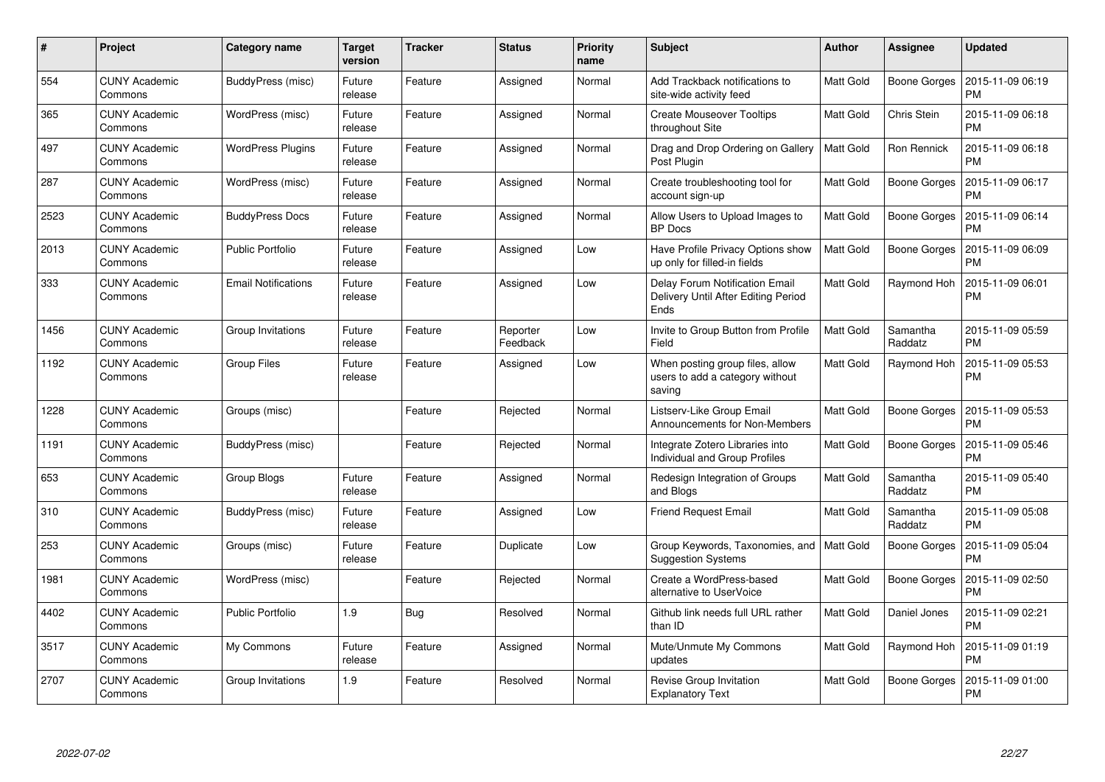| $\#$ | Project                         | Category name              | <b>Target</b><br>version | <b>Tracker</b> | <b>Status</b>        | <b>Priority</b><br>name | <b>Subject</b>                                                                | <b>Author</b>    | Assignee            | <b>Updated</b>                |
|------|---------------------------------|----------------------------|--------------------------|----------------|----------------------|-------------------------|-------------------------------------------------------------------------------|------------------|---------------------|-------------------------------|
| 554  | <b>CUNY Academic</b><br>Commons | BuddyPress (misc)          | Future<br>release        | Feature        | Assigned             | Normal                  | Add Trackback notifications to<br>site-wide activity feed                     | Matt Gold        | Boone Gorges        | 2015-11-09 06:19<br><b>PM</b> |
| 365  | <b>CUNY Academic</b><br>Commons | WordPress (misc)           | Future<br>release        | Feature        | Assigned             | Normal                  | <b>Create Mouseover Tooltips</b><br>throughout Site                           | Matt Gold        | Chris Stein         | 2015-11-09 06:18<br><b>PM</b> |
| 497  | <b>CUNY Academic</b><br>Commons | <b>WordPress Plugins</b>   | Future<br>release        | Feature        | Assigned             | Normal                  | Drag and Drop Ordering on Gallery<br>Post Plugin                              | <b>Matt Gold</b> | Ron Rennick         | 2015-11-09 06:18<br><b>PM</b> |
| 287  | <b>CUNY Academic</b><br>Commons | WordPress (misc)           | Future<br>release        | Feature        | Assigned             | Normal                  | Create troubleshooting tool for<br>account sign-up                            | Matt Gold        | <b>Boone Gorges</b> | 2015-11-09 06:17<br><b>PM</b> |
| 2523 | <b>CUNY Academic</b><br>Commons | <b>BuddyPress Docs</b>     | Future<br>release        | Feature        | Assigned             | Normal                  | Allow Users to Upload Images to<br><b>BP</b> Docs                             | Matt Gold        | Boone Gorges        | 2015-11-09 06:14<br><b>PM</b> |
| 2013 | <b>CUNY Academic</b><br>Commons | <b>Public Portfolio</b>    | Future<br>release        | Feature        | Assigned             | Low                     | Have Profile Privacy Options show<br>up only for filled-in fields             | Matt Gold        | Boone Gorges        | 2015-11-09 06:09<br><b>PM</b> |
| 333  | <b>CUNY Academic</b><br>Commons | <b>Email Notifications</b> | Future<br>release        | Feature        | Assigned             | Low                     | Delay Forum Notification Email<br>Delivery Until After Editing Period<br>Ends | Matt Gold        | Raymond Hoh         | 2015-11-09 06:01<br><b>PM</b> |
| 1456 | <b>CUNY Academic</b><br>Commons | Group Invitations          | Future<br>release        | Feature        | Reporter<br>Feedback | Low                     | Invite to Group Button from Profile<br>Field                                  | Matt Gold        | Samantha<br>Raddatz | 2015-11-09 05:59<br><b>PM</b> |
| 1192 | <b>CUNY Academic</b><br>Commons | <b>Group Files</b>         | Future<br>release        | Feature        | Assigned             | Low                     | When posting group files, allow<br>users to add a category without<br>saving  | Matt Gold        | Raymond Hoh         | 2015-11-09 05:53<br><b>PM</b> |
| 1228 | <b>CUNY Academic</b><br>Commons | Groups (misc)              |                          | Feature        | Rejected             | Normal                  | Listserv-Like Group Email<br>Announcements for Non-Members                    | Matt Gold        | <b>Boone Gorges</b> | 2015-11-09 05:53<br><b>PM</b> |
| 1191 | <b>CUNY Academic</b><br>Commons | BuddyPress (misc)          |                          | Feature        | Rejected             | Normal                  | Integrate Zotero Libraries into<br>Individual and Group Profiles              | Matt Gold        | Boone Gorges        | 2015-11-09 05:46<br><b>PM</b> |
| 653  | <b>CUNY Academic</b><br>Commons | Group Blogs                | Future<br>release        | Feature        | Assigned             | Normal                  | Redesign Integration of Groups<br>and Blogs                                   | Matt Gold        | Samantha<br>Raddatz | 2015-11-09 05:40<br><b>PM</b> |
| 310  | <b>CUNY Academic</b><br>Commons | BuddyPress (misc)          | Future<br>release        | Feature        | Assigned             | Low                     | <b>Friend Request Email</b>                                                   | Matt Gold        | Samantha<br>Raddatz | 2015-11-09 05:08<br><b>PM</b> |
| 253  | <b>CUNY Academic</b><br>Commons | Groups (misc)              | Future<br>release        | Feature        | Duplicate            | Low                     | Group Keywords, Taxonomies, and<br><b>Suggestion Systems</b>                  | Matt Gold        | Boone Gorges        | 2015-11-09 05:04<br><b>PM</b> |
| 1981 | <b>CUNY Academic</b><br>Commons | WordPress (misc)           |                          | Feature        | Rejected             | Normal                  | Create a WordPress-based<br>alternative to UserVoice                          | Matt Gold        | Boone Gorges        | 2015-11-09 02:50<br><b>PM</b> |
| 4402 | <b>CUNY Academic</b><br>Commons | <b>Public Portfolio</b>    | 1.9                      | Bug            | Resolved             | Normal                  | Github link needs full URL rather<br>than ID                                  | Matt Gold        | Daniel Jones        | 2015-11-09 02:21<br><b>PM</b> |
| 3517 | <b>CUNY Academic</b><br>Commons | My Commons                 | Future<br>release        | Feature        | Assigned             | Normal                  | Mute/Unmute My Commons<br>updates                                             | Matt Gold        | Raymond Hoh         | 2015-11-09 01:19<br><b>PM</b> |
| 2707 | <b>CUNY Academic</b><br>Commons | Group Invitations          | 1.9                      | Feature        | Resolved             | Normal                  | Revise Group Invitation<br><b>Explanatory Text</b>                            | Matt Gold        | Boone Gorges        | 2015-11-09 01:00<br><b>PM</b> |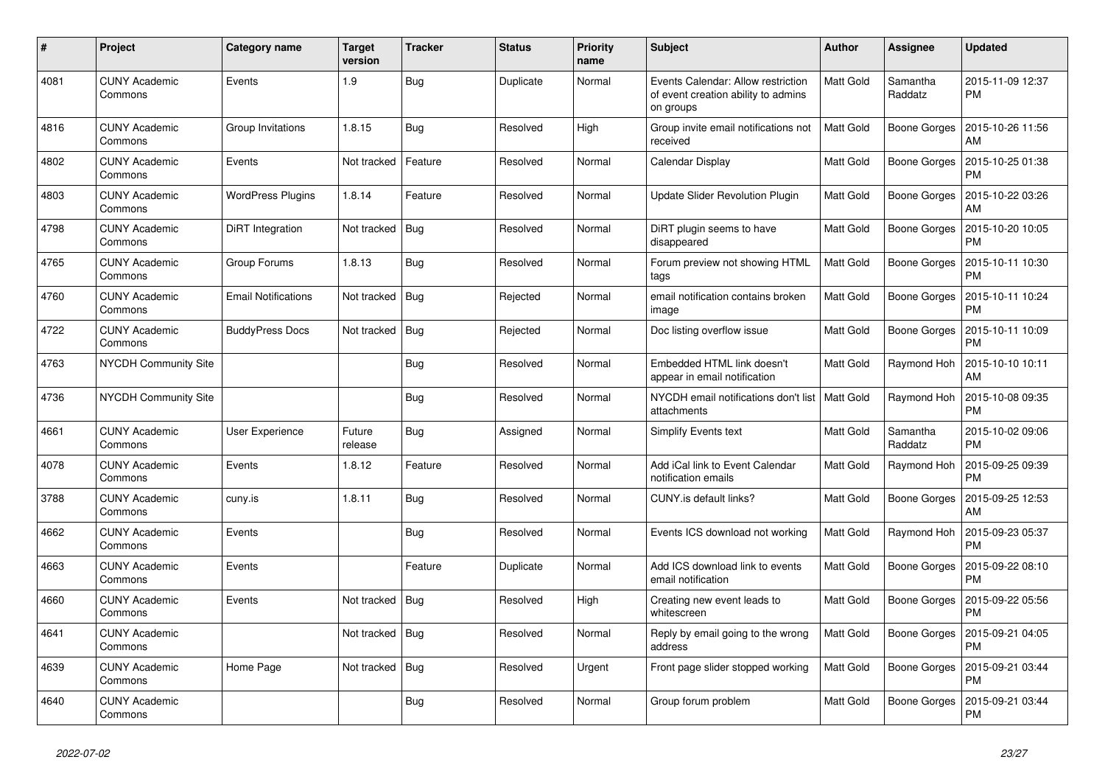| #    | Project                         | Category name              | <b>Target</b><br>version | <b>Tracker</b> | <b>Status</b> | <b>Priority</b><br>name | <b>Subject</b>                                                                         | <b>Author</b>    | Assignee            | <b>Updated</b>                |
|------|---------------------------------|----------------------------|--------------------------|----------------|---------------|-------------------------|----------------------------------------------------------------------------------------|------------------|---------------------|-------------------------------|
| 4081 | <b>CUNY Academic</b><br>Commons | Events                     | 1.9                      | <b>Bug</b>     | Duplicate     | Normal                  | Events Calendar: Allow restriction<br>of event creation ability to admins<br>on groups | Matt Gold        | Samantha<br>Raddatz | 2015-11-09 12:37<br><b>PM</b> |
| 4816 | <b>CUNY Academic</b><br>Commons | Group Invitations          | 1.8.15                   | Bug            | Resolved      | High                    | Group invite email notifications not<br>received                                       | <b>Matt Gold</b> | Boone Gorges        | 2015-10-26 11:56<br>AM        |
| 4802 | <b>CUNY Academic</b><br>Commons | Events                     | Not tracked              | Feature        | Resolved      | Normal                  | Calendar Display                                                                       | Matt Gold        | Boone Gorges        | 2015-10-25 01:38<br><b>PM</b> |
| 4803 | <b>CUNY Academic</b><br>Commons | <b>WordPress Plugins</b>   | 1.8.14                   | Feature        | Resolved      | Normal                  | Update Slider Revolution Plugin                                                        | Matt Gold        | Boone Gorges        | 2015-10-22 03:26<br>AM        |
| 4798 | <b>CUNY Academic</b><br>Commons | DiRT Integration           | Not tracked              | Bug            | Resolved      | Normal                  | DiRT plugin seems to have<br>disappeared                                               | Matt Gold        | Boone Gorges        | 2015-10-20 10:05<br><b>PM</b> |
| 4765 | <b>CUNY Academic</b><br>Commons | Group Forums               | 1.8.13                   | Bug            | Resolved      | Normal                  | Forum preview not showing HTML<br>tags                                                 | Matt Gold        | Boone Gorges        | 2015-10-11 10:30<br><b>PM</b> |
| 4760 | <b>CUNY Academic</b><br>Commons | <b>Email Notifications</b> | Not tracked              | Bug            | Rejected      | Normal                  | email notification contains broken<br>image                                            | Matt Gold        | Boone Gorges        | 2015-10-11 10:24<br><b>PM</b> |
| 4722 | <b>CUNY Academic</b><br>Commons | <b>BuddyPress Docs</b>     | Not tracked              | Bug            | Rejected      | Normal                  | Doc listing overflow issue                                                             | Matt Gold        | Boone Gorges        | 2015-10-11 10:09<br><b>PM</b> |
| 4763 | <b>NYCDH Community Site</b>     |                            |                          | <b>Bug</b>     | Resolved      | Normal                  | Embedded HTML link doesn't<br>appear in email notification                             | Matt Gold        | Raymond Hoh         | 2015-10-10 10:11<br>AM        |
| 4736 | <b>NYCDH Community Site</b>     |                            |                          | Bug            | Resolved      | Normal                  | NYCDH email notifications don't list<br>attachments                                    | l Matt Gold      | Raymond Hoh         | 2015-10-08 09:35<br><b>PM</b> |
| 4661 | <b>CUNY Academic</b><br>Commons | User Experience            | Future<br>release        | Bug            | Assigned      | Normal                  | <b>Simplify Events text</b>                                                            | Matt Gold        | Samantha<br>Raddatz | 2015-10-02 09:06<br><b>PM</b> |
| 4078 | <b>CUNY Academic</b><br>Commons | Events                     | 1.8.12                   | Feature        | Resolved      | Normal                  | Add iCal link to Event Calendar<br>notification emails                                 | Matt Gold        | Raymond Hoh         | 2015-09-25 09:39<br><b>PM</b> |
| 3788 | <b>CUNY Academic</b><br>Commons | cuny.is                    | 1.8.11                   | <b>Bug</b>     | Resolved      | Normal                  | CUNY.is default links?                                                                 | <b>Matt Gold</b> | Boone Gorges        | 2015-09-25 12:53<br>AM        |
| 4662 | <b>CUNY Academic</b><br>Commons | Events                     |                          | Bug            | Resolved      | Normal                  | Events ICS download not working                                                        | Matt Gold        | Raymond Hoh         | 2015-09-23 05:37<br><b>PM</b> |
| 4663 | <b>CUNY Academic</b><br>Commons | Events                     |                          | Feature        | Duplicate     | Normal                  | Add ICS download link to events<br>email notification                                  | <b>Matt Gold</b> | Boone Gorges        | 2015-09-22 08:10<br><b>PM</b> |
| 4660 | <b>CUNY Academic</b><br>Commons | Events                     | Not tracked              | <b>Bug</b>     | Resolved      | High                    | Creating new event leads to<br>whitescreen                                             | Matt Gold        | <b>Boone Gorges</b> | 2015-09-22 05:56<br><b>PM</b> |
| 4641 | <b>CUNY Academic</b><br>Commons |                            | Not tracked              | Bug            | Resolved      | Normal                  | Reply by email going to the wrong<br>address                                           | <b>Matt Gold</b> | Boone Gorges        | 2015-09-21 04:05<br><b>PM</b> |
| 4639 | <b>CUNY Academic</b><br>Commons | Home Page                  | Not tracked              | <b>Bug</b>     | Resolved      | Urgent                  | Front page slider stopped working                                                      | Matt Gold        | Boone Gorges        | 2015-09-21 03:44<br><b>PM</b> |
| 4640 | <b>CUNY Academic</b><br>Commons |                            |                          | <b>Bug</b>     | Resolved      | Normal                  | Group forum problem                                                                    | Matt Gold        | Boone Gorges        | 2015-09-21 03:44<br><b>PM</b> |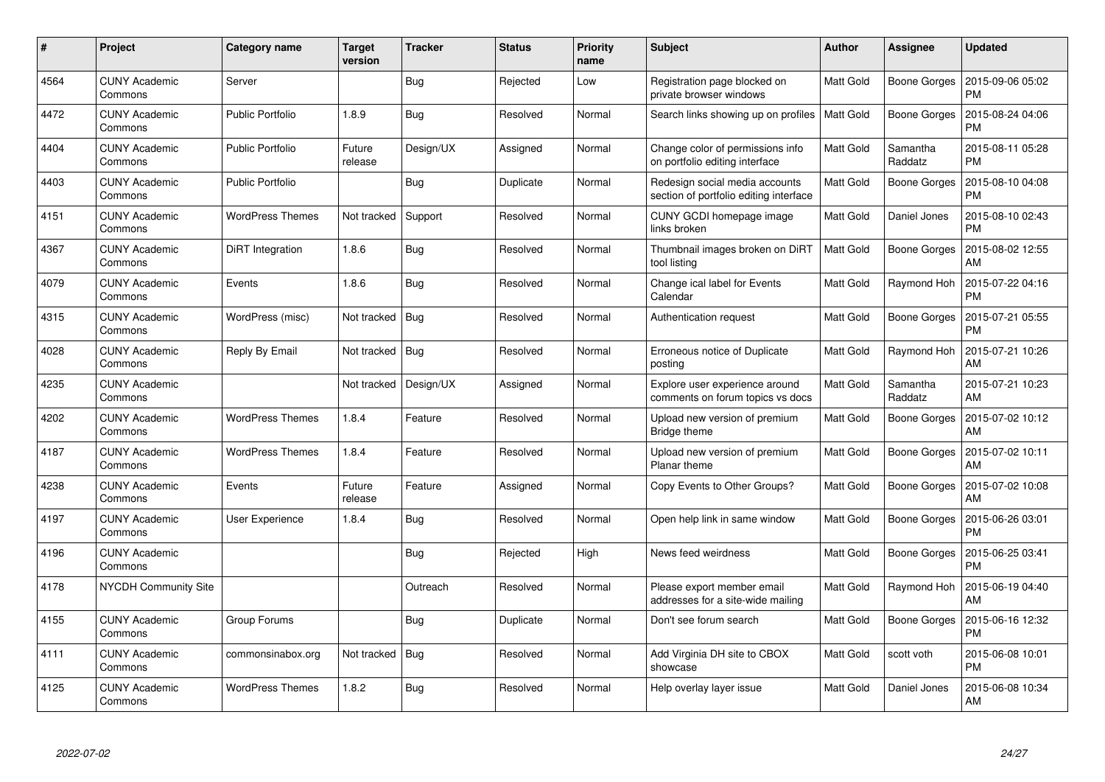| #    | Project                         | Category name           | Target<br>version | <b>Tracker</b> | <b>Status</b> | <b>Priority</b><br>name | <b>Subject</b>                                                           | <b>Author</b> | Assignee            | <b>Updated</b>                |
|------|---------------------------------|-------------------------|-------------------|----------------|---------------|-------------------------|--------------------------------------------------------------------------|---------------|---------------------|-------------------------------|
| 4564 | <b>CUNY Academic</b><br>Commons | Server                  |                   | <b>Bug</b>     | Rejected      | Low                     | Registration page blocked on<br>private browser windows                  | Matt Gold     | Boone Gorges        | 2015-09-06 05:02<br><b>PM</b> |
| 4472 | <b>CUNY Academic</b><br>Commons | <b>Public Portfolio</b> | 1.8.9             | <b>Bug</b>     | Resolved      | Normal                  | Search links showing up on profiles                                      | Matt Gold     | <b>Boone Gorges</b> | 2015-08-24 04:06<br><b>PM</b> |
| 4404 | <b>CUNY Academic</b><br>Commons | <b>Public Portfolio</b> | Future<br>release | Design/UX      | Assigned      | Normal                  | Change color of permissions info<br>on portfolio editing interface       | Matt Gold     | Samantha<br>Raddatz | 2015-08-11 05:28<br><b>PM</b> |
| 4403 | <b>CUNY Academic</b><br>Commons | <b>Public Portfolio</b> |                   | <b>Bug</b>     | Duplicate     | Normal                  | Redesign social media accounts<br>section of portfolio editing interface | Matt Gold     | <b>Boone Gorges</b> | 2015-08-10 04:08<br><b>PM</b> |
| 4151 | <b>CUNY Academic</b><br>Commons | <b>WordPress Themes</b> | Not tracked       | Support        | Resolved      | Normal                  | CUNY GCDI homepage image<br>links broken                                 | Matt Gold     | Daniel Jones        | 2015-08-10 02:43<br><b>PM</b> |
| 4367 | <b>CUNY Academic</b><br>Commons | <b>DiRT</b> Integration | 1.8.6             | <b>Bug</b>     | Resolved      | Normal                  | Thumbnail images broken on DiRT<br>tool listing                          | Matt Gold     | <b>Boone Gorges</b> | 2015-08-02 12:55<br>AM        |
| 4079 | <b>CUNY Academic</b><br>Commons | Events                  | 1.8.6             | Bug            | Resolved      | Normal                  | Change ical label for Events<br>Calendar                                 | Matt Gold     | Raymond Hoh         | 2015-07-22 04:16<br><b>PM</b> |
| 4315 | <b>CUNY Academic</b><br>Commons | WordPress (misc)        | Not tracked       | Bug            | Resolved      | Normal                  | Authentication request                                                   | Matt Gold     | Boone Gorges        | 2015-07-21 05:55<br><b>PM</b> |
| 4028 | <b>CUNY Academic</b><br>Commons | Reply By Email          | Not tracked       | Bug            | Resolved      | Normal                  | Erroneous notice of Duplicate<br>posting                                 | Matt Gold     | Raymond Hoh         | 2015-07-21 10:26<br>AM        |
| 4235 | <b>CUNY Academic</b><br>Commons |                         | Not tracked       | Design/UX      | Assigned      | Normal                  | Explore user experience around<br>comments on forum topics vs docs       | Matt Gold     | Samantha<br>Raddatz | 2015-07-21 10:23<br>AM        |
| 4202 | <b>CUNY Academic</b><br>Commons | <b>WordPress Themes</b> | 1.8.4             | Feature        | Resolved      | Normal                  | Upload new version of premium<br>Bridge theme                            | Matt Gold     | Boone Gorges        | 2015-07-02 10:12<br>AM        |
| 4187 | <b>CUNY Academic</b><br>Commons | <b>WordPress Themes</b> | 1.8.4             | Feature        | Resolved      | Normal                  | Upload new version of premium<br>Planar theme                            | Matt Gold     | Boone Gorges        | 2015-07-02 10:11<br>AM        |
| 4238 | <b>CUNY Academic</b><br>Commons | Events                  | Future<br>release | Feature        | Assigned      | Normal                  | Copy Events to Other Groups?                                             | Matt Gold     | Boone Gorges        | 2015-07-02 10:08<br>AM        |
| 4197 | <b>CUNY Academic</b><br>Commons | User Experience         | 1.8.4             | <b>Bug</b>     | Resolved      | Normal                  | Open help link in same window                                            | Matt Gold     | <b>Boone Gorges</b> | 2015-06-26 03:01<br><b>PM</b> |
| 4196 | <b>CUNY Academic</b><br>Commons |                         |                   | Bug            | Rejected      | High                    | News feed weirdness                                                      | Matt Gold     | Boone Gorges        | 2015-06-25 03:41<br><b>PM</b> |
| 4178 | <b>NYCDH Community Site</b>     |                         |                   | Outreach       | Resolved      | Normal                  | Please export member email<br>addresses for a site-wide mailing          | Matt Gold     | Raymond Hoh         | 2015-06-19 04:40<br>AM        |
| 4155 | <b>CUNY Academic</b><br>Commons | Group Forums            |                   | Bug            | Duplicate     | Normal                  | Don't see forum search                                                   | Matt Gold     | Boone Gorges        | 2015-06-16 12:32<br><b>PM</b> |
| 4111 | <b>CUNY Academic</b><br>Commons | commonsinabox.org       | Not tracked       | <b>Bug</b>     | Resolved      | Normal                  | Add Virginia DH site to CBOX<br>showcase                                 | Matt Gold     | scott voth          | 2015-06-08 10:01<br><b>PM</b> |
| 4125 | CUNY Academic<br>Commons        | <b>WordPress Themes</b> | 1.8.2             | Bug            | Resolved      | Normal                  | Help overlay layer issue                                                 | Matt Gold     | Daniel Jones        | 2015-06-08 10:34<br>AM        |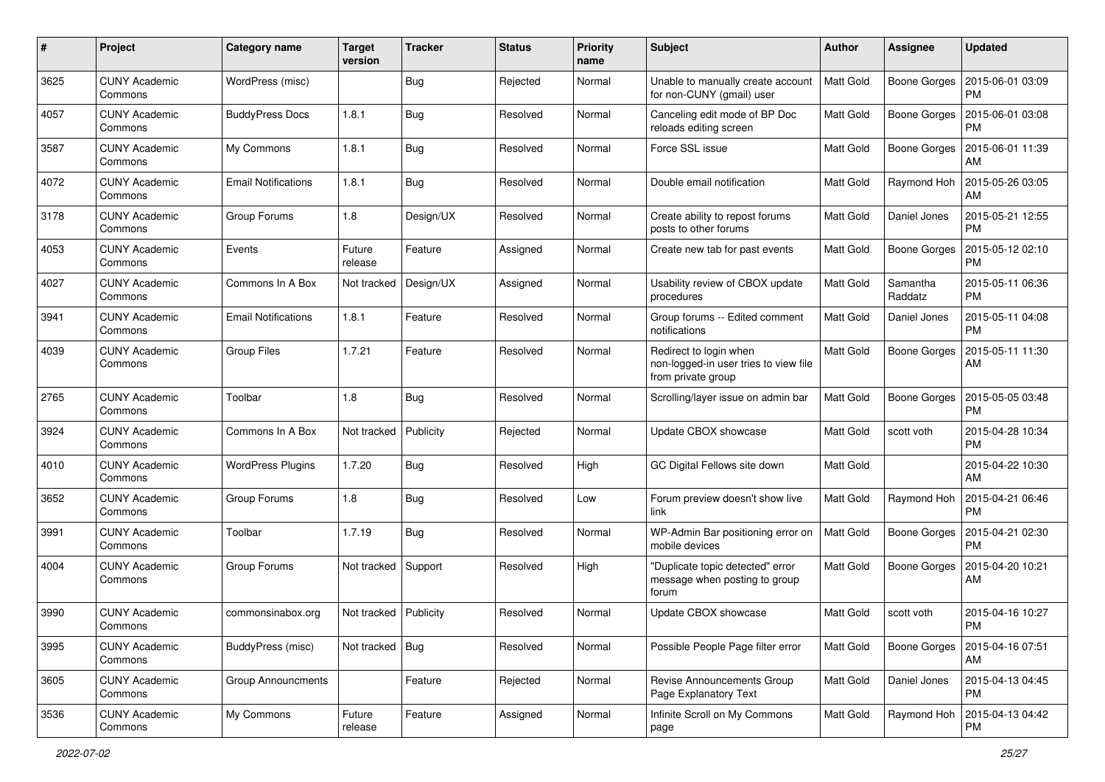| #    | Project                         | <b>Category name</b>       | <b>Target</b><br>version | <b>Tracker</b> | <b>Status</b> | <b>Priority</b><br>name | <b>Subject</b>                                                                        | Author           | <b>Assignee</b>     | <b>Updated</b>                |
|------|---------------------------------|----------------------------|--------------------------|----------------|---------------|-------------------------|---------------------------------------------------------------------------------------|------------------|---------------------|-------------------------------|
| 3625 | <b>CUNY Academic</b><br>Commons | WordPress (misc)           |                          | Bug            | Rejected      | Normal                  | Unable to manually create account<br>for non-CUNY (gmail) user                        | Matt Gold        | <b>Boone Gorges</b> | 2015-06-01 03:09<br><b>PM</b> |
| 4057 | <b>CUNY Academic</b><br>Commons | <b>BuddyPress Docs</b>     | 1.8.1                    | <b>Bug</b>     | Resolved      | Normal                  | Canceling edit mode of BP Doc<br>reloads editing screen                               | Matt Gold        | <b>Boone Gorges</b> | 2015-06-01 03:08<br><b>PM</b> |
| 3587 | CUNY Academic<br>Commons        | My Commons                 | 1.8.1                    | Bug            | Resolved      | Normal                  | Force SSL issue                                                                       | Matt Gold        | <b>Boone Gorges</b> | 2015-06-01 11:39<br>AM        |
| 4072 | <b>CUNY Academic</b><br>Commons | <b>Email Notifications</b> | 1.8.1                    | Bug            | Resolved      | Normal                  | Double email notification                                                             | Matt Gold        | Raymond Hoh         | 2015-05-26 03:05<br>AM        |
| 3178 | <b>CUNY Academic</b><br>Commons | Group Forums               | 1.8                      | Design/UX      | Resolved      | Normal                  | Create ability to repost forums<br>posts to other forums                              | Matt Gold        | Daniel Jones        | 2015-05-21 12:55<br><b>PM</b> |
| 4053 | <b>CUNY Academic</b><br>Commons | Events                     | Future<br>release        | Feature        | Assigned      | Normal                  | Create new tab for past events                                                        | Matt Gold        | <b>Boone Gorges</b> | 2015-05-12 02:10<br><b>PM</b> |
| 4027 | <b>CUNY Academic</b><br>Commons | Commons In A Box           | Not tracked              | Design/UX      | Assigned      | Normal                  | Usability review of CBOX update<br>procedures                                         | Matt Gold        | Samantha<br>Raddatz | 2015-05-11 06:36<br><b>PM</b> |
| 3941 | <b>CUNY Academic</b><br>Commons | <b>Email Notifications</b> | 1.8.1                    | Feature        | Resolved      | Normal                  | Group forums -- Edited comment<br>notifications                                       | Matt Gold        | Daniel Jones        | 2015-05-11 04:08<br><b>PM</b> |
| 4039 | <b>CUNY Academic</b><br>Commons | <b>Group Files</b>         | 1.7.21                   | Feature        | Resolved      | Normal                  | Redirect to login when<br>non-logged-in user tries to view file<br>from private group | Matt Gold        | Boone Gorges        | 2015-05-11 11:30<br>AM        |
| 2765 | <b>CUNY Academic</b><br>Commons | Toolbar                    | 1.8                      | Bug            | Resolved      | Normal                  | Scrolling/layer issue on admin bar                                                    | <b>Matt Gold</b> | <b>Boone Gorges</b> | 2015-05-05 03:48<br><b>PM</b> |
| 3924 | <b>CUNY Academic</b><br>Commons | Commons In A Box           | Not tracked              | Publicity      | Rejected      | Normal                  | Update CBOX showcase                                                                  | Matt Gold        | scott voth          | 2015-04-28 10:34<br><b>PM</b> |
| 4010 | <b>CUNY Academic</b><br>Commons | <b>WordPress Plugins</b>   | 1.7.20                   | Bug            | Resolved      | High                    | GC Digital Fellows site down                                                          | Matt Gold        |                     | 2015-04-22 10:30<br>AM        |
| 3652 | <b>CUNY Academic</b><br>Commons | Group Forums               | 1.8                      | Bug            | Resolved      | Low                     | Forum preview doesn't show live<br>link                                               | Matt Gold        | Raymond Hoh         | 2015-04-21 06:46<br><b>PM</b> |
| 3991 | <b>CUNY Academic</b><br>Commons | Toolbar                    | 1.7.19                   | Bug            | Resolved      | Normal                  | WP-Admin Bar positioning error on<br>mobile devices                                   | Matt Gold        | Boone Gorges        | 2015-04-21 02:30<br><b>PM</b> |
| 4004 | CUNY Academic<br>Commons        | Group Forums               | Not tracked              | Support        | Resolved      | High                    | "Duplicate topic detected" error<br>message when posting to group<br>forum            | Matt Gold        | <b>Boone Gorges</b> | 2015-04-20 10:21<br>AM        |
| 3990 | <b>CUNY Academic</b><br>Commons | commonsinabox.org          | Not tracked   Publicity  |                | Resolved      | Normal                  | Update CBOX showcase                                                                  | Matt Gold        | scott voth          | 2015-04-16 10:27<br>PM        |
| 3995 | <b>CUNY Academic</b><br>Commons | BuddyPress (misc)          | Not tracked              | Bug            | Resolved      | Normal                  | Possible People Page filter error                                                     | Matt Gold        | Boone Gorges        | 2015-04-16 07:51<br>AM        |
| 3605 | <b>CUNY Academic</b><br>Commons | <b>Group Announcments</b>  |                          | Feature        | Rejected      | Normal                  | Revise Announcements Group<br>Page Explanatory Text                                   | Matt Gold        | Daniel Jones        | 2015-04-13 04:45<br><b>PM</b> |
| 3536 | <b>CUNY Academic</b><br>Commons | My Commons                 | Future<br>release        | Feature        | Assigned      | Normal                  | Infinite Scroll on My Commons<br>page                                                 | Matt Gold        | Raymond Hoh         | 2015-04-13 04:42<br><b>PM</b> |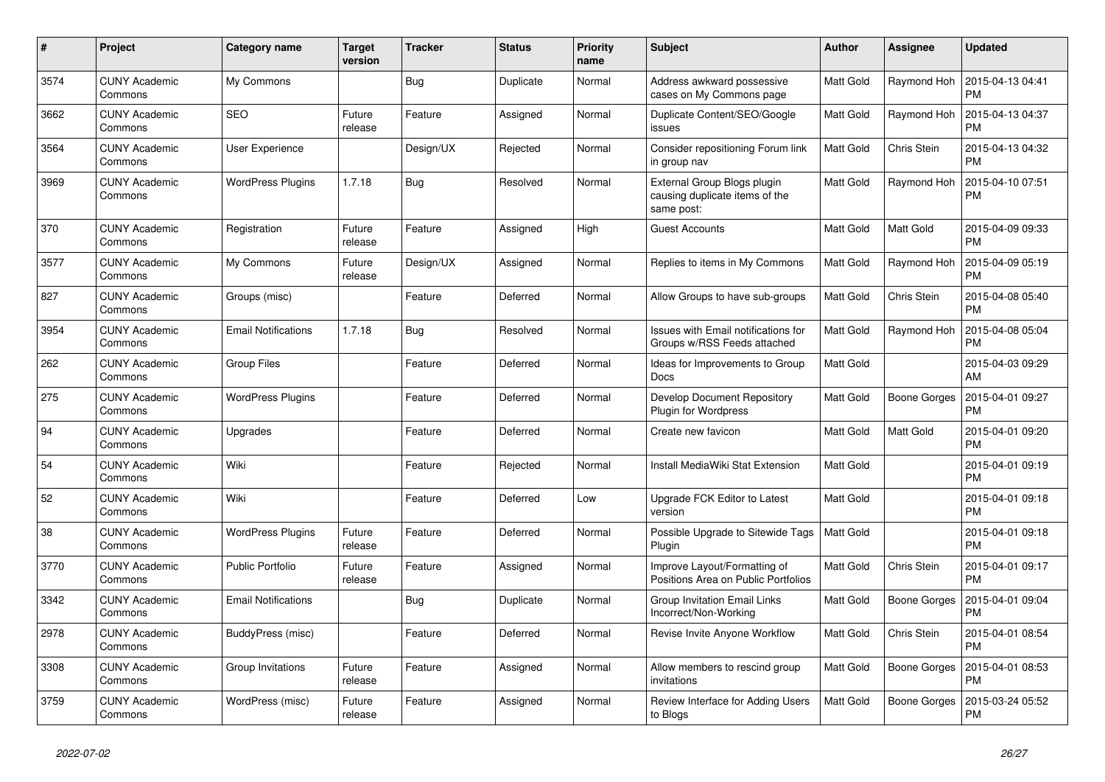| $\#$ | Project                         | Category name              | <b>Target</b><br>version | <b>Tracker</b> | <b>Status</b> | <b>Priority</b><br>name | <b>Subject</b>                                                              | <b>Author</b> | Assignee            | <b>Updated</b>                |
|------|---------------------------------|----------------------------|--------------------------|----------------|---------------|-------------------------|-----------------------------------------------------------------------------|---------------|---------------------|-------------------------------|
| 3574 | <b>CUNY Academic</b><br>Commons | My Commons                 |                          | Bug            | Duplicate     | Normal                  | Address awkward possessive<br>cases on My Commons page                      | Matt Gold     | Raymond Hoh         | 2015-04-13 04:41<br><b>PM</b> |
| 3662 | <b>CUNY Academic</b><br>Commons | <b>SEO</b>                 | Future<br>release        | Feature        | Assigned      | Normal                  | Duplicate Content/SEO/Google<br>issues                                      | Matt Gold     | Raymond Hoh         | 2015-04-13 04:37<br><b>PM</b> |
| 3564 | <b>CUNY Academic</b><br>Commons | User Experience            |                          | Design/UX      | Rejected      | Normal                  | Consider repositioning Forum link<br>in group nav                           | Matt Gold     | Chris Stein         | 2015-04-13 04:32<br><b>PM</b> |
| 3969 | <b>CUNY Academic</b><br>Commons | <b>WordPress Plugins</b>   | 1.7.18                   | Bug            | Resolved      | Normal                  | External Group Blogs plugin<br>causing duplicate items of the<br>same post: | Matt Gold     | Raymond Hoh         | 2015-04-10 07:51<br><b>PM</b> |
| 370  | <b>CUNY Academic</b><br>Commons | Registration               | Future<br>release        | Feature        | Assigned      | High                    | <b>Guest Accounts</b>                                                       | Matt Gold     | Matt Gold           | 2015-04-09 09:33<br><b>PM</b> |
| 3577 | CUNY Academic<br>Commons        | My Commons                 | Future<br>release        | Design/UX      | Assigned      | Normal                  | Replies to items in My Commons                                              | Matt Gold     | Raymond Hoh         | 2015-04-09 05:19<br><b>PM</b> |
| 827  | <b>CUNY Academic</b><br>Commons | Groups (misc)              |                          | Feature        | Deferred      | Normal                  | Allow Groups to have sub-groups                                             | Matt Gold     | Chris Stein         | 2015-04-08 05:40<br><b>PM</b> |
| 3954 | <b>CUNY Academic</b><br>Commons | <b>Email Notifications</b> | 1.7.18                   | Bug            | Resolved      | Normal                  | Issues with Email notifications for<br>Groups w/RSS Feeds attached          | Matt Gold     | Raymond Hoh         | 2015-04-08 05:04<br><b>PM</b> |
| 262  | <b>CUNY Academic</b><br>Commons | <b>Group Files</b>         |                          | Feature        | Deferred      | Normal                  | Ideas for Improvements to Group<br>Docs                                     | Matt Gold     |                     | 2015-04-03 09:29<br>AM        |
| 275  | <b>CUNY Academic</b><br>Commons | <b>WordPress Plugins</b>   |                          | Feature        | Deferred      | Normal                  | Develop Document Repository<br><b>Plugin for Wordpress</b>                  | Matt Gold     | <b>Boone Gorges</b> | 2015-04-01 09:27<br><b>PM</b> |
| 94   | <b>CUNY Academic</b><br>Commons | Upgrades                   |                          | Feature        | Deferred      | Normal                  | Create new favicon                                                          | Matt Gold     | Matt Gold           | 2015-04-01 09:20<br><b>PM</b> |
| 54   | <b>CUNY Academic</b><br>Commons | Wiki                       |                          | Feature        | Rejected      | Normal                  | Install MediaWiki Stat Extension                                            | Matt Gold     |                     | 2015-04-01 09:19<br><b>PM</b> |
| 52   | <b>CUNY Academic</b><br>Commons | Wiki                       |                          | Feature        | Deferred      | Low                     | Upgrade FCK Editor to Latest<br>version                                     | Matt Gold     |                     | 2015-04-01 09:18<br><b>PM</b> |
| 38   | <b>CUNY Academic</b><br>Commons | <b>WordPress Plugins</b>   | Future<br>release        | Feature        | Deferred      | Normal                  | Possible Upgrade to Sitewide Tags<br>Plugin                                 | Matt Gold     |                     | 2015-04-01 09:18<br><b>PM</b> |
| 3770 | <b>CUNY Academic</b><br>Commons | <b>Public Portfolio</b>    | Future<br>release        | Feature        | Assigned      | Normal                  | Improve Layout/Formatting of<br>Positions Area on Public Portfolios         | Matt Gold     | Chris Stein         | 2015-04-01 09:17<br><b>PM</b> |
| 3342 | <b>CUNY Academic</b><br>Commons | <b>Email Notifications</b> |                          | Bug            | Duplicate     | Normal                  | Group Invitation Email Links<br>Incorrect/Non-Working                       | Matt Gold     | <b>Boone Gorges</b> | 2015-04-01 09:04<br><b>PM</b> |
| 2978 | <b>CUNY Academic</b><br>Commons | BuddyPress (misc)          |                          | Feature        | Deferred      | Normal                  | Revise Invite Anyone Workflow                                               | Matt Gold     | Chris Stein         | 2015-04-01 08:54<br><b>PM</b> |
| 3308 | <b>CUNY Academic</b><br>Commons | Group Invitations          | Future<br>release        | Feature        | Assigned      | Normal                  | Allow members to rescind group<br>invitations                               | Matt Gold     | Boone Gorges        | 2015-04-01 08:53<br><b>PM</b> |
| 3759 | <b>CUNY Academic</b><br>Commons | WordPress (misc)           | Future<br>release        | Feature        | Assigned      | Normal                  | Review Interface for Adding Users<br>to Blogs                               | Matt Gold     | <b>Boone Gorges</b> | 2015-03-24 05:52<br><b>PM</b> |